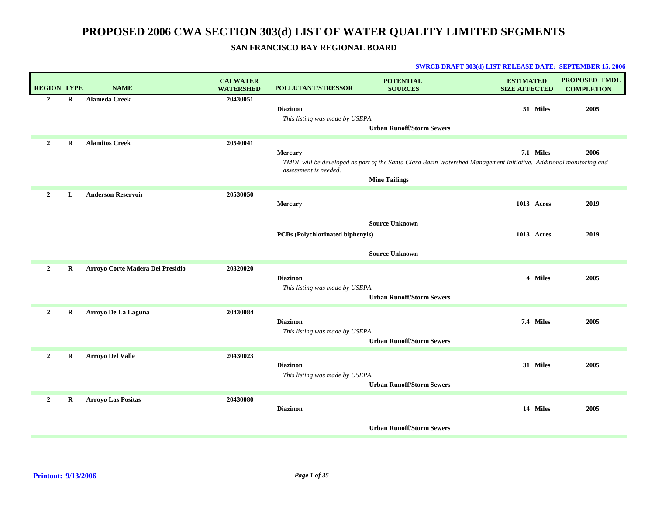## **SAN FRANCISCO BAY REGIONAL BOARD**

| <b>REGION TYPE</b> |         | <b>NAME</b>                      | <b>CALWATER</b><br><b>WATERSHED</b> | <b>POLLUTANT/STRESSOR</b>                          | <b>POTENTIAL</b><br><b>SOURCES</b>                                                                                                         | <b>ESTIMATED</b><br><b>SIZE AFFECTED</b> | <b>PROPOSED TMDL</b><br><b>COMPLETION</b> |
|--------------------|---------|----------------------------------|-------------------------------------|----------------------------------------------------|--------------------------------------------------------------------------------------------------------------------------------------------|------------------------------------------|-------------------------------------------|
| $\overline{2}$     | R       | <b>Alameda Creek</b>             | 20430051                            | <b>Diazinon</b><br>This listing was made by USEPA. | <b>Urban Runoff/Storm Sewers</b>                                                                                                           | 51 Miles                                 | 2005                                      |
| $\overline{2}$     | $\bf R$ | <b>Alamitos Creek</b>            | 20540041                            | Mercury<br>assessment is needed.                   | TMDL will be developed as part of the Santa Clara Basin Watershed Management Initiative. Additional monitoring and<br><b>Mine Tailings</b> | 7.1 Miles                                | 2006                                      |
| $\overline{2}$     | L       | <b>Anderson Reservoir</b>        | 20530050                            | Mercury<br><b>PCBs</b> (Polychlorinated biphenyls) | <b>Source Unknown</b><br><b>Source Unknown</b>                                                                                             | 1013 Acres<br>1013 Acres                 | 2019<br>2019                              |
| $\overline{2}$     | R       | Arroyo Corte Madera Del Presidio | 20320020                            | <b>Diazinon</b><br>This listing was made by USEPA. | <b>Urban Runoff/Storm Sewers</b>                                                                                                           | 4 Miles                                  | 2005                                      |
| $\overline{2}$     | $\bf R$ | Arroyo De La Laguna              | 20430084                            | <b>Diazinon</b><br>This listing was made by USEPA. | <b>Urban Runoff/Storm Sewers</b>                                                                                                           | 7.4 Miles                                | 2005                                      |
| $\overline{2}$     | R       | <b>Arroyo Del Valle</b>          | 20430023                            | <b>Diazinon</b><br>This listing was made by USEPA. | <b>Urban Runoff/Storm Sewers</b>                                                                                                           | 31 Miles                                 | 2005                                      |
| $\overline{2}$     | R       | <b>Arroyo Las Positas</b>        | 20430080                            | <b>Diazinon</b>                                    | <b>Urban Runoff/Storm Sewers</b>                                                                                                           | 14 Miles                                 | 2005                                      |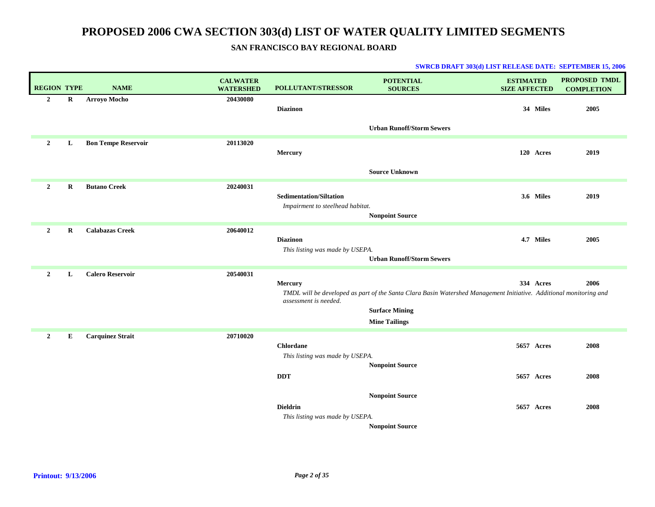## **SAN FRANCISCO BAY REGIONAL BOARD**

| <b>REGION TYPE</b> |          | <b>NAME</b>                | <b>CALWATER</b><br><b>WATERSHED</b> | POLLUTANT/STRESSOR                                                 | <b>POTENTIAL</b><br><b>SOURCES</b>                                                                                                                                  | <b>ESTIMATED</b><br><b>SIZE AFFECTED</b> |           | PROPOSED TMDL<br><b>COMPLETION</b> |
|--------------------|----------|----------------------------|-------------------------------------|--------------------------------------------------------------------|---------------------------------------------------------------------------------------------------------------------------------------------------------------------|------------------------------------------|-----------|------------------------------------|
| $\overline{2}$     | R        | Arroyo Mocho               | 20430080                            | <b>Diazinon</b>                                                    |                                                                                                                                                                     |                                          | 34 Miles  | 2005                               |
|                    |          |                            |                                     |                                                                    | <b>Urban Runoff/Storm Sewers</b>                                                                                                                                    |                                          |           |                                    |
| $\overline{2}$     | L        | <b>Bon Tempe Reservoir</b> | 20113020                            | <b>Mercury</b>                                                     |                                                                                                                                                                     |                                          | 120 Acres | 2019                               |
|                    |          |                            |                                     |                                                                    | <b>Source Unknown</b>                                                                                                                                               |                                          |           |                                    |
| $\overline{2}$     | R        | <b>Butano Creek</b>        | 20240031                            | <b>Sedimentation/Siltation</b><br>Impairment to steelhead habitat. | <b>Nonpoint Source</b>                                                                                                                                              |                                          | 3.6 Miles | 2019                               |
| $\overline{2}$     | $\bf{R}$ | <b>Calabazas Creek</b>     | 20640012                            | <b>Diazinon</b><br>This listing was made by USEPA.                 | <b>Urban Runoff/Storm Sewers</b>                                                                                                                                    |                                          | 4.7 Miles | 2005                               |
| 2                  | L        | <b>Calero Reservoir</b>    | 20540031                            | Mercury<br>assessment is needed.                                   | TMDL will be developed as part of the Santa Clara Basin Watershed Management Initiative. Additional monitoring and<br><b>Surface Mining</b><br><b>Mine Tailings</b> |                                          | 334 Acres | 2006                               |
| $\overline{2}$     | E        | <b>Carquinez Strait</b>    | 20710020                            | <b>Chlordane</b><br>This listing was made by USEPA.                | <b>Nonpoint Source</b>                                                                                                                                              | 5657 Acres                               |           | 2008                               |
|                    |          |                            |                                     | <b>DDT</b>                                                         |                                                                                                                                                                     | 5657 Acres                               |           | 2008                               |
|                    |          |                            |                                     | <b>Dieldrin</b><br>This listing was made by USEPA.                 | <b>Nonpoint Source</b><br><b>Nonpoint Source</b>                                                                                                                    | <b>5657 Acres</b>                        |           | 2008                               |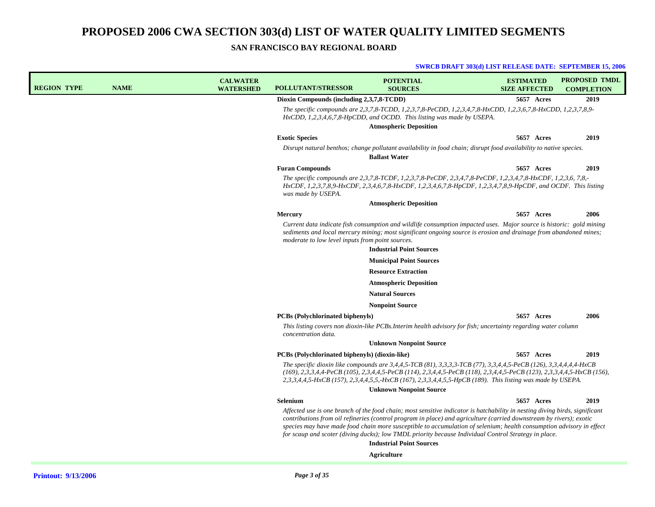### **SAN FRANCISCO BAY REGIONAL BOARD**

| <b>REGION TYPE</b> | <b>NAME</b> | <b>CALWATER</b><br><b>WATERSHED</b> | <b>POLLUTANT/STRESSOR</b>                        | <b>POTENTIAL</b><br><b>SOURCES</b>                                                                                                                                                                                                                                                                                                                                                                                                                                                 | <b>ESTIMATED</b><br><b>SIZE AFFECTED</b> | <b>PROPOSED TMDL</b><br><b>COMPLETION</b> |
|--------------------|-------------|-------------------------------------|--------------------------------------------------|------------------------------------------------------------------------------------------------------------------------------------------------------------------------------------------------------------------------------------------------------------------------------------------------------------------------------------------------------------------------------------------------------------------------------------------------------------------------------------|------------------------------------------|-------------------------------------------|
|                    |             |                                     | Dioxin Compounds (including 2,3,7,8-TCDD)        |                                                                                                                                                                                                                                                                                                                                                                                                                                                                                    | 5657 Acres                               | 2019                                      |
|                    |             |                                     |                                                  | The specific compounds are 2,3,7,8-TCDD, 1,2,3,7,8-PeCDD, 1,2,3,4,7,8-HxCDD, 1,2,3,6,7,8-HxCDD, 1,2,3,7,8,9-<br>$HxCDD$ , 1,2,3,4,6,7,8-HpCDD, and OCDD. This listing was made by USEPA.<br><b>Atmospheric Deposition</b>                                                                                                                                                                                                                                                          |                                          |                                           |
|                    |             |                                     | <b>Exotic Species</b>                            |                                                                                                                                                                                                                                                                                                                                                                                                                                                                                    | 5657 Acres                               | 2019                                      |
|                    |             |                                     |                                                  | Disrupt natural benthos; change pollutant availability in food chain; disrupt food availability to native species.                                                                                                                                                                                                                                                                                                                                                                 |                                          |                                           |
|                    |             |                                     |                                                  | <b>Ballast Water</b>                                                                                                                                                                                                                                                                                                                                                                                                                                                               |                                          |                                           |
|                    |             |                                     | <b>Furan Compounds</b>                           |                                                                                                                                                                                                                                                                                                                                                                                                                                                                                    | <b>5657 Acres</b>                        | 2019                                      |
|                    |             |                                     | was made by USEPA.                               | The specific compounds are 2,3,7,8-TCDF, 1,2,3,7,8-PeCDF, 2,3,4,7,8-PeCDF, 1,2,3,4,7,8-HxCDF, 1,2,3,6, 7,8,-<br>HxCDF, 1,2,3,7,8,9-HxCDF, 2,3,4,6,7,8-HxCDF, 1,2,3,4,6,7,8-HpCDF, 1,2,3,4,7,8,9-HpCDF, and OCDF. This listing                                                                                                                                                                                                                                                      |                                          |                                           |
|                    |             |                                     |                                                  | <b>Atmospheric Deposition</b>                                                                                                                                                                                                                                                                                                                                                                                                                                                      |                                          |                                           |
|                    |             |                                     | <b>Mercury</b>                                   |                                                                                                                                                                                                                                                                                                                                                                                                                                                                                    | 5657 Acres                               | 2006                                      |
|                    |             |                                     | moderate to low level inputs from point sources. | Current data indicate fish consumption and wildlife consumption impacted uses. Major source is historic: gold mining<br>sediments and local mercury mining; most significant ongoing source is erosion and drainage from abandoned mines;<br><b>Industrial Point Sources</b>                                                                                                                                                                                                       |                                          |                                           |
|                    |             |                                     |                                                  | <b>Municipal Point Sources</b>                                                                                                                                                                                                                                                                                                                                                                                                                                                     |                                          |                                           |
|                    |             |                                     |                                                  | <b>Resource Extraction</b>                                                                                                                                                                                                                                                                                                                                                                                                                                                         |                                          |                                           |
|                    |             |                                     |                                                  | <b>Atmospheric Deposition</b>                                                                                                                                                                                                                                                                                                                                                                                                                                                      |                                          |                                           |
|                    |             |                                     |                                                  | <b>Natural Sources</b>                                                                                                                                                                                                                                                                                                                                                                                                                                                             |                                          |                                           |
|                    |             |                                     |                                                  | <b>Nonpoint Source</b>                                                                                                                                                                                                                                                                                                                                                                                                                                                             |                                          |                                           |
|                    |             |                                     | <b>PCBs (Polychlorinated biphenyls)</b>          |                                                                                                                                                                                                                                                                                                                                                                                                                                                                                    | <b>5657 Acres</b>                        | 2006                                      |
|                    |             |                                     | concentration data.                              | This listing covers non dioxin-like PCBs. Interim health advisory for fish; uncertainty regarding water column                                                                                                                                                                                                                                                                                                                                                                     |                                          |                                           |
|                    |             |                                     |                                                  | <b>Unknown Nonpoint Source</b>                                                                                                                                                                                                                                                                                                                                                                                                                                                     |                                          |                                           |
|                    |             |                                     | PCBs (Polychlorinated biphenyls) (dioxin-like)   |                                                                                                                                                                                                                                                                                                                                                                                                                                                                                    | 5657 Acres                               | 2019                                      |
|                    |             |                                     |                                                  | The specific dioxin like compounds are $3,4,4,5$ -TCB (81), $3,3,3,3$ -TCB (77), $3,3,4,4,5$ -PeCB (126), $3,3,4,4,4,4$ -HxCB<br>$(169), 2,3,3,4,4$ -PeCB $(105), 2,3,4,4,5$ -PeCB $(114), 2,3,4,4,5$ -PeCB $(118), 2,3,4,4,5$ -PeCB $(123), 2,3,3,4,4,5$ -HxCB $(156),$<br>2,3,3,4,4,5-HxCB (157), 2,3,4,4,5,5,-HxCB (167), 2,3,3,4,4,5,5-HpCB (189). This listing was made by USEPA.<br><b>Unknown Nonpoint Source</b>                                                           |                                          |                                           |
|                    |             |                                     | Selenium                                         |                                                                                                                                                                                                                                                                                                                                                                                                                                                                                    | <b>5657 Acres</b>                        | 2019                                      |
|                    |             |                                     |                                                  | Affected use is one branch of the food chain; most sensitive indicator is hatchability in nesting diving birds, significant<br>contributions from oil refineries (control program in place) and agriculture (carried downstream by rivers); exotic<br>species may have made food chain more susceptible to accumulation of selenium; health consumption advisory in effect<br>for scaup and scoter (diving ducks); low TMDL priority because Individual Control Strategy in place. |                                          |                                           |
|                    |             |                                     |                                                  | <b>Industrial Point Sources</b>                                                                                                                                                                                                                                                                                                                                                                                                                                                    |                                          |                                           |
|                    |             |                                     |                                                  | Agriculture                                                                                                                                                                                                                                                                                                                                                                                                                                                                        |                                          |                                           |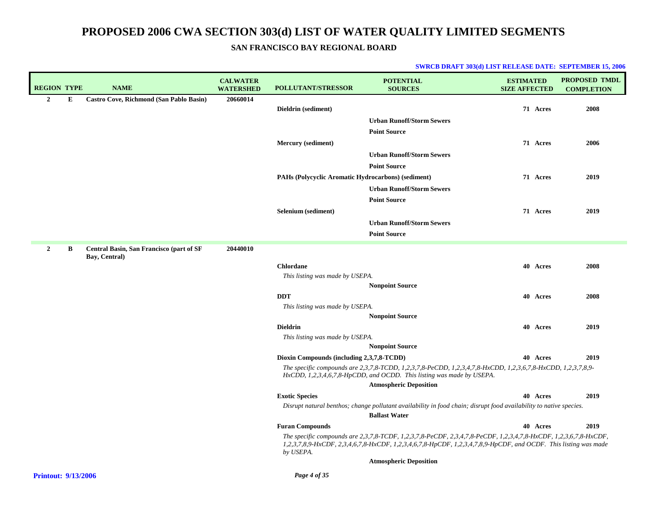| <b>REGION TYPE</b> |   | <b>NAME</b>                              | <b>CALWATER</b><br><b>WATERSHED</b> | <b>POLLUTANT/STRESSOR</b>                          | <b>POTENTIAL</b><br><b>SOURCES</b>                                                                                                                                                                                                  | <b>ESTIMATED</b><br><b>SIZE AFFECTED</b> |          | <b>PROPOSED TMDL</b><br><b>COMPLETION</b> |
|--------------------|---|------------------------------------------|-------------------------------------|----------------------------------------------------|-------------------------------------------------------------------------------------------------------------------------------------------------------------------------------------------------------------------------------------|------------------------------------------|----------|-------------------------------------------|
| $\overline{2}$     | Е | Castro Cove, Richmond (San Pablo Basin)  | 20660014                            |                                                    |                                                                                                                                                                                                                                     |                                          |          |                                           |
|                    |   |                                          |                                     | Dieldrin (sediment)                                |                                                                                                                                                                                                                                     |                                          | 71 Acres | 2008                                      |
|                    |   |                                          |                                     |                                                    | <b>Urban Runoff/Storm Sewers</b>                                                                                                                                                                                                    |                                          |          |                                           |
|                    |   |                                          |                                     |                                                    | <b>Point Source</b>                                                                                                                                                                                                                 |                                          |          |                                           |
|                    |   |                                          |                                     | Mercury (sediment)                                 |                                                                                                                                                                                                                                     |                                          | 71 Acres | 2006                                      |
|                    |   |                                          |                                     |                                                    | <b>Urban Runoff/Storm Sewers</b>                                                                                                                                                                                                    |                                          |          |                                           |
|                    |   |                                          |                                     |                                                    | <b>Point Source</b>                                                                                                                                                                                                                 |                                          |          |                                           |
|                    |   |                                          |                                     | PAHs (Polycyclic Aromatic Hydrocarbons) (sediment) |                                                                                                                                                                                                                                     |                                          | 71 Acres | 2019                                      |
|                    |   |                                          |                                     |                                                    | <b>Urban Runoff/Storm Sewers</b>                                                                                                                                                                                                    |                                          |          |                                           |
|                    |   |                                          |                                     |                                                    | <b>Point Source</b>                                                                                                                                                                                                                 |                                          |          |                                           |
|                    |   |                                          |                                     | Selenium (sediment)                                |                                                                                                                                                                                                                                     |                                          | 71 Acres | 2019                                      |
|                    |   |                                          |                                     |                                                    | <b>Urban Runoff/Storm Sewers</b>                                                                                                                                                                                                    |                                          |          |                                           |
|                    |   |                                          |                                     |                                                    | <b>Point Source</b>                                                                                                                                                                                                                 |                                          |          |                                           |
| $\mathbf{2}$       | В | Central Basin, San Francisco (part of SF | 20440010                            |                                                    |                                                                                                                                                                                                                                     |                                          |          |                                           |
|                    |   | Bay, Central)                            |                                     | <b>Chlordane</b>                                   |                                                                                                                                                                                                                                     |                                          | 40 Acres | 2008                                      |
|                    |   |                                          |                                     | This listing was made by USEPA.                    |                                                                                                                                                                                                                                     |                                          |          |                                           |
|                    |   |                                          |                                     |                                                    | <b>Nonpoint Source</b>                                                                                                                                                                                                              |                                          |          |                                           |
|                    |   |                                          |                                     | <b>DDT</b>                                         |                                                                                                                                                                                                                                     |                                          | 40 Acres | 2008                                      |
|                    |   |                                          |                                     | This listing was made by USEPA.                    |                                                                                                                                                                                                                                     |                                          |          |                                           |
|                    |   |                                          |                                     |                                                    | <b>Nonpoint Source</b>                                                                                                                                                                                                              |                                          |          |                                           |
|                    |   |                                          |                                     | <b>Dieldrin</b>                                    |                                                                                                                                                                                                                                     |                                          | 40 Acres | 2019                                      |
|                    |   |                                          |                                     | This listing was made by USEPA.                    |                                                                                                                                                                                                                                     |                                          |          |                                           |
|                    |   |                                          |                                     |                                                    | <b>Nonpoint Source</b>                                                                                                                                                                                                              |                                          |          |                                           |
|                    |   |                                          |                                     | Dioxin Compounds (including 2,3,7,8-TCDD)          |                                                                                                                                                                                                                                     |                                          | 40 Acres | 2019                                      |
|                    |   |                                          |                                     |                                                    | The specific compounds are 2,3,7,8-TCDD, 1,2,3,7,8-PeCDD, 1,2,3,4,7,8-HxCDD, 1,2,3,6,7,8-HxCDD, 1,2,3,7,8,9-<br>HxCDD, 1,2,3,4,6,7,8-HpCDD, and OCDD. This listing was made by USEPA.                                               |                                          |          |                                           |
|                    |   |                                          |                                     |                                                    | <b>Atmospheric Deposition</b>                                                                                                                                                                                                       |                                          |          |                                           |
|                    |   |                                          |                                     | <b>Exotic Species</b>                              |                                                                                                                                                                                                                                     |                                          | 40 Acres | 2019                                      |
|                    |   |                                          |                                     |                                                    | Disrupt natural benthos; change pollutant availability in food chain; disrupt food availability to native species.<br><b>Ballast Water</b>                                                                                          |                                          |          |                                           |
|                    |   |                                          |                                     | <b>Furan Compounds</b>                             |                                                                                                                                                                                                                                     |                                          | 40 Acres | 2019                                      |
|                    |   |                                          |                                     | by USEPA.                                          | The specific compounds are 2,3,7,8-TCDF, 1,2,3,7,8-PeCDF, 2,3,4,7,8-PeCDF, 1,2,3,4,7,8-HxCDF, 1,2,3,6,7,8-HxCDF,<br>1,2,3,7,8,9-HxCDF, 2,3,4,6,7,8-HxCDF, 1,2,3,4,6,7,8-HpCDF, 1,2,3,4,7,8,9-HpCDF, and OCDF. This listing was made |                                          |          |                                           |
|                    |   |                                          |                                     |                                                    | <b>Atmospheric Deposition</b>                                                                                                                                                                                                       |                                          |          |                                           |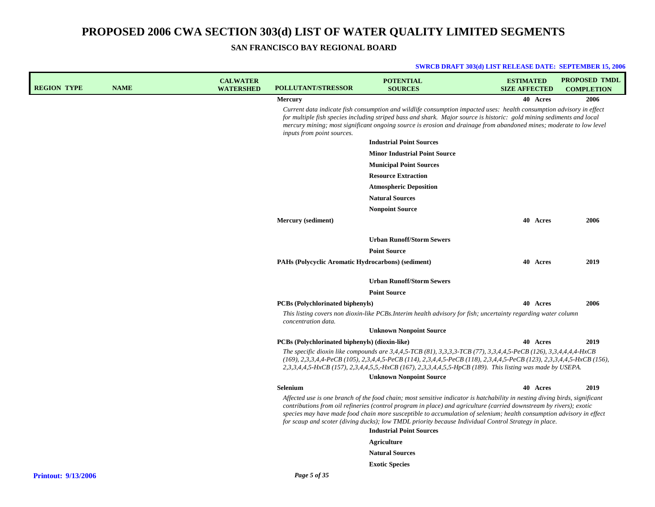| <b>REGION TYPE</b>         | <b>NAME</b> | <b>CALWATER</b><br><b>WATERSHED</b> | <b>POLLUTANT/STRESSOR</b>                          | <b>POTENTIAL</b><br><b>SOURCES</b>                                                                                                                                                                                                                                                                                                                                                                                                                                                 | <b>ESTIMATED</b><br><b>SIZE AFFECTED</b> |          | <b>PROPOSED TMDL</b><br><b>COMPLETION</b> |
|----------------------------|-------------|-------------------------------------|----------------------------------------------------|------------------------------------------------------------------------------------------------------------------------------------------------------------------------------------------------------------------------------------------------------------------------------------------------------------------------------------------------------------------------------------------------------------------------------------------------------------------------------------|------------------------------------------|----------|-------------------------------------------|
|                            |             |                                     | <b>Mercury</b>                                     |                                                                                                                                                                                                                                                                                                                                                                                                                                                                                    |                                          | 40 Acres | 2006                                      |
|                            |             |                                     | inputs from point sources.                         | Current data indicate fish consumption and wildlife consumption impacted uses: health consumption advisory in effect<br>for multiple fish species including striped bass and shark. Major source is historic: gold mining sediments and local<br>mercury mining; most significant ongoing source is erosion and drainage from abandoned mines; moderate to low level                                                                                                               |                                          |          |                                           |
|                            |             |                                     |                                                    | <b>Industrial Point Sources</b>                                                                                                                                                                                                                                                                                                                                                                                                                                                    |                                          |          |                                           |
|                            |             |                                     |                                                    | <b>Minor Industrial Point Source</b>                                                                                                                                                                                                                                                                                                                                                                                                                                               |                                          |          |                                           |
|                            |             |                                     |                                                    | <b>Municipal Point Sources</b>                                                                                                                                                                                                                                                                                                                                                                                                                                                     |                                          |          |                                           |
|                            |             |                                     |                                                    | <b>Resource Extraction</b>                                                                                                                                                                                                                                                                                                                                                                                                                                                         |                                          |          |                                           |
|                            |             |                                     |                                                    | <b>Atmospheric Deposition</b>                                                                                                                                                                                                                                                                                                                                                                                                                                                      |                                          |          |                                           |
|                            |             |                                     |                                                    | <b>Natural Sources</b>                                                                                                                                                                                                                                                                                                                                                                                                                                                             |                                          |          |                                           |
|                            |             |                                     |                                                    | <b>Nonpoint Source</b>                                                                                                                                                                                                                                                                                                                                                                                                                                                             |                                          |          |                                           |
|                            |             |                                     | Mercury (sediment)                                 |                                                                                                                                                                                                                                                                                                                                                                                                                                                                                    |                                          | 40 Acres | 2006                                      |
|                            |             |                                     |                                                    | <b>Urban Runoff/Storm Sewers</b>                                                                                                                                                                                                                                                                                                                                                                                                                                                   |                                          |          |                                           |
|                            |             |                                     |                                                    | <b>Point Source</b>                                                                                                                                                                                                                                                                                                                                                                                                                                                                |                                          |          |                                           |
|                            |             |                                     | PAHs (Polycyclic Aromatic Hydrocarbons) (sediment) |                                                                                                                                                                                                                                                                                                                                                                                                                                                                                    |                                          | 40 Acres | 2019                                      |
|                            |             |                                     |                                                    | <b>Urban Runoff/Storm Sewers</b>                                                                                                                                                                                                                                                                                                                                                                                                                                                   |                                          |          |                                           |
|                            |             |                                     |                                                    | <b>Point Source</b>                                                                                                                                                                                                                                                                                                                                                                                                                                                                |                                          |          |                                           |
|                            |             |                                     | <b>PCBs</b> (Polychlorinated biphenyls)            |                                                                                                                                                                                                                                                                                                                                                                                                                                                                                    |                                          | 40 Acres | 2006                                      |
|                            |             |                                     | concentration data.                                | This listing covers non dioxin-like PCBs. Interim health advisory for fish; uncertainty regarding water column                                                                                                                                                                                                                                                                                                                                                                     |                                          |          |                                           |
|                            |             |                                     |                                                    | <b>Unknown Nonpoint Source</b>                                                                                                                                                                                                                                                                                                                                                                                                                                                     |                                          |          |                                           |
|                            |             |                                     | PCBs (Polychlorinated biphenyls) (dioxin-like)     |                                                                                                                                                                                                                                                                                                                                                                                                                                                                                    |                                          | 40 Acres | 2019                                      |
|                            |             |                                     |                                                    | The specific dioxin like compounds are 3,4,4,5-TCB (81), 3,3,3,3-TCB (77), 3,3,4,4,5-PeCB (126), 3,3,4,4,4,4-HxCB<br>$(169), 2,3,3,4,4$ -PeCB (105), 2,3,4,4,5-PeCB (114), 2,3,4,4,5-PeCB (118), 2,3,4,4,5-PeCB (123), 2,3,3,4,4,5-HxCB (156),<br>2,3,3,4,4,5-HxCB (157), 2,3,4,4,5,5,-HxCB (167), 2,3,3,4,4,5,5-HpCB (189). This listing was made by USEPA.                                                                                                                       |                                          |          |                                           |
|                            |             |                                     |                                                    | <b>Unknown Nonpoint Source</b>                                                                                                                                                                                                                                                                                                                                                                                                                                                     |                                          |          |                                           |
|                            |             |                                     | Selenium                                           |                                                                                                                                                                                                                                                                                                                                                                                                                                                                                    |                                          | 40 Acres | 2019                                      |
|                            |             |                                     |                                                    | Affected use is one branch of the food chain; most sensitive indicator is hatchability in nesting diving birds, significant<br>contributions from oil refineries (control program in place) and agriculture (carried downstream by rivers); exotic<br>species may have made food chain more susceptible to accumulation of selenium; health consumption advisory in effect<br>for scaup and scoter (diving ducks); low TMDL priority because Individual Control Strategy in place. |                                          |          |                                           |
|                            |             |                                     |                                                    | <b>Industrial Point Sources</b>                                                                                                                                                                                                                                                                                                                                                                                                                                                    |                                          |          |                                           |
|                            |             |                                     |                                                    | Agriculture                                                                                                                                                                                                                                                                                                                                                                                                                                                                        |                                          |          |                                           |
|                            |             |                                     |                                                    | <b>Natural Sources</b>                                                                                                                                                                                                                                                                                                                                                                                                                                                             |                                          |          |                                           |
|                            |             |                                     |                                                    | <b>Exotic Species</b>                                                                                                                                                                                                                                                                                                                                                                                                                                                              |                                          |          |                                           |
| <b>Printout: 9/13/2006</b> |             |                                     | Page 5 of 35                                       |                                                                                                                                                                                                                                                                                                                                                                                                                                                                                    |                                          |          |                                           |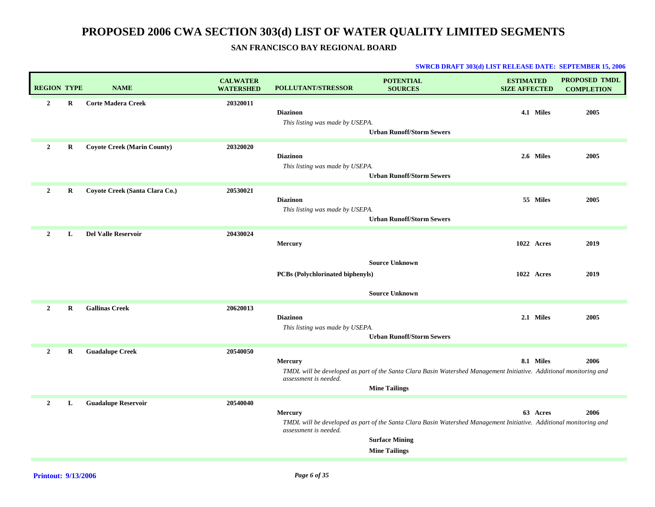## **SAN FRANCISCO BAY REGIONAL BOARD**

| <b>REGION TYPE</b> |             | <b>NAME</b>                        | <b>CALWATER</b><br><b>WATERSHED</b> | <b>POLLUTANT/STRESSOR</b>                          | <b>POTENTIAL</b><br><b>SOURCES</b>                                                                                                                                  | <b>ESTIMATED</b><br><b>SIZE AFFECTED</b> |           | PROPOSED TMDL<br><b>COMPLETION</b> |
|--------------------|-------------|------------------------------------|-------------------------------------|----------------------------------------------------|---------------------------------------------------------------------------------------------------------------------------------------------------------------------|------------------------------------------|-----------|------------------------------------|
| $\overline{2}$     | R           | <b>Corte Madera Creek</b>          | 20320011                            | <b>Diazinon</b><br>This listing was made by USEPA. | <b>Urban Runoff/Storm Sewers</b>                                                                                                                                    |                                          | 4.1 Miles | 2005                               |
| $\overline{2}$     | $\bf R$     | <b>Coyote Creek (Marin County)</b> | 20320020                            | <b>Diazinon</b><br>This listing was made by USEPA. | <b>Urban Runoff/Storm Sewers</b>                                                                                                                                    |                                          | 2.6 Miles | 2005                               |
| $\overline{2}$     | $\bf R$     | Coyote Creek (Santa Clara Co.)     | 20530021                            | <b>Diazinon</b><br>This listing was made by USEPA. | <b>Urban Runoff/Storm Sewers</b>                                                                                                                                    |                                          | 55 Miles  | 2005                               |
| $\overline{2}$     | L           | <b>Del Valle Reservoir</b>         | 20430024                            | Mercury<br>PCBs (Polychlorinated biphenyls)        | <b>Source Unknown</b><br><b>Source Unknown</b>                                                                                                                      | 1022 Acres<br>1022 Acres                 |           | 2019<br>2019                       |
| $\overline{2}$     | $\mathbf R$ | <b>Gallinas Creek</b>              | 20620013                            | <b>Diazinon</b><br>This listing was made by USEPA. | <b>Urban Runoff/Storm Sewers</b>                                                                                                                                    |                                          | 2.1 Miles | 2005                               |
| $\overline{2}$     | R           | <b>Guadalupe Creek</b>             | 20540050                            | Mercury<br>assessment is needed.                   | TMDL will be developed as part of the Santa Clara Basin Watershed Management Initiative. Additional monitoring and<br><b>Mine Tailings</b>                          |                                          | 8.1 Miles | 2006                               |
| $\overline{2}$     | L           | <b>Guadalupe Reservoir</b>         | 20540040                            | Mercury<br>assessment is needed.                   | TMDL will be developed as part of the Santa Clara Basin Watershed Management Initiative. Additional monitoring and<br><b>Surface Mining</b><br><b>Mine Tailings</b> |                                          | 63 Acres  | 2006                               |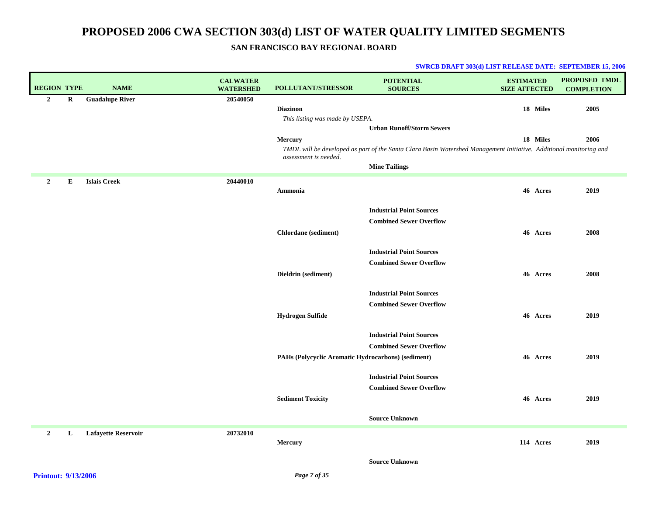### **SAN FRANCISCO BAY REGIONAL BOARD**

| <b>REGION TYPE</b> |         | <b>NAME</b>                | <b>CALWATER</b><br><b>WATERSHED</b> | POLLUTANT/STRESSOR                                 | <b>POTENTIAL</b><br><b>SOURCES</b>                                                                                 | <b>ESTIMATED</b><br><b>SIZE AFFECTED</b> | <b>PROPOSED TMDL</b><br><b>COMPLETION</b> |
|--------------------|---------|----------------------------|-------------------------------------|----------------------------------------------------|--------------------------------------------------------------------------------------------------------------------|------------------------------------------|-------------------------------------------|
| $\overline{2}$     | $\bf R$ | <b>Guadalupe River</b>     | 20540050                            |                                                    |                                                                                                                    |                                          |                                           |
|                    |         |                            |                                     | <b>Diazinon</b>                                    |                                                                                                                    | 18 Miles                                 | 2005                                      |
|                    |         |                            |                                     | This listing was made by USEPA.                    | <b>Urban Runoff/Storm Sewers</b>                                                                                   |                                          |                                           |
|                    |         |                            |                                     | Mercury                                            |                                                                                                                    | 18 Miles                                 | 2006                                      |
|                    |         |                            |                                     |                                                    | TMDL will be developed as part of the Santa Clara Basin Watershed Management Initiative. Additional monitoring and |                                          |                                           |
|                    |         |                            |                                     | assessment is needed.                              |                                                                                                                    |                                          |                                           |
|                    |         |                            |                                     |                                                    | <b>Mine Tailings</b>                                                                                               |                                          |                                           |
| $\overline{2}$     | Е       | <b>Islais Creek</b>        | 20440010                            |                                                    |                                                                                                                    |                                          |                                           |
|                    |         |                            |                                     | Ammonia                                            |                                                                                                                    | 46 Acres                                 | 2019                                      |
|                    |         |                            |                                     |                                                    | <b>Industrial Point Sources</b>                                                                                    |                                          |                                           |
|                    |         |                            |                                     |                                                    | <b>Combined Sewer Overflow</b>                                                                                     |                                          |                                           |
|                    |         |                            |                                     | <b>Chlordane</b> (sediment)                        |                                                                                                                    | 46 Acres                                 | 2008                                      |
|                    |         |                            |                                     |                                                    |                                                                                                                    |                                          |                                           |
|                    |         |                            |                                     |                                                    | <b>Industrial Point Sources</b>                                                                                    |                                          |                                           |
|                    |         |                            |                                     |                                                    | <b>Combined Sewer Overflow</b>                                                                                     |                                          |                                           |
|                    |         |                            |                                     | Dieldrin (sediment)                                |                                                                                                                    | 46 Acres                                 | 2008                                      |
|                    |         |                            |                                     |                                                    |                                                                                                                    |                                          |                                           |
|                    |         |                            |                                     |                                                    | <b>Industrial Point Sources</b>                                                                                    |                                          |                                           |
|                    |         |                            |                                     |                                                    | <b>Combined Sewer Overflow</b>                                                                                     |                                          |                                           |
|                    |         |                            |                                     | <b>Hydrogen Sulfide</b>                            |                                                                                                                    | 46 Acres                                 | 2019                                      |
|                    |         |                            |                                     |                                                    | <b>Industrial Point Sources</b>                                                                                    |                                          |                                           |
|                    |         |                            |                                     |                                                    | <b>Combined Sewer Overflow</b>                                                                                     |                                          |                                           |
|                    |         |                            |                                     | PAHs (Polycyclic Aromatic Hydrocarbons) (sediment) |                                                                                                                    | 46 Acres                                 | 2019                                      |
|                    |         |                            |                                     |                                                    |                                                                                                                    |                                          |                                           |
|                    |         |                            |                                     |                                                    | <b>Industrial Point Sources</b>                                                                                    |                                          |                                           |
|                    |         |                            |                                     |                                                    | <b>Combined Sewer Overflow</b>                                                                                     |                                          |                                           |
|                    |         |                            |                                     | <b>Sediment Toxicity</b>                           |                                                                                                                    | 46 Acres                                 | 2019                                      |
|                    |         |                            |                                     |                                                    | <b>Source Unknown</b>                                                                                              |                                          |                                           |
|                    |         |                            |                                     |                                                    |                                                                                                                    |                                          |                                           |
| $\overline{2}$     | L       | <b>Lafayette Reservoir</b> | 20732010                            | Mercury                                            |                                                                                                                    | 114 Acres                                | 2019                                      |
|                    |         |                            |                                     |                                                    |                                                                                                                    |                                          |                                           |
|                    |         |                            |                                     |                                                    | <b>Source Unknown</b>                                                                                              |                                          |                                           |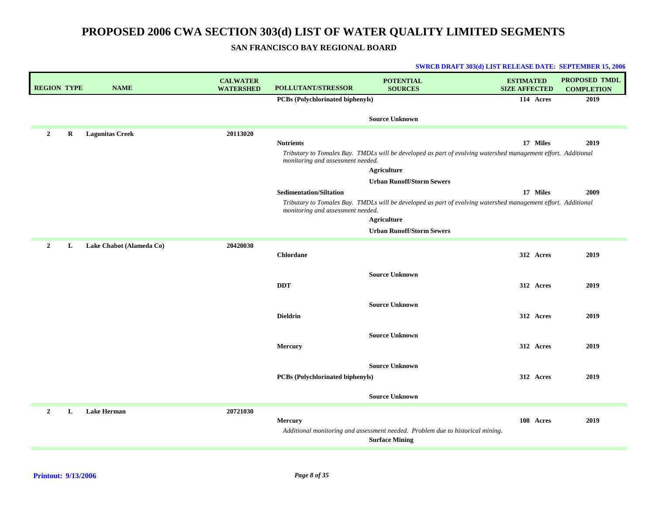**SAN FRANCISCO BAY REGIONAL BOARD**

| <b>REGION TYPE</b> |   | <b>NAME</b>              | <b>CALWATER</b><br><b>WATERSHED</b> | POLLUTANT/STRESSOR                                                                                                           | <b>POTENTIAL</b><br><b>SOURCES</b>                                                                                                                                                                                                                                                                                                                 | <b>ESTIMATED</b><br><b>SIZE AFFECTED</b> | <b>PROPOSED TMDL</b><br><b>COMPLETION</b> |
|--------------------|---|--------------------------|-------------------------------------|------------------------------------------------------------------------------------------------------------------------------|----------------------------------------------------------------------------------------------------------------------------------------------------------------------------------------------------------------------------------------------------------------------------------------------------------------------------------------------------|------------------------------------------|-------------------------------------------|
|                    |   |                          |                                     | PCBs (Polychlorinated biphenyls)                                                                                             |                                                                                                                                                                                                                                                                                                                                                    | 114 Acres                                | 2019                                      |
|                    |   |                          |                                     |                                                                                                                              | <b>Source Unknown</b>                                                                                                                                                                                                                                                                                                                              |                                          |                                           |
| $\overline{2}$     | R | <b>Lagunitas Creek</b>   | 20113020                            | <b>Nutrients</b><br>monitoring and assessment needed.<br><b>Sedimentation/Siltation</b><br>monitoring and assessment needed. | Tributary to Tomales Bay. TMDLs will be developed as part of evolving watershed management effort. Additional<br><b>Agriculture</b><br><b>Urban Runoff/Storm Sewers</b><br>Tributary to Tomales Bay. TMDLs will be developed as part of evolving watershed management effort. Additional<br><b>Agriculture</b><br><b>Urban Runoff/Storm Sewers</b> | 17 Miles<br>17 Miles                     | 2019<br>2009                              |
| $\mathbf{2}$       | L | Lake Chabot (Alameda Co) | 20420030                            |                                                                                                                              |                                                                                                                                                                                                                                                                                                                                                    |                                          |                                           |
|                    |   |                          |                                     | <b>Chlordane</b>                                                                                                             |                                                                                                                                                                                                                                                                                                                                                    | 312 Acres                                | 2019                                      |
|                    |   |                          |                                     | <b>DDT</b>                                                                                                                   | <b>Source Unknown</b>                                                                                                                                                                                                                                                                                                                              | 312 Acres                                | 2019                                      |
|                    |   |                          |                                     | <b>Dieldrin</b>                                                                                                              | <b>Source Unknown</b>                                                                                                                                                                                                                                                                                                                              | 312 Acres                                | 2019                                      |
|                    |   |                          |                                     | Mercury                                                                                                                      | <b>Source Unknown</b>                                                                                                                                                                                                                                                                                                                              | 312 Acres                                | 2019                                      |
|                    |   |                          |                                     | PCBs (Polychlorinated biphenyls)                                                                                             | <b>Source Unknown</b>                                                                                                                                                                                                                                                                                                                              | 312 Acres                                | 2019                                      |
|                    |   |                          |                                     |                                                                                                                              | <b>Source Unknown</b>                                                                                                                                                                                                                                                                                                                              |                                          |                                           |
| $\overline{2}$     | L | <b>Lake Herman</b>       | 20721030                            | <b>Mercury</b>                                                                                                               | Additional monitoring and assessment needed. Problem due to historical mining.<br><b>Surface Mining</b>                                                                                                                                                                                                                                            | 108 Acres                                | 2019                                      |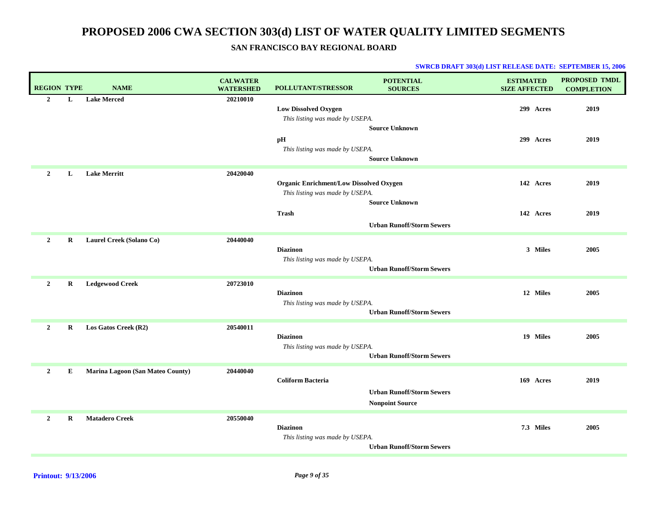## **SAN FRANCISCO BAY REGIONAL BOARD**

| <b>REGION TYPE</b> |         | <b>NAME</b>                      | <b>CALWATER</b><br><b>WATERSHED</b> | POLLUTANT/STRESSOR                                                                | <b>POTENTIAL</b><br><b>SOURCES</b>                         | <b>ESTIMATED</b><br><b>SIZE AFFECTED</b> | <b>PROPOSED TMDL</b><br><b>COMPLETION</b> |
|--------------------|---------|----------------------------------|-------------------------------------|-----------------------------------------------------------------------------------|------------------------------------------------------------|------------------------------------------|-------------------------------------------|
| $\overline{2}$     | L       | <b>Lake Merced</b>               | 20210010                            | <b>Low Dissolved Oxygen</b><br>This listing was made by USEPA.                    |                                                            | 299 Acres                                | 2019                                      |
|                    |         |                                  |                                     | pH<br>This listing was made by USEPA.                                             | <b>Source Unknown</b><br><b>Source Unknown</b>             | 299 Acres                                | 2019                                      |
| $\overline{2}$     | L       | <b>Lake Merritt</b>              | 20420040                            | <b>Organic Enrichment/Low Dissolved Oxygen</b><br>This listing was made by USEPA. | <b>Source Unknown</b>                                      | 142 Acres                                | 2019                                      |
|                    |         |                                  |                                     | <b>Trash</b>                                                                      | <b>Urban Runoff/Storm Sewers</b>                           | 142 Acres                                | 2019                                      |
| $\overline{2}$     | R       | Laurel Creek (Solano Co)         | 20440040                            | <b>Diazinon</b><br>This listing was made by USEPA.                                | <b>Urban Runoff/Storm Sewers</b>                           | 3 Miles                                  | 2005                                      |
| $\overline{2}$     | R       | <b>Ledgewood Creek</b>           | 20723010                            | <b>Diazinon</b><br>This listing was made by USEPA.                                | <b>Urban Runoff/Storm Sewers</b>                           | 12 Miles                                 | 2005                                      |
| $\overline{2}$     | R       | Los Gatos Creek (R2)             | 20540011                            | <b>Diazinon</b><br>This listing was made by USEPA.                                | <b>Urban Runoff/Storm Sewers</b>                           | 19 Miles                                 | 2005                                      |
| $\mathbf{2}$       | Е       | Marina Lagoon (San Mateo County) | 20440040                            | <b>Coliform Bacteria</b>                                                          | <b>Urban Runoff/Storm Sewers</b><br><b>Nonpoint Source</b> | 169 Acres                                | 2019                                      |
| 2                  | $\bf R$ | <b>Matadero Creek</b>            | 20550040                            | <b>Diazinon</b><br>This listing was made by USEPA.                                | <b>Urban Runoff/Storm Sewers</b>                           | 7.3 Miles                                | 2005                                      |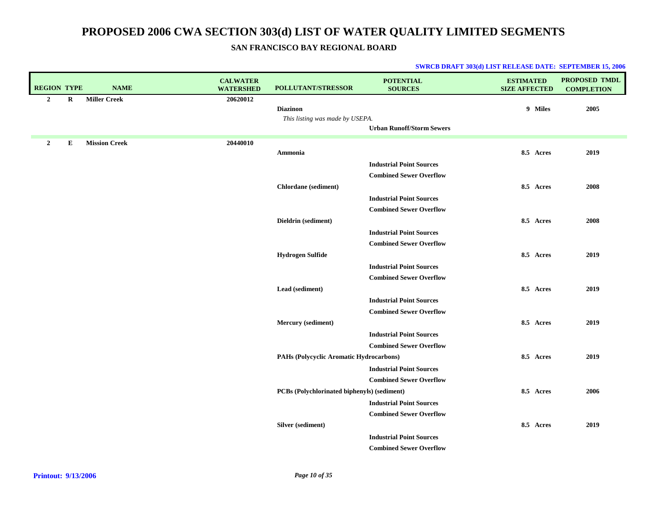## **SAN FRANCISCO BAY REGIONAL BOARD**

| <b>REGION TYPE</b>          | <b>NAME</b>          | <b>CALWATER</b><br><b>WATERSHED</b> | <b>POLLUTANT/STRESSOR</b>                   | <b>POTENTIAL</b><br><b>SOURCES</b> | <b>ESTIMATED</b><br><b>SIZE AFFECTED</b> | <b>PROPOSED TMDL</b><br><b>COMPLETION</b> |
|-----------------------------|----------------------|-------------------------------------|---------------------------------------------|------------------------------------|------------------------------------------|-------------------------------------------|
| $\overline{2}$<br>$\bf R$   | <b>Miller Creek</b>  | 20620012                            |                                             |                                    |                                          |                                           |
|                             |                      |                                     | <b>Diazinon</b>                             |                                    | 9 Miles                                  | 2005                                      |
|                             |                      |                                     | This listing was made by USEPA.             | <b>Urban Runoff/Storm Sewers</b>   |                                          |                                           |
|                             |                      |                                     |                                             |                                    |                                          |                                           |
| ${\bf E}$<br>$\overline{2}$ | <b>Mission Creek</b> | 20440010                            |                                             |                                    |                                          |                                           |
|                             |                      |                                     | Ammonia                                     |                                    | 8.5 Acres                                | 2019                                      |
|                             |                      |                                     |                                             | <b>Industrial Point Sources</b>    |                                          |                                           |
|                             |                      |                                     |                                             | <b>Combined Sewer Overflow</b>     |                                          |                                           |
|                             |                      |                                     | Chlordane (sediment)                        |                                    | 8.5 Acres                                | 2008                                      |
|                             |                      |                                     |                                             | <b>Industrial Point Sources</b>    |                                          |                                           |
|                             |                      |                                     |                                             | <b>Combined Sewer Overflow</b>     |                                          |                                           |
|                             |                      |                                     | Dieldrin (sediment)                         |                                    | 8.5 Acres                                | 2008                                      |
|                             |                      |                                     |                                             | <b>Industrial Point Sources</b>    |                                          |                                           |
|                             |                      |                                     |                                             | <b>Combined Sewer Overflow</b>     |                                          |                                           |
|                             |                      |                                     | <b>Hydrogen Sulfide</b>                     |                                    | 8.5 Acres                                | 2019                                      |
|                             |                      |                                     |                                             | <b>Industrial Point Sources</b>    |                                          |                                           |
|                             |                      |                                     |                                             | <b>Combined Sewer Overflow</b>     |                                          |                                           |
|                             |                      |                                     | Lead (sediment)                             |                                    | 8.5 Acres                                | 2019                                      |
|                             |                      |                                     |                                             | <b>Industrial Point Sources</b>    |                                          |                                           |
|                             |                      |                                     |                                             | <b>Combined Sewer Overflow</b>     |                                          |                                           |
|                             |                      |                                     | Mercury (sediment)                          |                                    | 8.5 Acres                                | 2019                                      |
|                             |                      |                                     |                                             | <b>Industrial Point Sources</b>    |                                          |                                           |
|                             |                      |                                     |                                             | <b>Combined Sewer Overflow</b>     |                                          |                                           |
|                             |                      |                                     | PAHs (Polycyclic Aromatic Hydrocarbons)     |                                    | 8.5 Acres                                | 2019                                      |
|                             |                      |                                     |                                             | <b>Industrial Point Sources</b>    |                                          |                                           |
|                             |                      |                                     |                                             | <b>Combined Sewer Overflow</b>     |                                          |                                           |
|                             |                      |                                     | PCBs (Polychlorinated biphenyls) (sediment) |                                    | 8.5 Acres                                | 2006                                      |
|                             |                      |                                     |                                             | <b>Industrial Point Sources</b>    |                                          |                                           |
|                             |                      |                                     |                                             | <b>Combined Sewer Overflow</b>     |                                          |                                           |
|                             |                      |                                     | Silver (sediment)                           |                                    | 8.5 Acres                                | 2019                                      |
|                             |                      |                                     |                                             | <b>Industrial Point Sources</b>    |                                          |                                           |
|                             |                      |                                     |                                             | <b>Combined Sewer Overflow</b>     |                                          |                                           |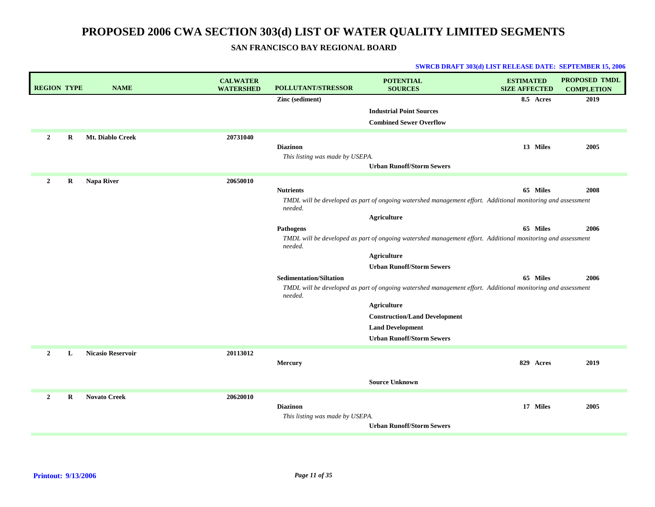**SAN FRANCISCO BAY REGIONAL BOARD**

| <b>REGION TYPE</b> |   | <b>NAME</b>              | <b>CALWATER</b><br><b>WATERSHED</b> | POLLUTANT/STRESSOR              | <b>POTENTIAL</b><br><b>SOURCES</b>                                                                          | <b>ESTIMATED</b><br><b>SIZE AFFECTED</b> | <b>PROPOSED TMDL</b><br><b>COMPLETION</b> |
|--------------------|---|--------------------------|-------------------------------------|---------------------------------|-------------------------------------------------------------------------------------------------------------|------------------------------------------|-------------------------------------------|
|                    |   |                          |                                     | Zinc (sediment)                 |                                                                                                             | 8.5 Acres                                | 2019                                      |
|                    |   |                          |                                     |                                 | <b>Industrial Point Sources</b>                                                                             |                                          |                                           |
|                    |   |                          |                                     |                                 | <b>Combined Sewer Overflow</b>                                                                              |                                          |                                           |
| $\overline{2}$     | R | Mt. Diablo Creek         | 20731040                            |                                 |                                                                                                             |                                          |                                           |
|                    |   |                          |                                     | <b>Diazinon</b>                 |                                                                                                             | 13 Miles                                 | 2005                                      |
|                    |   |                          |                                     | This listing was made by USEPA. |                                                                                                             |                                          |                                           |
|                    |   |                          |                                     |                                 | <b>Urban Runoff/Storm Sewers</b>                                                                            |                                          |                                           |
| $\overline{2}$     | R | Napa River               | 20650010                            |                                 |                                                                                                             |                                          |                                           |
|                    |   |                          |                                     | <b>Nutrients</b>                |                                                                                                             | 65 Miles                                 | 2008                                      |
|                    |   |                          |                                     | needed.                         | TMDL will be developed as part of ongoing watershed management effort. Additional monitoring and assessment |                                          |                                           |
|                    |   |                          |                                     |                                 | <b>Agriculture</b>                                                                                          |                                          |                                           |
|                    |   |                          |                                     | Pathogens                       |                                                                                                             | 65 Miles                                 | 2006                                      |
|                    |   |                          |                                     | needed.                         | TMDL will be developed as part of ongoing watershed management effort. Additional monitoring and assessment |                                          |                                           |
|                    |   |                          |                                     |                                 | <b>Agriculture</b>                                                                                          |                                          |                                           |
|                    |   |                          |                                     |                                 | <b>Urban Runoff/Storm Sewers</b>                                                                            |                                          |                                           |
|                    |   |                          |                                     | <b>Sedimentation/Siltation</b>  |                                                                                                             | 65 Miles                                 | 2006                                      |
|                    |   |                          |                                     | needed.                         | TMDL will be developed as part of ongoing watershed management effort. Additional monitoring and assessment |                                          |                                           |
|                    |   |                          |                                     |                                 | Agriculture                                                                                                 |                                          |                                           |
|                    |   |                          |                                     |                                 | <b>Construction/Land Development</b>                                                                        |                                          |                                           |
|                    |   |                          |                                     |                                 | <b>Land Development</b>                                                                                     |                                          |                                           |
|                    |   |                          |                                     |                                 | <b>Urban Runoff/Storm Sewers</b>                                                                            |                                          |                                           |
| $\overline{2}$     | L | <b>Nicasio Reservoir</b> | 20113012                            |                                 |                                                                                                             |                                          |                                           |
|                    |   |                          |                                     | Mercury                         |                                                                                                             | 829 Acres                                | 2019                                      |
|                    |   |                          |                                     |                                 | <b>Source Unknown</b>                                                                                       |                                          |                                           |
|                    |   |                          |                                     |                                 |                                                                                                             |                                          |                                           |
| $\overline{2}$     | R | <b>Novato Creek</b>      | 20620010                            |                                 |                                                                                                             |                                          |                                           |
|                    |   |                          |                                     | <b>Diazinon</b>                 |                                                                                                             | 17 Miles                                 | 2005                                      |
|                    |   |                          |                                     | This listing was made by USEPA. | <b>Urban Runoff/Storm Sewers</b>                                                                            |                                          |                                           |
|                    |   |                          |                                     |                                 |                                                                                                             |                                          |                                           |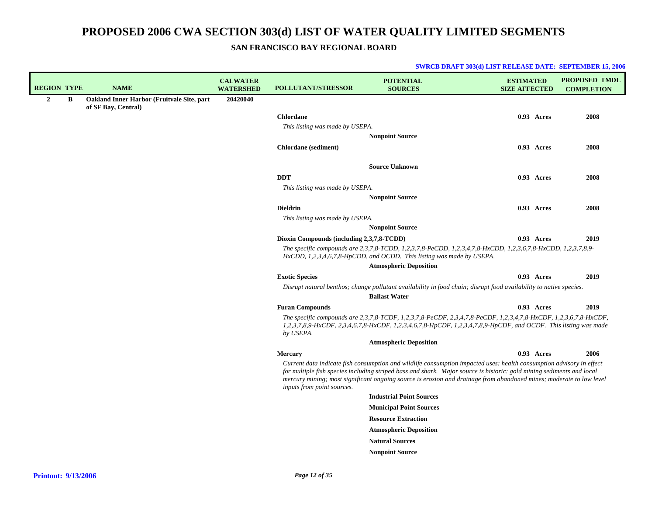**SAN FRANCISCO BAY REGIONAL BOARD**

| <b>REGION TYPE</b> |   | <b>NAME</b>                                | <b>CALWATER</b><br><b>WATERSHED</b> | <b>POLLUTANT/STRESSOR</b>                 | <b>POTENTIAL</b><br><b>SOURCES</b>                                                                                                                                                                                                                                                                                                                                   | <b>ESTIMATED</b><br><b>SIZE AFFECTED</b> |            | <b>PROPOSED TMDL</b><br><b>COMPLETION</b> |
|--------------------|---|--------------------------------------------|-------------------------------------|-------------------------------------------|----------------------------------------------------------------------------------------------------------------------------------------------------------------------------------------------------------------------------------------------------------------------------------------------------------------------------------------------------------------------|------------------------------------------|------------|-------------------------------------------|
| $\overline{2}$     | B | Oakland Inner Harbor (Fruitvale Site, part | 20420040                            |                                           |                                                                                                                                                                                                                                                                                                                                                                      |                                          |            |                                           |
|                    |   | of SF Bay, Central)                        |                                     | <b>Chlordane</b>                          |                                                                                                                                                                                                                                                                                                                                                                      |                                          | 0.93 Acres | 2008                                      |
|                    |   |                                            |                                     | This listing was made by USEPA.           |                                                                                                                                                                                                                                                                                                                                                                      |                                          |            |                                           |
|                    |   |                                            |                                     |                                           | <b>Nonpoint Source</b>                                                                                                                                                                                                                                                                                                                                               |                                          |            |                                           |
|                    |   |                                            |                                     | <b>Chlordane</b> (sediment)               |                                                                                                                                                                                                                                                                                                                                                                      |                                          | 0.93 Acres | 2008                                      |
|                    |   |                                            |                                     |                                           |                                                                                                                                                                                                                                                                                                                                                                      |                                          |            |                                           |
|                    |   |                                            |                                     |                                           | <b>Source Unknown</b>                                                                                                                                                                                                                                                                                                                                                |                                          |            |                                           |
|                    |   |                                            |                                     | <b>DDT</b>                                |                                                                                                                                                                                                                                                                                                                                                                      |                                          | 0.93 Acres | 2008                                      |
|                    |   |                                            |                                     | This listing was made by USEPA.           |                                                                                                                                                                                                                                                                                                                                                                      |                                          |            |                                           |
|                    |   |                                            |                                     |                                           | <b>Nonpoint Source</b>                                                                                                                                                                                                                                                                                                                                               |                                          |            |                                           |
|                    |   |                                            |                                     | <b>Dieldrin</b>                           |                                                                                                                                                                                                                                                                                                                                                                      |                                          | 0.93 Acres | 2008                                      |
|                    |   |                                            |                                     | This listing was made by USEPA.           |                                                                                                                                                                                                                                                                                                                                                                      |                                          |            |                                           |
|                    |   |                                            |                                     |                                           | <b>Nonpoint Source</b>                                                                                                                                                                                                                                                                                                                                               |                                          |            |                                           |
|                    |   |                                            |                                     | Dioxin Compounds (including 2,3,7,8-TCDD) |                                                                                                                                                                                                                                                                                                                                                                      |                                          | 0.93 Acres | 2019                                      |
|                    |   |                                            |                                     |                                           | The specific compounds are 2,3,7,8-TCDD, 1,2,3,7,8-PeCDD, 1,2,3,4,7,8-HxCDD, 1,2,3,6,7,8-HxCDD, 1,2,3,7,8,9-<br>$HxCDD$ , 1,2,3,4,6,7,8-HpCDD, and OCDD. This listing was made by USEPA.                                                                                                                                                                             |                                          |            |                                           |
|                    |   |                                            |                                     |                                           | <b>Atmospheric Deposition</b>                                                                                                                                                                                                                                                                                                                                        |                                          |            |                                           |
|                    |   |                                            |                                     | <b>Exotic Species</b>                     |                                                                                                                                                                                                                                                                                                                                                                      |                                          | 0.93 Acres | 2019                                      |
|                    |   |                                            |                                     |                                           | Disrupt natural benthos; change pollutant availability in food chain; disrupt food availability to native species.<br><b>Ballast Water</b>                                                                                                                                                                                                                           |                                          |            |                                           |
|                    |   |                                            |                                     | <b>Furan Compounds</b>                    |                                                                                                                                                                                                                                                                                                                                                                      |                                          | 0.93 Acres | 2019                                      |
|                    |   |                                            |                                     | by USEPA.                                 | The specific compounds are 2,3,7,8-TCDF, 1,2,3,7,8-PeCDF, 2,3,4,7,8-PeCDF, 1,2,3,4,7,8-HxCDF, 1,2,3,6,7,8-HxCDF,<br>1,2,3,7,8,9-HxCDF, 2,3,4,6,7,8-HxCDF, 1,2,3,4,6,7,8-HpCDF, 1,2,3,4,7,8,9-HpCDF, and OCDF. This listing was made                                                                                                                                  |                                          |            |                                           |
|                    |   |                                            |                                     |                                           | <b>Atmospheric Deposition</b>                                                                                                                                                                                                                                                                                                                                        |                                          |            |                                           |
|                    |   |                                            |                                     | <b>Mercury</b>                            |                                                                                                                                                                                                                                                                                                                                                                      |                                          | 0.93 Acres | 2006                                      |
|                    |   |                                            |                                     | inputs from point sources.                | Current data indicate fish consumption and wildlife consumption impacted uses: health consumption advisory in effect<br>for multiple fish species including striped bass and shark. Major source is historic: gold mining sediments and local<br>mercury mining; most significant ongoing source is erosion and drainage from abandoned mines; moderate to low level |                                          |            |                                           |
|                    |   |                                            |                                     |                                           | <b>Industrial Point Sources</b>                                                                                                                                                                                                                                                                                                                                      |                                          |            |                                           |
|                    |   |                                            |                                     |                                           | <b>Municipal Point Sources</b>                                                                                                                                                                                                                                                                                                                                       |                                          |            |                                           |
|                    |   |                                            |                                     |                                           | <b>Resource Extraction</b>                                                                                                                                                                                                                                                                                                                                           |                                          |            |                                           |
|                    |   |                                            |                                     |                                           | <b>Atmospheric Deposition</b>                                                                                                                                                                                                                                                                                                                                        |                                          |            |                                           |
|                    |   |                                            |                                     |                                           |                                                                                                                                                                                                                                                                                                                                                                      |                                          |            |                                           |
|                    |   |                                            |                                     |                                           | <b>Natural Sources</b>                                                                                                                                                                                                                                                                                                                                               |                                          |            |                                           |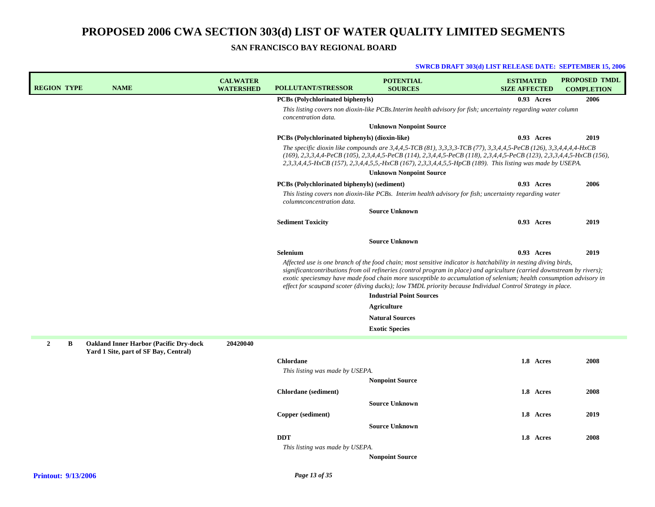**SAN FRANCISCO BAY REGIONAL BOARD**

| <b>REGION TYPE</b>  | <b>NAME</b>                                                                             | <b>CALWATER</b><br><b>WATERSHED</b> | <b>POLLUTANT/STRESSOR</b>                          | <b>POTENTIAL</b><br><b>SOURCES</b>                                                                                                                                                                                                                                                                                                                                                                                                                                                                                   | <b>ESTIMATED</b><br><b>SIZE AFFECTED</b> | <b>PROPOSED TMDL</b><br><b>COMPLETION</b> |
|---------------------|-----------------------------------------------------------------------------------------|-------------------------------------|----------------------------------------------------|----------------------------------------------------------------------------------------------------------------------------------------------------------------------------------------------------------------------------------------------------------------------------------------------------------------------------------------------------------------------------------------------------------------------------------------------------------------------------------------------------------------------|------------------------------------------|-------------------------------------------|
|                     |                                                                                         |                                     | <b>PCBs (Polychlorinated biphenyls)</b>            |                                                                                                                                                                                                                                                                                                                                                                                                                                                                                                                      | 0.93 Acres                               | 2006                                      |
|                     |                                                                                         |                                     | concentration data.                                | This listing covers non dioxin-like PCBs.Interim health advisory for fish; uncertainty regarding water column                                                                                                                                                                                                                                                                                                                                                                                                        |                                          |                                           |
|                     |                                                                                         |                                     |                                                    | <b>Unknown Nonpoint Source</b>                                                                                                                                                                                                                                                                                                                                                                                                                                                                                       |                                          |                                           |
|                     |                                                                                         |                                     | PCBs (Polychlorinated biphenyls) (dioxin-like)     |                                                                                                                                                                                                                                                                                                                                                                                                                                                                                                                      | 0.93 Acres                               | 2019                                      |
|                     |                                                                                         |                                     |                                                    | The specific dioxin like compounds are 3,4,4,5-TCB (81), 3,3,3,3-TCB (77), 3,3,4,4,5-PeCB (126), 3,3,4,4,4,4-HxCB<br>(169), 2,3,3,4,4-PeCB (105), 2,3,4,4,5-PeCB (114), 2,3,4,4,5-PeCB (118), 2,3,4,4,5-PeCB (123), 2,3,3,4,4,5-HxCB (156),<br>2,3,3,4,4,5-HxCB (157), 2,3,4,4,5,5,-HxCB (167), 2,3,3,4,4,5,5-HpCB (189). This listing was made by USEPA.                                                                                                                                                            |                                          |                                           |
|                     |                                                                                         |                                     |                                                    | <b>Unknown Nonpoint Source</b>                                                                                                                                                                                                                                                                                                                                                                                                                                                                                       |                                          |                                           |
|                     |                                                                                         |                                     | <b>PCBs</b> (Polychlorinated biphenyls) (sediment) |                                                                                                                                                                                                                                                                                                                                                                                                                                                                                                                      | 0.93 Acres                               | 2006                                      |
|                     |                                                                                         |                                     | columnconcentration data.                          | This listing covers non dioxin-like PCBs. Interim health advisory for fish; uncertainty regarding water                                                                                                                                                                                                                                                                                                                                                                                                              |                                          |                                           |
|                     |                                                                                         |                                     |                                                    | <b>Source Unknown</b>                                                                                                                                                                                                                                                                                                                                                                                                                                                                                                |                                          |                                           |
|                     |                                                                                         |                                     | <b>Sediment Toxicity</b>                           |                                                                                                                                                                                                                                                                                                                                                                                                                                                                                                                      | 0.93 Acres                               | 2019                                      |
|                     |                                                                                         |                                     |                                                    | <b>Source Unknown</b>                                                                                                                                                                                                                                                                                                                                                                                                                                                                                                |                                          |                                           |
|                     |                                                                                         |                                     | Selenium                                           |                                                                                                                                                                                                                                                                                                                                                                                                                                                                                                                      | 0.93 Acres                               | 2019                                      |
|                     |                                                                                         |                                     |                                                    | Affected use is one branch of the food chain; most sensitive indicator is hatchability in nesting diving birds,<br>significant contributions from oil refineries (control program in place) and agriculture (carried downstream by rivers);<br>exotic species may have made food chain more susceptible to accumulation of selenium; health consumption advisory in<br>effect for scaupand scoter (diving ducks); low TMDL priority because Individual Control Strategy in place.<br><b>Industrial Point Sources</b> |                                          |                                           |
|                     |                                                                                         |                                     |                                                    | Agriculture                                                                                                                                                                                                                                                                                                                                                                                                                                                                                                          |                                          |                                           |
|                     |                                                                                         |                                     |                                                    | <b>Natural Sources</b>                                                                                                                                                                                                                                                                                                                                                                                                                                                                                               |                                          |                                           |
|                     |                                                                                         |                                     |                                                    | <b>Exotic Species</b>                                                                                                                                                                                                                                                                                                                                                                                                                                                                                                |                                          |                                           |
| $\overline{2}$<br>В | <b>Oakland Inner Harbor (Pacific Dry-dock)</b><br>Yard 1 Site, part of SF Bay, Central) | 20420040                            |                                                    |                                                                                                                                                                                                                                                                                                                                                                                                                                                                                                                      |                                          |                                           |
|                     |                                                                                         |                                     | <b>Chlordane</b>                                   |                                                                                                                                                                                                                                                                                                                                                                                                                                                                                                                      | 1.8 Acres                                | 2008                                      |
|                     |                                                                                         |                                     | This listing was made by USEPA.                    |                                                                                                                                                                                                                                                                                                                                                                                                                                                                                                                      |                                          |                                           |
|                     |                                                                                         |                                     |                                                    | <b>Nonpoint Source</b>                                                                                                                                                                                                                                                                                                                                                                                                                                                                                               |                                          |                                           |
|                     |                                                                                         |                                     | <b>Chlordane</b> (sediment)                        |                                                                                                                                                                                                                                                                                                                                                                                                                                                                                                                      | 1.8 Acres                                | 2008                                      |
|                     |                                                                                         |                                     |                                                    | <b>Source Unknown</b>                                                                                                                                                                                                                                                                                                                                                                                                                                                                                                |                                          |                                           |
|                     |                                                                                         |                                     | Copper (sediment)                                  |                                                                                                                                                                                                                                                                                                                                                                                                                                                                                                                      | 1.8 Acres                                | 2019                                      |
|                     |                                                                                         |                                     |                                                    | <b>Source Unknown</b>                                                                                                                                                                                                                                                                                                                                                                                                                                                                                                |                                          |                                           |
|                     |                                                                                         |                                     | <b>DDT</b>                                         |                                                                                                                                                                                                                                                                                                                                                                                                                                                                                                                      | 1.8 Acres                                | 2008                                      |
|                     |                                                                                         |                                     | This listing was made by USEPA.                    |                                                                                                                                                                                                                                                                                                                                                                                                                                                                                                                      |                                          |                                           |
|                     |                                                                                         |                                     |                                                    | <b>Nonpoint Source</b>                                                                                                                                                                                                                                                                                                                                                                                                                                                                                               |                                          |                                           |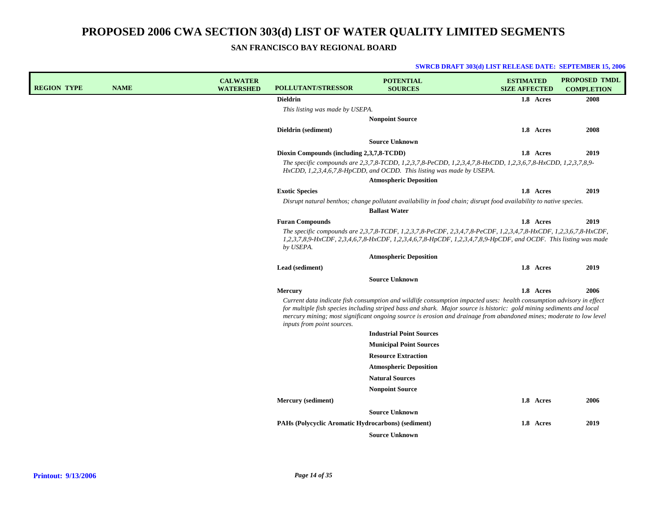**SAN FRANCISCO BAY REGIONAL BOARD**

| <b>REGION TYPE</b> | <b>NAME</b> | <b>CALWATER</b><br><b>WATERSHED</b> | <b>POLLUTANT/STRESSOR</b>                          | <b>POTENTIAL</b><br><b>SOURCES</b>                                                                                                                                                                                                                                                                                                                                   | <b>ESTIMATED</b><br><b>SIZE AFFECTED</b> | <b>PROPOSED TMDL</b><br><b>COMPLETION</b> |
|--------------------|-------------|-------------------------------------|----------------------------------------------------|----------------------------------------------------------------------------------------------------------------------------------------------------------------------------------------------------------------------------------------------------------------------------------------------------------------------------------------------------------------------|------------------------------------------|-------------------------------------------|
|                    |             |                                     | <b>Dieldrin</b>                                    |                                                                                                                                                                                                                                                                                                                                                                      | 1.8 Acres                                | 2008                                      |
|                    |             |                                     | This listing was made by USEPA.                    |                                                                                                                                                                                                                                                                                                                                                                      |                                          |                                           |
|                    |             |                                     |                                                    | <b>Nonpoint Source</b>                                                                                                                                                                                                                                                                                                                                               |                                          |                                           |
|                    |             |                                     | Dieldrin (sediment)                                |                                                                                                                                                                                                                                                                                                                                                                      | 1.8 Acres                                | 2008                                      |
|                    |             |                                     |                                                    | <b>Source Unknown</b>                                                                                                                                                                                                                                                                                                                                                |                                          |                                           |
|                    |             |                                     | Dioxin Compounds (including 2,3,7,8-TCDD)          |                                                                                                                                                                                                                                                                                                                                                                      | 1.8 Acres                                | 2019                                      |
|                    |             |                                     |                                                    | The specific compounds are 2,3,7,8-TCDD, 1,2,3,7,8-PeCDD, 1,2,3,4,7,8-HxCDD, 1,2,3,6,7,8-HxCDD, 1,2,3,7,8,9-<br>HxCDD, 1,2,3,4,6,7,8-HpCDD, and OCDD. This listing was made by USEPA.                                                                                                                                                                                |                                          |                                           |
|                    |             |                                     |                                                    | <b>Atmospheric Deposition</b>                                                                                                                                                                                                                                                                                                                                        |                                          |                                           |
|                    |             |                                     | <b>Exotic Species</b>                              |                                                                                                                                                                                                                                                                                                                                                                      | 1.8 Acres                                | 2019                                      |
|                    |             |                                     |                                                    | Disrupt natural benthos; change pollutant availability in food chain; disrupt food availability to native species.<br><b>Ballast Water</b>                                                                                                                                                                                                                           |                                          |                                           |
|                    |             |                                     | <b>Furan Compounds</b>                             |                                                                                                                                                                                                                                                                                                                                                                      | 1.8 Acres                                | 2019                                      |
|                    |             |                                     | by USEPA.                                          | The specific compounds are 2,3,7,8-TCDF, 1,2,3,7,8-PeCDF, 2,3,4,7,8-PeCDF, 1,2,3,4,7,8-HxCDF, 1,2,3,6,7,8-HxCDF,<br>1,2,3,7,8,9-HxCDF, 2,3,4,6,7,8-HxCDF, 1,2,3,4,6,7,8-HpCDF, 1,2,3,4,7,8,9-HpCDF, and OCDF. This listing was made                                                                                                                                  |                                          |                                           |
|                    |             |                                     |                                                    | <b>Atmospheric Deposition</b>                                                                                                                                                                                                                                                                                                                                        |                                          |                                           |
|                    |             |                                     | Lead (sediment)                                    |                                                                                                                                                                                                                                                                                                                                                                      | 1.8 Acres                                | 2019                                      |
|                    |             |                                     |                                                    | <b>Source Unknown</b>                                                                                                                                                                                                                                                                                                                                                |                                          |                                           |
|                    |             |                                     | Mercury                                            |                                                                                                                                                                                                                                                                                                                                                                      | 1.8 Acres                                | 2006                                      |
|                    |             |                                     | inputs from point sources.                         | Current data indicate fish consumption and wildlife consumption impacted uses: health consumption advisory in effect<br>for multiple fish species including striped bass and shark. Major source is historic: gold mining sediments and local<br>mercury mining; most significant ongoing source is erosion and drainage from abandoned mines; moderate to low level |                                          |                                           |
|                    |             |                                     |                                                    | <b>Industrial Point Sources</b>                                                                                                                                                                                                                                                                                                                                      |                                          |                                           |
|                    |             |                                     |                                                    | <b>Municipal Point Sources</b>                                                                                                                                                                                                                                                                                                                                       |                                          |                                           |
|                    |             |                                     |                                                    | <b>Resource Extraction</b>                                                                                                                                                                                                                                                                                                                                           |                                          |                                           |
|                    |             |                                     |                                                    | <b>Atmospheric Deposition</b>                                                                                                                                                                                                                                                                                                                                        |                                          |                                           |
|                    |             |                                     |                                                    | <b>Natural Sources</b>                                                                                                                                                                                                                                                                                                                                               |                                          |                                           |
|                    |             |                                     |                                                    | <b>Nonpoint Source</b>                                                                                                                                                                                                                                                                                                                                               |                                          |                                           |
|                    |             |                                     | Mercury (sediment)                                 |                                                                                                                                                                                                                                                                                                                                                                      | 1.8 Acres                                | 2006                                      |
|                    |             |                                     |                                                    | <b>Source Unknown</b>                                                                                                                                                                                                                                                                                                                                                |                                          |                                           |
|                    |             |                                     | PAHs (Polycyclic Aromatic Hydrocarbons) (sediment) |                                                                                                                                                                                                                                                                                                                                                                      | 1.8 Acres                                | 2019                                      |
|                    |             |                                     |                                                    | <b>Source Unknown</b>                                                                                                                                                                                                                                                                                                                                                |                                          |                                           |
|                    |             |                                     |                                                    |                                                                                                                                                                                                                                                                                                                                                                      |                                          |                                           |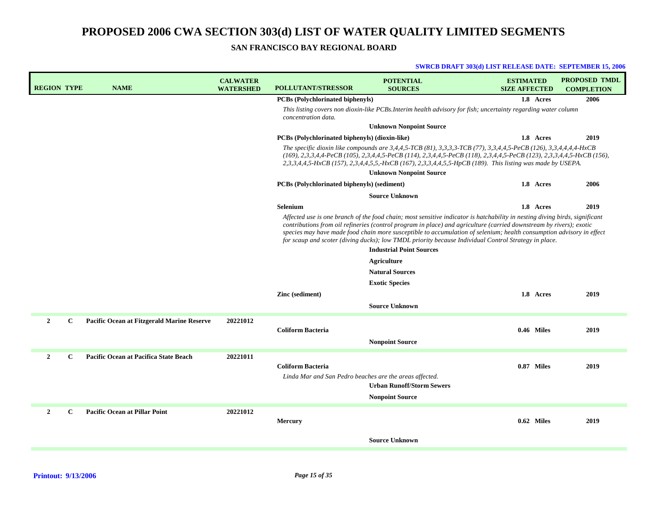**SAN FRANCISCO BAY REGIONAL BOARD**

| <b>REGION TYPE</b> |              | <b>NAME</b>                                       | <b>CALWATER</b><br><b>WATERSHED</b> | <b>POLLUTANT/STRESSOR</b>                                                           | <b>POTENTIAL</b><br><b>SOURCES</b>                                                                                                                                                                                                                                                                                                                                                                                                                                                                                                                                                                               | <b>ESTIMATED</b><br><b>SIZE AFFECTED</b> |            | <b>PROPOSED TMDL</b><br><b>COMPLETION</b> |
|--------------------|--------------|---------------------------------------------------|-------------------------------------|-------------------------------------------------------------------------------------|------------------------------------------------------------------------------------------------------------------------------------------------------------------------------------------------------------------------------------------------------------------------------------------------------------------------------------------------------------------------------------------------------------------------------------------------------------------------------------------------------------------------------------------------------------------------------------------------------------------|------------------------------------------|------------|-------------------------------------------|
|                    |              |                                                   |                                     | <b>PCBs</b> (Polychlorinated biphenyls)                                             |                                                                                                                                                                                                                                                                                                                                                                                                                                                                                                                                                                                                                  |                                          | 1.8 Acres  | 2006                                      |
|                    |              |                                                   |                                     | concentration data.                                                                 | This listing covers non dioxin-like PCBs. Interim health advisory for fish; uncertainty regarding water column                                                                                                                                                                                                                                                                                                                                                                                                                                                                                                   |                                          |            |                                           |
|                    |              |                                                   |                                     |                                                                                     | <b>Unknown Nonpoint Source</b>                                                                                                                                                                                                                                                                                                                                                                                                                                                                                                                                                                                   |                                          |            |                                           |
|                    |              |                                                   |                                     | <b>PCBs</b> (Polychlorinated biphenyls) (dioxin-like)                               |                                                                                                                                                                                                                                                                                                                                                                                                                                                                                                                                                                                                                  |                                          | 1.8 Acres  | 2019                                      |
|                    |              |                                                   |                                     |                                                                                     | The specific dioxin like compounds are 3,4,4,5-TCB (81), 3,3,3,3-TCB (77), 3,3,4,4,5-PeCB (126), 3,3,4,4,4,4-HxCB<br>(169), 2,3,3,4,4-PeCB (105), 2,3,4,4,5-PeCB (114), 2,3,4,4,5-PeCB (118), 2,3,4,4,5-PeCB (123), 2,3,3,4,4,5-HxCB (156),<br>2,3,3,4,4,5-HxCB (157), 2,3,4,4,5,5,-HxCB (167), 2,3,3,4,4,5,5-HpCB (189). This listing was made by USEPA.<br><b>Unknown Nonpoint Source</b>                                                                                                                                                                                                                      |                                          |            |                                           |
|                    |              |                                                   |                                     | <b>PCBs</b> (Polychlorinated biphenyls) (sediment)                                  |                                                                                                                                                                                                                                                                                                                                                                                                                                                                                                                                                                                                                  |                                          | 1.8 Acres  | 2006                                      |
|                    |              |                                                   |                                     |                                                                                     | <b>Source Unknown</b>                                                                                                                                                                                                                                                                                                                                                                                                                                                                                                                                                                                            |                                          |            |                                           |
|                    |              |                                                   |                                     | Selenium                                                                            |                                                                                                                                                                                                                                                                                                                                                                                                                                                                                                                                                                                                                  |                                          | 1.8 Acres  | 2019                                      |
|                    |              |                                                   |                                     | Zinc (sediment)                                                                     | Affected use is one branch of the food chain; most sensitive indicator is hatchability in nesting diving birds, significant<br>contributions from oil refineries (control program in place) and agriculture (carried downstream by rivers); exotic<br>species may have made food chain more susceptible to accumulation of selenium; health consumption advisory in effect<br>for scaup and scoter (diving ducks); low TMDL priority because Individual Control Strategy in place.<br><b>Industrial Point Sources</b><br>Agriculture<br><b>Natural Sources</b><br><b>Exotic Species</b><br><b>Source Unknown</b> |                                          | 1.8 Acres  | 2019                                      |
| $\mathbf{2}$       | $\mathbf{C}$ | <b>Pacific Ocean at Fitzgerald Marine Reserve</b> | 20221012                            | <b>Coliform Bacteria</b>                                                            | <b>Nonpoint Source</b>                                                                                                                                                                                                                                                                                                                                                                                                                                                                                                                                                                                           |                                          | 0.46 Miles | 2019                                      |
| $\overline{2}$     | $\mathbf{C}$ | Pacific Ocean at Pacifica State Beach             | 20221011                            | <b>Coliform Bacteria</b><br>Linda Mar and San Pedro beaches are the areas affected. | <b>Urban Runoff/Storm Sewers</b><br><b>Nonpoint Source</b>                                                                                                                                                                                                                                                                                                                                                                                                                                                                                                                                                       |                                          | 0.87 Miles | 2019                                      |
| $\mathbf{2}$       | $\mathbf{C}$ | <b>Pacific Ocean at Pillar Point</b>              | 20221012                            | <b>Mercury</b>                                                                      |                                                                                                                                                                                                                                                                                                                                                                                                                                                                                                                                                                                                                  |                                          | 0.62 Miles | 2019                                      |
|                    |              |                                                   |                                     |                                                                                     | <b>Source Unknown</b>                                                                                                                                                                                                                                                                                                                                                                                                                                                                                                                                                                                            |                                          |            |                                           |
|                    |              |                                                   |                                     |                                                                                     |                                                                                                                                                                                                                                                                                                                                                                                                                                                                                                                                                                                                                  |                                          |            |                                           |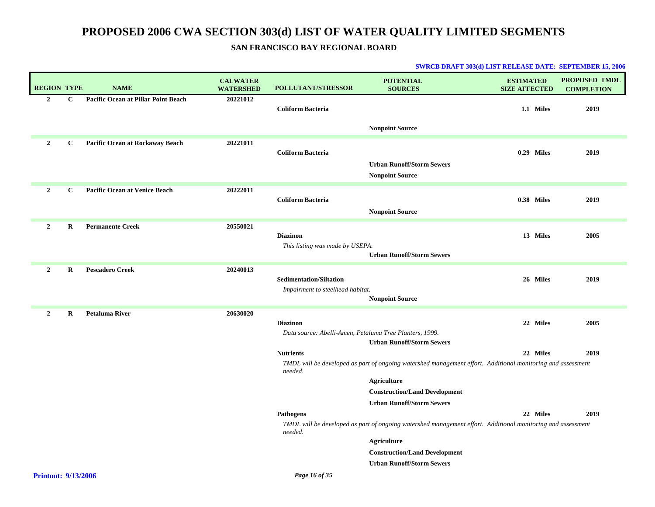| <b>REGION TYPE</b>         |              | <b>NAME</b>                         | <b>CALWATER</b><br><b>WATERSHED</b> | <b>POLLUTANT/STRESSOR</b>                               | <b>POTENTIAL</b><br><b>SOURCES</b>                                                                          | <b>ESTIMATED</b><br><b>SIZE AFFECTED</b> | <b>PROPOSED TMDL</b><br><b>COMPLETION</b> |
|----------------------------|--------------|-------------------------------------|-------------------------------------|---------------------------------------------------------|-------------------------------------------------------------------------------------------------------------|------------------------------------------|-------------------------------------------|
| $\overline{2}$             | $\mathbf{C}$ | Pacific Ocean at Pillar Point Beach | 20221012                            | <b>Coliform Bacteria</b>                                |                                                                                                             | 1.1 Miles                                | 2019                                      |
|                            |              |                                     |                                     |                                                         | <b>Nonpoint Source</b>                                                                                      |                                          |                                           |
| $\overline{2}$             | $\mathbf{C}$ | Pacific Ocean at Rockaway Beach     | 20221011                            | <b>Coliform Bacteria</b>                                |                                                                                                             | 0.29 Miles                               | 2019                                      |
|                            |              |                                     |                                     |                                                         | <b>Urban Runoff/Storm Sewers</b><br><b>Nonpoint Source</b>                                                  |                                          |                                           |
| $\overline{2}$             | $\mathbf C$  | Pacific Ocean at Venice Beach       | 20222011                            | <b>Coliform Bacteria</b>                                |                                                                                                             | 0.38 Miles                               | 2019                                      |
|                            |              |                                     |                                     |                                                         | <b>Nonpoint Source</b>                                                                                      |                                          |                                           |
| $\overline{2}$             | R            | <b>Permanente Creek</b>             | 20550021                            | <b>Diazinon</b>                                         |                                                                                                             | 13 Miles                                 | 2005                                      |
|                            |              |                                     |                                     | This listing was made by USEPA.                         | <b>Urban Runoff/Storm Sewers</b>                                                                            |                                          |                                           |
| $\overline{2}$             | R            | <b>Pescadero Creek</b>              | 20240013                            | <b>Sedimentation/Siltation</b>                          |                                                                                                             | 26 Miles                                 | 2019                                      |
|                            |              |                                     |                                     | Impairment to steelhead habitat.                        | <b>Nonpoint Source</b>                                                                                      |                                          |                                           |
| $\overline{2}$             | $\bf{R}$     | <b>Petaluma River</b>               | 20630020                            |                                                         |                                                                                                             |                                          |                                           |
|                            |              |                                     |                                     | <b>Diazinon</b>                                         |                                                                                                             | 22 Miles                                 | 2005                                      |
|                            |              |                                     |                                     | Data source: Abelli-Amen, Petaluma Tree Planters, 1999. | <b>Urban Runoff/Storm Sewers</b>                                                                            |                                          |                                           |
|                            |              |                                     |                                     | <b>Nutrients</b>                                        |                                                                                                             | 22 Miles                                 | 2019                                      |
|                            |              |                                     |                                     | needed.                                                 | TMDL will be developed as part of ongoing watershed management effort. Additional monitoring and assessment |                                          |                                           |
|                            |              |                                     |                                     |                                                         | <b>Agriculture</b>                                                                                          |                                          |                                           |
|                            |              |                                     |                                     |                                                         | <b>Construction/Land Development</b><br><b>Urban Runoff/Storm Sewers</b>                                    |                                          |                                           |
|                            |              |                                     |                                     | Pathogens                                               |                                                                                                             | 22 Miles                                 | 2019                                      |
|                            |              |                                     |                                     | needed.                                                 | TMDL will be developed as part of ongoing watershed management effort. Additional monitoring and assessment |                                          |                                           |
|                            |              |                                     |                                     |                                                         | <b>Agriculture</b>                                                                                          |                                          |                                           |
|                            |              |                                     |                                     |                                                         | <b>Construction/Land Development</b><br><b>Urban Runoff/Storm Sewers</b>                                    |                                          |                                           |
| <b>Printout: 9/13/2006</b> |              |                                     |                                     | Page 16 of 35                                           |                                                                                                             |                                          |                                           |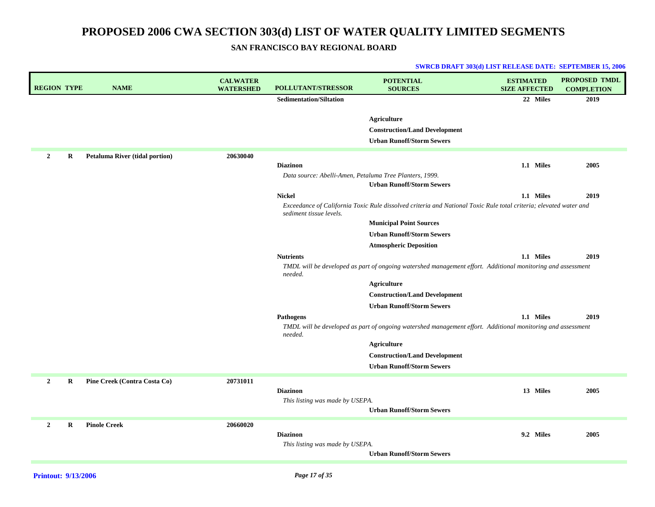## **SAN FRANCISCO BAY REGIONAL BOARD**

| <b>REGION TYPE</b>  | <b>NAME</b>                           | <b>CALWATER</b><br><b>WATERSHED</b> | POLLUTANT/STRESSOR                                      | <b>POTENTIAL</b><br><b>SOURCES</b>                                                                                | <b>ESTIMATED</b><br><b>SIZE AFFECTED</b> | PROPOSED TMDL<br><b>COMPLETION</b> |
|---------------------|---------------------------------------|-------------------------------------|---------------------------------------------------------|-------------------------------------------------------------------------------------------------------------------|------------------------------------------|------------------------------------|
|                     |                                       |                                     | <b>Sedimentation/Siltation</b>                          |                                                                                                                   | 22 Miles                                 | 2019                               |
|                     |                                       |                                     |                                                         |                                                                                                                   |                                          |                                    |
|                     |                                       |                                     |                                                         | <b>Agriculture</b>                                                                                                |                                          |                                    |
|                     |                                       |                                     |                                                         | <b>Construction/Land Development</b>                                                                              |                                          |                                    |
|                     |                                       |                                     |                                                         | <b>Urban Runoff/Storm Sewers</b>                                                                                  |                                          |                                    |
| $\overline{2}$<br>R | <b>Petaluma River (tidal portion)</b> | 20630040                            |                                                         |                                                                                                                   |                                          |                                    |
|                     |                                       |                                     | <b>Diazinon</b>                                         |                                                                                                                   | 1.1 Miles                                | 2005                               |
|                     |                                       |                                     | Data source: Abelli-Amen, Petaluma Tree Planters, 1999. | <b>Urban Runoff/Storm Sewers</b>                                                                                  |                                          |                                    |
|                     |                                       |                                     | <b>Nickel</b>                                           |                                                                                                                   | 1.1 Miles                                | 2019                               |
|                     |                                       |                                     | sediment tissue levels.                                 | Exceedance of California Toxic Rule dissolved criteria and National Toxic Rule total criteria; elevated water and |                                          |                                    |
|                     |                                       |                                     |                                                         | <b>Municipal Point Sources</b>                                                                                    |                                          |                                    |
|                     |                                       |                                     |                                                         | <b>Urban Runoff/Storm Sewers</b>                                                                                  |                                          |                                    |
|                     |                                       |                                     |                                                         | <b>Atmospheric Deposition</b>                                                                                     |                                          |                                    |
|                     |                                       |                                     | <b>Nutrients</b>                                        |                                                                                                                   | 1.1 Miles                                | 2019                               |
|                     |                                       |                                     | needed.                                                 | TMDL will be developed as part of ongoing watershed management effort. Additional monitoring and assessment       |                                          |                                    |
|                     |                                       |                                     |                                                         | Agriculture                                                                                                       |                                          |                                    |
|                     |                                       |                                     |                                                         | <b>Construction/Land Development</b>                                                                              |                                          |                                    |
|                     |                                       |                                     |                                                         | <b>Urban Runoff/Storm Sewers</b>                                                                                  |                                          |                                    |
|                     |                                       |                                     | <b>Pathogens</b>                                        |                                                                                                                   | 1.1 Miles                                | 2019                               |
|                     |                                       |                                     | needed.                                                 | TMDL will be developed as part of ongoing watershed management effort. Additional monitoring and assessment       |                                          |                                    |
|                     |                                       |                                     |                                                         | Agriculture                                                                                                       |                                          |                                    |
|                     |                                       |                                     |                                                         | <b>Construction/Land Development</b>                                                                              |                                          |                                    |
|                     |                                       |                                     |                                                         | <b>Urban Runoff/Storm Sewers</b>                                                                                  |                                          |                                    |
| $\overline{2}$<br>R | Pine Creek (Contra Costa Co)          | 20731011                            |                                                         |                                                                                                                   |                                          |                                    |
|                     |                                       |                                     | <b>Diazinon</b>                                         |                                                                                                                   | 13 Miles                                 | 2005                               |
|                     |                                       |                                     | This listing was made by USEPA.                         |                                                                                                                   |                                          |                                    |
|                     |                                       |                                     |                                                         | <b>Urban Runoff/Storm Sewers</b>                                                                                  |                                          |                                    |
| $\overline{2}$<br>R | <b>Pinole Creek</b>                   | 20660020                            |                                                         |                                                                                                                   |                                          |                                    |
|                     |                                       |                                     | <b>Diazinon</b>                                         |                                                                                                                   | 9.2 Miles                                | 2005                               |
|                     |                                       |                                     | This listing was made by USEPA.                         |                                                                                                                   |                                          |                                    |
|                     |                                       |                                     |                                                         | <b>Urban Runoff/Storm Sewers</b>                                                                                  |                                          |                                    |
|                     |                                       |                                     |                                                         |                                                                                                                   |                                          |                                    |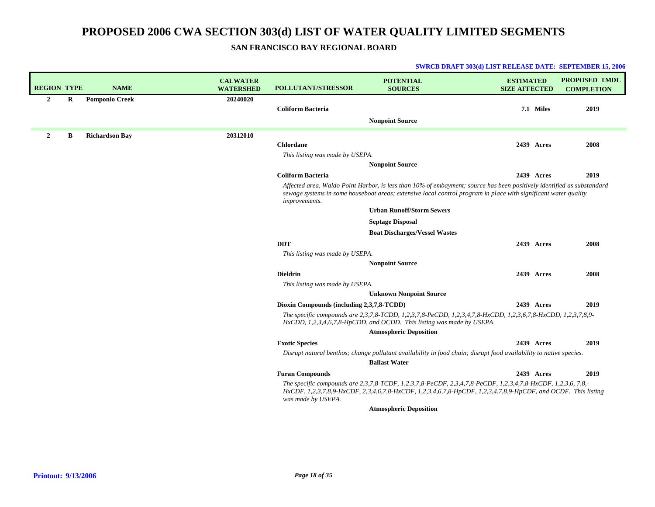**SWRCB DRAFT 303(d) LIST RELEASE DATE: SEPTEMBER 15, 2006**

**SAN FRANCISCO BAY REGIONAL BOARD**

| <b>REGION TYPE</b> |   | <b>NAME</b>           | <b>CALWATER</b><br><b>WATERSHED</b> | <b>POLLUTANT/STRESSOR</b>                 | <b>POTENTIAL</b><br><b>SOURCES</b>                                                                                                                                                                                                        | <b>ESTIMATED</b><br><b>SIZE AFFECTED</b> |            | <b>PROPOSED TMDL</b><br><b>COMPLETION</b> |
|--------------------|---|-----------------------|-------------------------------------|-------------------------------------------|-------------------------------------------------------------------------------------------------------------------------------------------------------------------------------------------------------------------------------------------|------------------------------------------|------------|-------------------------------------------|
| $\mathbf{2}$       | R | <b>Pomponio Creek</b> | 20240020                            | <b>Coliform Bacteria</b>                  |                                                                                                                                                                                                                                           |                                          | 7.1 Miles  | 2019                                      |
|                    |   |                       |                                     |                                           | <b>Nonpoint Source</b>                                                                                                                                                                                                                    |                                          |            |                                           |
| $\overline{2}$     | B | <b>Richardson Bay</b> | 20312010                            |                                           |                                                                                                                                                                                                                                           |                                          |            |                                           |
|                    |   |                       |                                     | <b>Chlordane</b>                          |                                                                                                                                                                                                                                           |                                          | 2439 Acres | 2008                                      |
|                    |   |                       |                                     | This listing was made by USEPA.           |                                                                                                                                                                                                                                           |                                          |            |                                           |
|                    |   |                       |                                     |                                           | <b>Nonpoint Source</b>                                                                                                                                                                                                                    |                                          |            |                                           |
|                    |   |                       |                                     | <b>Coliform Bacteria</b>                  |                                                                                                                                                                                                                                           |                                          | 2439 Acres | 2019                                      |
|                    |   |                       |                                     | improvements.                             | Affected area, Waldo Point Harbor, is less than 10% of embayment; source has been positively identified as substandard<br>sewage systems in some houseboat areas; extensive local control program in place with significant water quality |                                          |            |                                           |
|                    |   |                       |                                     |                                           | <b>Urban Runoff/Storm Sewers</b>                                                                                                                                                                                                          |                                          |            |                                           |
|                    |   |                       |                                     |                                           | <b>Septage Disposal</b>                                                                                                                                                                                                                   |                                          |            |                                           |
|                    |   |                       |                                     |                                           | <b>Boat Discharges/Vessel Wastes</b>                                                                                                                                                                                                      |                                          |            |                                           |
|                    |   |                       |                                     | <b>DDT</b>                                |                                                                                                                                                                                                                                           |                                          | 2439 Acres | 2008                                      |
|                    |   |                       |                                     | This listing was made by USEPA.           |                                                                                                                                                                                                                                           |                                          |            |                                           |
|                    |   |                       |                                     |                                           | <b>Nonpoint Source</b>                                                                                                                                                                                                                    |                                          |            |                                           |
|                    |   |                       |                                     | <b>Dieldrin</b>                           |                                                                                                                                                                                                                                           |                                          | 2439 Acres | 2008                                      |
|                    |   |                       |                                     | This listing was made by USEPA.           |                                                                                                                                                                                                                                           |                                          |            |                                           |
|                    |   |                       |                                     |                                           | <b>Unknown Nonpoint Source</b>                                                                                                                                                                                                            |                                          |            |                                           |
|                    |   |                       |                                     | Dioxin Compounds (including 2,3,7,8-TCDD) |                                                                                                                                                                                                                                           |                                          | 2439 Acres | 2019                                      |
|                    |   |                       |                                     |                                           | The specific compounds are 2,3,7,8-TCDD, 1,2,3,7,8-PeCDD, 1,2,3,4,7,8-HxCDD, 1,2,3,6,7,8-HxCDD, 1,2,3,7,8,9-<br>HxCDD, 1,2,3,4,6,7,8-HpCDD, and OCDD. This listing was made by USEPA.                                                     |                                          |            |                                           |
|                    |   |                       |                                     |                                           | <b>Atmospheric Deposition</b>                                                                                                                                                                                                             |                                          |            |                                           |
|                    |   |                       |                                     | <b>Exotic Species</b>                     |                                                                                                                                                                                                                                           |                                          | 2439 Acres | 2019                                      |
|                    |   |                       |                                     |                                           | Disrupt natural benthos; change pollutant availability in food chain; disrupt food availability to native species.                                                                                                                        |                                          |            |                                           |
|                    |   |                       |                                     |                                           | <b>Ballast Water</b>                                                                                                                                                                                                                      |                                          |            |                                           |
|                    |   |                       |                                     | <b>Furan Compounds</b>                    |                                                                                                                                                                                                                                           |                                          | 2439 Acres | 2019                                      |
|                    |   |                       |                                     | was made by USEPA.                        | The specific compounds are 2,3,7,8-TCDF, 1,2,3,7,8-PeCDF, 2,3,4,7,8-PeCDF, 1,2,3,4,7,8-HxCDF, 1,2,3,6, 7,8,-<br>HxCDF, 1,2,3,7,8,9-HxCDF, 2,3,4,6,7,8-HxCDF, 1,2,3,4,6,7,8-HpCDF, 1,2,3,4,7,8,9-HpCDF, and OCDF. This listing             |                                          |            |                                           |
|                    |   |                       |                                     |                                           | <b>Atmospheric Deposition</b>                                                                                                                                                                                                             |                                          |            |                                           |

## **Printout: 9/13/2006**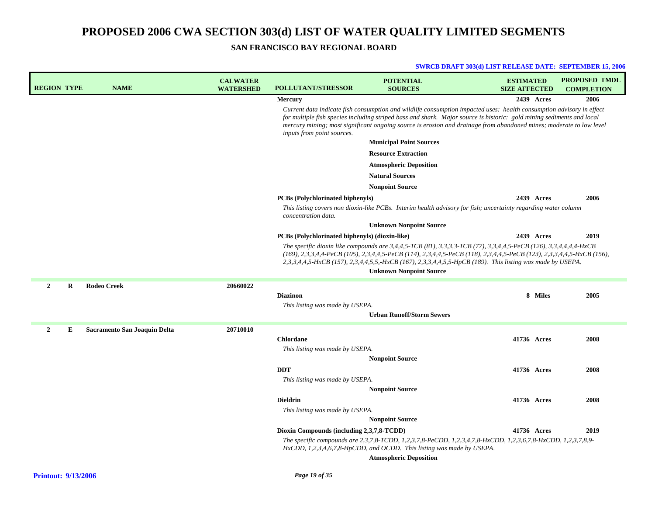| <b>REGION TYPE</b> |   | <b>NAME</b>                         | <b>CALWATER</b><br><b>WATERSHED</b> | <b>POLLUTANT/STRESSOR</b>                      | <b>POTENTIAL</b><br><b>SOURCES</b>                                                                                                                                                                                                                                                                                                                                   | <b>ESTIMATED</b><br><b>SIZE AFFECTED</b> |            | <b>PROPOSED TMDL</b><br><b>COMPLETION</b> |
|--------------------|---|-------------------------------------|-------------------------------------|------------------------------------------------|----------------------------------------------------------------------------------------------------------------------------------------------------------------------------------------------------------------------------------------------------------------------------------------------------------------------------------------------------------------------|------------------------------------------|------------|-------------------------------------------|
|                    |   |                                     |                                     | <b>Mercury</b>                                 |                                                                                                                                                                                                                                                                                                                                                                      |                                          | 2439 Acres | 2006                                      |
|                    |   |                                     |                                     | inputs from point sources.                     | Current data indicate fish consumption and wildlife consumption impacted uses: health consumption advisory in effect<br>for multiple fish species including striped bass and shark. Major source is historic: gold mining sediments and local<br>mercury mining; most significant ongoing source is erosion and drainage from abandoned mines; moderate to low level |                                          |            |                                           |
|                    |   |                                     |                                     |                                                | <b>Municipal Point Sources</b>                                                                                                                                                                                                                                                                                                                                       |                                          |            |                                           |
|                    |   |                                     |                                     |                                                | <b>Resource Extraction</b>                                                                                                                                                                                                                                                                                                                                           |                                          |            |                                           |
|                    |   |                                     |                                     |                                                | <b>Atmospheric Deposition</b>                                                                                                                                                                                                                                                                                                                                        |                                          |            |                                           |
|                    |   |                                     |                                     |                                                | <b>Natural Sources</b>                                                                                                                                                                                                                                                                                                                                               |                                          |            |                                           |
|                    |   |                                     |                                     |                                                | <b>Nonpoint Source</b>                                                                                                                                                                                                                                                                                                                                               |                                          |            |                                           |
|                    |   |                                     |                                     | <b>PCBs</b> (Polychlorinated biphenyls)        |                                                                                                                                                                                                                                                                                                                                                                      |                                          | 2439 Acres | 2006                                      |
|                    |   |                                     |                                     | concentration data.                            | This listing covers non dioxin-like PCBs. Interim health advisory for fish; uncertainty regarding water column                                                                                                                                                                                                                                                       |                                          |            |                                           |
|                    |   |                                     |                                     |                                                | <b>Unknown Nonpoint Source</b>                                                                                                                                                                                                                                                                                                                                       |                                          |            |                                           |
|                    |   |                                     |                                     | PCBs (Polychlorinated biphenyls) (dioxin-like) |                                                                                                                                                                                                                                                                                                                                                                      |                                          | 2439 Acres | 2019                                      |
|                    |   |                                     |                                     |                                                | The specific dioxin like compounds are 3,4,4,5-TCB (81), 3,3,3,3-TCB (77), 3,3,4,4,5-PeCB (126), 3,3,4,4,4,4-HxCB<br>(169), 2,3,3,4,4-PeCB (105), 2,3,4,4,5-PeCB (114), 2,3,4,4,5-PeCB (118), 2,3,4,4,5-PeCB (123), 2,3,3,4,4,5-HxCB (156),<br>2,3,3,4,4,5-HxCB (157), 2,3,4,4,5,5,-HxCB (167), 2,3,3,4,4,5,5-HpCB (189). This listing was made by USEPA.            |                                          |            |                                           |
|                    |   |                                     |                                     |                                                | <b>Unknown Nonpoint Source</b>                                                                                                                                                                                                                                                                                                                                       |                                          |            |                                           |
| $\overline{2}$     | R | <b>Rodeo Creek</b>                  | 20660022                            |                                                |                                                                                                                                                                                                                                                                                                                                                                      |                                          |            |                                           |
|                    |   |                                     |                                     | <b>Diazinon</b>                                |                                                                                                                                                                                                                                                                                                                                                                      |                                          | 8 Miles    | 2005                                      |
|                    |   |                                     |                                     | This listing was made by USEPA.                |                                                                                                                                                                                                                                                                                                                                                                      |                                          |            |                                           |
|                    |   |                                     |                                     |                                                | <b>Urban Runoff/Storm Sewers</b>                                                                                                                                                                                                                                                                                                                                     |                                          |            |                                           |
| $\mathbf{2}$       | E | <b>Sacramento San Joaquin Delta</b> | 20710010                            |                                                |                                                                                                                                                                                                                                                                                                                                                                      |                                          |            |                                           |
|                    |   |                                     |                                     | <b>Chlordane</b>                               |                                                                                                                                                                                                                                                                                                                                                                      | 41736 Acres                              |            | 2008                                      |
|                    |   |                                     |                                     | This listing was made by USEPA.                |                                                                                                                                                                                                                                                                                                                                                                      |                                          |            |                                           |
|                    |   |                                     |                                     |                                                | <b>Nonpoint Source</b>                                                                                                                                                                                                                                                                                                                                               |                                          |            |                                           |
|                    |   |                                     |                                     | <b>DDT</b>                                     |                                                                                                                                                                                                                                                                                                                                                                      | 41736 Acres                              |            | 2008                                      |
|                    |   |                                     |                                     | This listing was made by USEPA.                | <b>Nonpoint Source</b>                                                                                                                                                                                                                                                                                                                                               |                                          |            |                                           |
|                    |   |                                     |                                     | <b>Dieldrin</b>                                |                                                                                                                                                                                                                                                                                                                                                                      | 41736 Acres                              |            | 2008                                      |
|                    |   |                                     |                                     | This listing was made by USEPA.                |                                                                                                                                                                                                                                                                                                                                                                      |                                          |            |                                           |
|                    |   |                                     |                                     |                                                | <b>Nonpoint Source</b>                                                                                                                                                                                                                                                                                                                                               |                                          |            |                                           |
|                    |   |                                     |                                     | Dioxin Compounds (including 2,3,7,8-TCDD)      |                                                                                                                                                                                                                                                                                                                                                                      | 41736 Acres                              |            | 2019                                      |
|                    |   |                                     |                                     |                                                | The specific compounds are 2,3,7,8-TCDD, 1,2,3,7,8-PeCDD, 1,2,3,4,7,8-HxCDD, 1,2,3,6,7,8-HxCDD, 1,2,3,7,8,9-<br>$HxCDD$ , 1,2,3,4,6,7,8-HpCDD, and OCDD. This listing was made by USEPA.                                                                                                                                                                             |                                          |            |                                           |
|                    |   |                                     |                                     |                                                | <b>Atmospheric Deposition</b>                                                                                                                                                                                                                                                                                                                                        |                                          |            |                                           |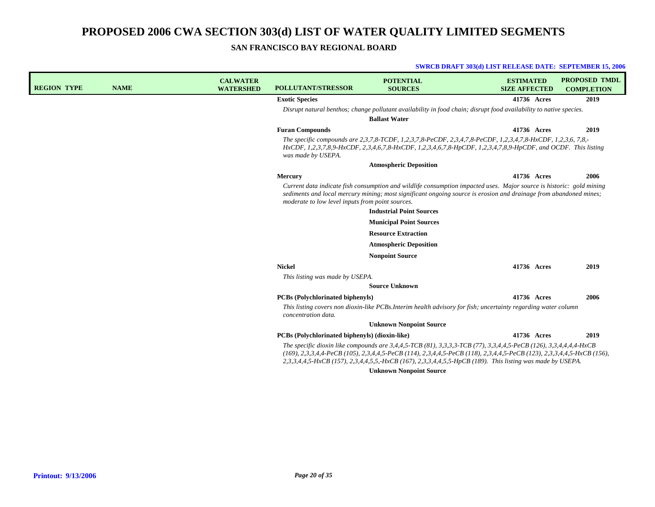### **SAN FRANCISCO BAY REGIONAL BOARD**

| <b>REGION TYPE</b> | <b>NAME</b> | <b>CALWATER</b><br><b>WATERSHED</b> | <b>POLLUTANT/STRESSOR</b>                        | <b>POTENTIAL</b><br><b>SOURCES</b>                                                                                                                                                                                                                                                                                                                        | <b>ESTIMATED</b><br><b>SIZE AFFECTED</b> | <b>PROPOSED TMDL</b><br><b>COMPLETION</b> |
|--------------------|-------------|-------------------------------------|--------------------------------------------------|-----------------------------------------------------------------------------------------------------------------------------------------------------------------------------------------------------------------------------------------------------------------------------------------------------------------------------------------------------------|------------------------------------------|-------------------------------------------|
|                    |             |                                     | <b>Exotic Species</b>                            |                                                                                                                                                                                                                                                                                                                                                           | 41736 Acres                              | 2019                                      |
|                    |             |                                     |                                                  | Disrupt natural benthos; change pollutant availability in food chain; disrupt food availability to native species.<br><b>Ballast Water</b>                                                                                                                                                                                                                |                                          |                                           |
|                    |             |                                     | <b>Furan Compounds</b>                           |                                                                                                                                                                                                                                                                                                                                                           | 41736 Acres                              | 2019                                      |
|                    |             |                                     | was made by USEPA.                               | The specific compounds are 2,3,7,8-TCDF, 1,2,3,7,8-PeCDF, 2,3,4,7,8-PeCDF, 1,2,3,4,7,8-HxCDF, 1,2,3,6, 7,8,-<br>HxCDF, 1,2,3,7,8,9-HxCDF, 2,3,4,6,7,8-HxCDF, 1,2,3,4,6,7,8-HpCDF, 1,2,3,4,7,8,9-HpCDF, and OCDF. This listing                                                                                                                             |                                          |                                           |
|                    |             |                                     |                                                  | <b>Atmospheric Deposition</b>                                                                                                                                                                                                                                                                                                                             |                                          |                                           |
|                    |             |                                     | Mercury                                          |                                                                                                                                                                                                                                                                                                                                                           | 41736 Acres                              | 2006                                      |
|                    |             |                                     | moderate to low level inputs from point sources. | Current data indicate fish consumption and wildlife consumption impacted uses. Major source is historic: gold mining<br>sediments and local mercury mining; most significant ongoing source is erosion and drainage from abandoned mines;<br><b>Industrial Point Sources</b>                                                                              |                                          |                                           |
|                    |             |                                     |                                                  | <b>Municipal Point Sources</b>                                                                                                                                                                                                                                                                                                                            |                                          |                                           |
|                    |             |                                     |                                                  | <b>Resource Extraction</b>                                                                                                                                                                                                                                                                                                                                |                                          |                                           |
|                    |             |                                     |                                                  | <b>Atmospheric Deposition</b>                                                                                                                                                                                                                                                                                                                             |                                          |                                           |
|                    |             |                                     |                                                  | <b>Nonpoint Source</b>                                                                                                                                                                                                                                                                                                                                    |                                          |                                           |
|                    |             |                                     | <b>Nickel</b>                                    |                                                                                                                                                                                                                                                                                                                                                           | 41736 Acres                              | 2019                                      |
|                    |             |                                     | This listing was made by USEPA.                  |                                                                                                                                                                                                                                                                                                                                                           |                                          |                                           |
|                    |             |                                     |                                                  | <b>Source Unknown</b>                                                                                                                                                                                                                                                                                                                                     |                                          |                                           |
|                    |             |                                     | <b>PCBs</b> (Polychlorinated biphenyls)          |                                                                                                                                                                                                                                                                                                                                                           | 41736 Acres                              | 2006                                      |
|                    |             |                                     | concentration data.                              | This listing covers non dioxin-like PCBs. Interim health advisory for fish; uncertainty regarding water column                                                                                                                                                                                                                                            |                                          |                                           |
|                    |             |                                     |                                                  | <b>Unknown Nonpoint Source</b>                                                                                                                                                                                                                                                                                                                            |                                          |                                           |
|                    |             |                                     | PCBs (Polychlorinated biphenyls) (dioxin-like)   |                                                                                                                                                                                                                                                                                                                                                           | 41736 Acres                              | 2019                                      |
|                    |             |                                     |                                                  | The specific dioxin like compounds are 3,4,4,5-TCB (81), 3,3,3,3-TCB (77), 3,3,4,4,5-PeCB (126), 3,3,4,4,4,4-HxCB<br>(169), 2,3,3,4,4-PeCB (105), 2,3,4,4,5-PeCB (114), 2,3,4,4,5-PeCB (118), 2,3,4,4,5-PeCB (123), 2,3,3,4,4,5-HxCB (156),<br>2,3,3,4,4,5-HxCB (157), 2,3,4,4,5,5,-HxCB (167), 2,3,3,4,4,5,5-HpCB (189). This listing was made by USEPA. |                                          |                                           |
|                    |             |                                     |                                                  | <b>Unknown Nonpoint Source</b>                                                                                                                                                                                                                                                                                                                            |                                          |                                           |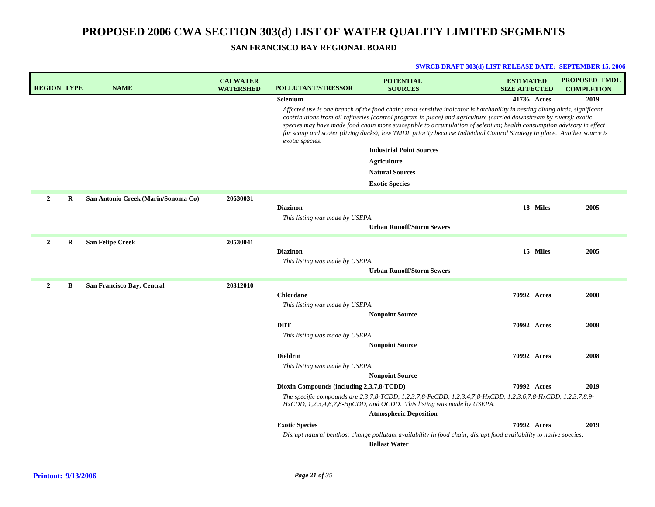| <b>REGION TYPE</b> |         | <b>NAME</b>                         | <b>CALWATER</b><br><b>WATERSHED</b> | <b>POLLUTANT/STRESSOR</b>                          | <b>POTENTIAL</b><br><b>SOURCES</b>                                                                                                                                                                                                                                                                                                                                                                                                                                                                   | <b>ESTIMATED</b><br><b>SIZE AFFECTED</b> |          | <b>PROPOSED TMDL</b><br><b>COMPLETION</b> |
|--------------------|---------|-------------------------------------|-------------------------------------|----------------------------------------------------|------------------------------------------------------------------------------------------------------------------------------------------------------------------------------------------------------------------------------------------------------------------------------------------------------------------------------------------------------------------------------------------------------------------------------------------------------------------------------------------------------|------------------------------------------|----------|-------------------------------------------|
|                    |         |                                     |                                     | <b>Selenium</b>                                    |                                                                                                                                                                                                                                                                                                                                                                                                                                                                                                      | 41736 Acres                              |          | 2019                                      |
|                    |         |                                     |                                     | exotic species.                                    | Affected use is one branch of the food chain; most sensitive indicator is hatchability in nesting diving birds, significant<br>contributions from oil refineries (control program in place) and agriculture (carried downstream by rivers); exotic<br>species may have made food chain more susceptible to accumulation of selenium; health consumption advisory in effect<br>for scaup and scoter (diving ducks); low TMDL priority because Individual Control Strategy in place. Another source is |                                          |          |                                           |
|                    |         |                                     |                                     |                                                    | <b>Industrial Point Sources</b>                                                                                                                                                                                                                                                                                                                                                                                                                                                                      |                                          |          |                                           |
|                    |         |                                     |                                     |                                                    | <b>Agriculture</b>                                                                                                                                                                                                                                                                                                                                                                                                                                                                                   |                                          |          |                                           |
|                    |         |                                     |                                     |                                                    | <b>Natural Sources</b>                                                                                                                                                                                                                                                                                                                                                                                                                                                                               |                                          |          |                                           |
|                    |         |                                     |                                     |                                                    | <b>Exotic Species</b>                                                                                                                                                                                                                                                                                                                                                                                                                                                                                |                                          |          |                                           |
| $\overline{2}$     | $\bf R$ | San Antonio Creek (Marin/Sonoma Co) | 20630031                            |                                                    |                                                                                                                                                                                                                                                                                                                                                                                                                                                                                                      |                                          |          |                                           |
|                    |         |                                     |                                     | <b>Diazinon</b>                                    |                                                                                                                                                                                                                                                                                                                                                                                                                                                                                                      |                                          | 18 Miles | 2005                                      |
|                    |         |                                     |                                     | This listing was made by USEPA.                    |                                                                                                                                                                                                                                                                                                                                                                                                                                                                                                      |                                          |          |                                           |
|                    |         |                                     |                                     |                                                    | <b>Urban Runoff/Storm Sewers</b>                                                                                                                                                                                                                                                                                                                                                                                                                                                                     |                                          |          |                                           |
| $\mathbf{2}$       | R       | <b>San Felipe Creek</b>             | 20530041                            |                                                    |                                                                                                                                                                                                                                                                                                                                                                                                                                                                                                      |                                          |          |                                           |
|                    |         |                                     |                                     | <b>Diazinon</b><br>This listing was made by USEPA. |                                                                                                                                                                                                                                                                                                                                                                                                                                                                                                      |                                          | 15 Miles | 2005                                      |
|                    |         |                                     |                                     |                                                    | <b>Urban Runoff/Storm Sewers</b>                                                                                                                                                                                                                                                                                                                                                                                                                                                                     |                                          |          |                                           |
| $\overline{2}$     | B       | San Francisco Bay, Central          | 20312010                            |                                                    |                                                                                                                                                                                                                                                                                                                                                                                                                                                                                                      |                                          |          |                                           |
|                    |         |                                     |                                     | <b>Chlordane</b>                                   |                                                                                                                                                                                                                                                                                                                                                                                                                                                                                                      | 70992 Acres                              |          | 2008                                      |
|                    |         |                                     |                                     | This listing was made by USEPA.                    |                                                                                                                                                                                                                                                                                                                                                                                                                                                                                                      |                                          |          |                                           |
|                    |         |                                     |                                     |                                                    | <b>Nonpoint Source</b>                                                                                                                                                                                                                                                                                                                                                                                                                                                                               |                                          |          |                                           |
|                    |         |                                     |                                     | <b>DDT</b>                                         |                                                                                                                                                                                                                                                                                                                                                                                                                                                                                                      | 70992 Acres                              |          | 2008                                      |
|                    |         |                                     |                                     | This listing was made by USEPA.                    |                                                                                                                                                                                                                                                                                                                                                                                                                                                                                                      |                                          |          |                                           |
|                    |         |                                     |                                     | <b>Dieldrin</b>                                    | <b>Nonpoint Source</b>                                                                                                                                                                                                                                                                                                                                                                                                                                                                               | 70992 Acres                              |          | 2008                                      |
|                    |         |                                     |                                     | This listing was made by USEPA.                    |                                                                                                                                                                                                                                                                                                                                                                                                                                                                                                      |                                          |          |                                           |
|                    |         |                                     |                                     |                                                    | <b>Nonpoint Source</b>                                                                                                                                                                                                                                                                                                                                                                                                                                                                               |                                          |          |                                           |
|                    |         |                                     |                                     | Dioxin Compounds (including 2,3,7,8-TCDD)          |                                                                                                                                                                                                                                                                                                                                                                                                                                                                                                      | 70992 Acres                              |          | 2019                                      |
|                    |         |                                     |                                     |                                                    | The specific compounds are 2,3,7,8-TCDD, 1,2,3,7,8-PeCDD, 1,2,3,4,7,8-HxCDD, 1,2,3,6,7,8-HxCDD, 1,2,3,7,8,9-<br>HxCDD, 1,2,3,4,6,7,8-HpCDD, and OCDD. This listing was made by USEPA.                                                                                                                                                                                                                                                                                                                |                                          |          |                                           |
|                    |         |                                     |                                     |                                                    | <b>Atmospheric Deposition</b>                                                                                                                                                                                                                                                                                                                                                                                                                                                                        |                                          |          |                                           |
|                    |         |                                     |                                     | <b>Exotic Species</b>                              |                                                                                                                                                                                                                                                                                                                                                                                                                                                                                                      | 70992 Acres                              |          | 2019                                      |
|                    |         |                                     |                                     |                                                    | Disrupt natural benthos; change pollutant availability in food chain; disrupt food availability to native species.<br><b>Ballast Water</b>                                                                                                                                                                                                                                                                                                                                                           |                                          |          |                                           |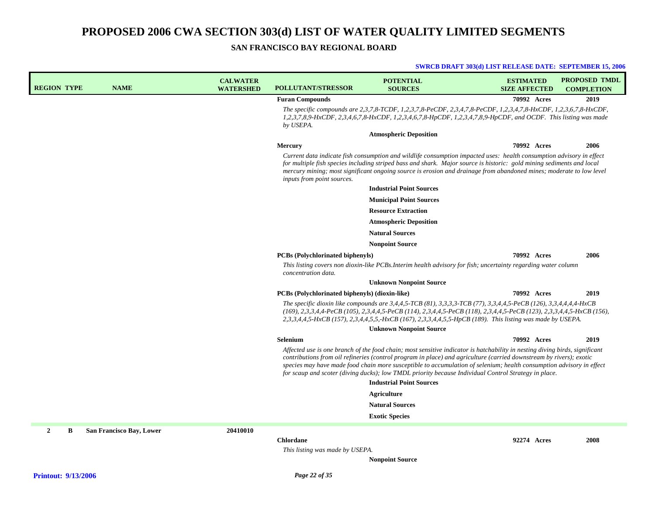### **SAN FRANCISCO BAY REGIONAL BOARD**

| <b>REGION TYPE</b> | <b>NAME</b>              | <b>CALWATER</b><br><b>WATERSHED</b> | <b>POLLUTANT/STRESSOR</b>                                      | <b>POTENTIAL</b><br><b>SOURCES</b>                                                                                                                                                                                                                                                                                                                                                                                                                                                 | <b>ESTIMATED</b><br><b>SIZE AFFECTED</b> | <b>PROPOSED TMDL</b><br><b>COMPLETION</b> |
|--------------------|--------------------------|-------------------------------------|----------------------------------------------------------------|------------------------------------------------------------------------------------------------------------------------------------------------------------------------------------------------------------------------------------------------------------------------------------------------------------------------------------------------------------------------------------------------------------------------------------------------------------------------------------|------------------------------------------|-------------------------------------------|
|                    |                          |                                     | <b>Furan Compounds</b>                                         |                                                                                                                                                                                                                                                                                                                                                                                                                                                                                    | 70992 Acres                              | 2019                                      |
|                    |                          |                                     | by USEPA.                                                      | The specific compounds are 2,3,7,8-TCDF, 1,2,3,7,8-PeCDF, 2,3,4,7,8-PeCDF, 1,2,3,4,7,8-HxCDF, 1,2,3,6,7,8-HxCDF,<br>1,2,3,7,8,9-HxCDF, 2,3,4,6,7,8-HxCDF, 1,2,3,4,6,7,8-HpCDF, 1,2,3,4,7,8,9-HpCDF, and OCDF. This listing was made                                                                                                                                                                                                                                                |                                          |                                           |
|                    |                          |                                     |                                                                | <b>Atmospheric Deposition</b>                                                                                                                                                                                                                                                                                                                                                                                                                                                      |                                          |                                           |
|                    |                          |                                     | <b>Mercury</b>                                                 |                                                                                                                                                                                                                                                                                                                                                                                                                                                                                    | 70992 Acres                              | 2006                                      |
|                    |                          |                                     | inputs from point sources.                                     | Current data indicate fish consumption and wildlife consumption impacted uses: health consumption advisory in effect<br>for multiple fish species including striped bass and shark. Major source is historic: gold mining sediments and local<br>mercury mining; most significant ongoing source is erosion and drainage from abandoned mines; moderate to low level                                                                                                               |                                          |                                           |
|                    |                          |                                     |                                                                | <b>Industrial Point Sources</b>                                                                                                                                                                                                                                                                                                                                                                                                                                                    |                                          |                                           |
|                    |                          |                                     |                                                                | <b>Municipal Point Sources</b>                                                                                                                                                                                                                                                                                                                                                                                                                                                     |                                          |                                           |
|                    |                          |                                     |                                                                | <b>Resource Extraction</b>                                                                                                                                                                                                                                                                                                                                                                                                                                                         |                                          |                                           |
|                    |                          |                                     |                                                                | <b>Atmospheric Deposition</b>                                                                                                                                                                                                                                                                                                                                                                                                                                                      |                                          |                                           |
|                    |                          |                                     |                                                                | <b>Natural Sources</b>                                                                                                                                                                                                                                                                                                                                                                                                                                                             |                                          |                                           |
|                    |                          |                                     |                                                                | <b>Nonpoint Source</b>                                                                                                                                                                                                                                                                                                                                                                                                                                                             |                                          |                                           |
|                    |                          |                                     | <b>PCBs</b> (Polychlorinated biphenyls)<br>concentration data. | This listing covers non dioxin-like PCBs.Interim health advisory for fish; uncertainty regarding water column                                                                                                                                                                                                                                                                                                                                                                      | 70992 Acres                              | 2006                                      |
|                    |                          |                                     |                                                                | <b>Unknown Nonpoint Source</b>                                                                                                                                                                                                                                                                                                                                                                                                                                                     |                                          |                                           |
|                    |                          |                                     | PCBs (Polychlorinated biphenyls) (dioxin-like)                 |                                                                                                                                                                                                                                                                                                                                                                                                                                                                                    | 70992 Acres                              | 2019                                      |
|                    |                          |                                     |                                                                | The specific dioxin like compounds are $3,4,4,5$ -TCB (81), $3,3,3,3$ -TCB (77), $3,3,4,4,5$ -PeCB (126), $3,3,4,4,4,4$ -HxCB<br>(169), 2,3,3,4,4-PeCB (105), 2,3,4,4,5-PeCB (114), 2,3,4,4,5-PeCB (118), 2,3,4,4,5-PeCB (123), 2,3,3,4,4,5-HxCB (156),<br>2,3,3,4,4,5-HxCB (157), 2,3,4,4,5,5,-HxCB (167), 2,3,3,4,4,5,5-HpCB (189). This listing was made by USEPA.                                                                                                              |                                          |                                           |
|                    |                          |                                     |                                                                | <b>Unknown Nonpoint Source</b>                                                                                                                                                                                                                                                                                                                                                                                                                                                     |                                          |                                           |
|                    |                          |                                     | Selenium                                                       |                                                                                                                                                                                                                                                                                                                                                                                                                                                                                    | 70992 Acres                              | 2019                                      |
|                    |                          |                                     |                                                                | Affected use is one branch of the food chain; most sensitive indicator is hatchability in nesting diving birds, significant<br>contributions from oil refineries (control program in place) and agriculture (carried downstream by rivers); exotic<br>species may have made food chain more susceptible to accumulation of selenium; health consumption advisory in effect<br>for scaup and scoter (diving ducks); low TMDL priority because Individual Control Strategy in place. |                                          |                                           |
|                    |                          |                                     |                                                                | <b>Industrial Point Sources</b>                                                                                                                                                                                                                                                                                                                                                                                                                                                    |                                          |                                           |
|                    |                          |                                     |                                                                | Agriculture                                                                                                                                                                                                                                                                                                                                                                                                                                                                        |                                          |                                           |
|                    |                          |                                     |                                                                | <b>Natural Sources</b>                                                                                                                                                                                                                                                                                                                                                                                                                                                             |                                          |                                           |
|                    |                          |                                     |                                                                | <b>Exotic Species</b>                                                                                                                                                                                                                                                                                                                                                                                                                                                              |                                          |                                           |
| $\mathbf{2}$<br>B  | San Francisco Bay, Lower | 20410010                            |                                                                |                                                                                                                                                                                                                                                                                                                                                                                                                                                                                    |                                          |                                           |
|                    |                          |                                     | <b>Chlordane</b>                                               |                                                                                                                                                                                                                                                                                                                                                                                                                                                                                    | 92274 Acres                              | 2008                                      |
|                    |                          |                                     | This listing was made by USEPA.                                |                                                                                                                                                                                                                                                                                                                                                                                                                                                                                    |                                          |                                           |
|                    |                          |                                     |                                                                | <b>Nonpoint Source</b>                                                                                                                                                                                                                                                                                                                                                                                                                                                             |                                          |                                           |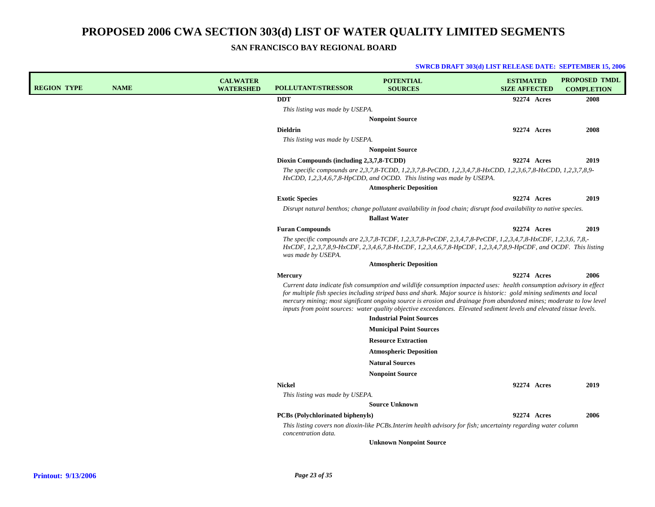**SAN FRANCISCO BAY REGIONAL BOARD**

| <b>REGION TYPE</b> | <b>NAME</b> | <b>CALWATER</b><br><b>WATERSHED</b> | <b>POLLUTANT/STRESSOR</b>                 | <b>POTENTIAL</b><br><b>SOURCES</b>                                                                                                                                                                                                                                                                                                                                                                                                                                                                                              | <b>ESTIMATED</b><br><b>SIZE AFFECTED</b> | <b>PROPOSED TMDL</b><br><b>COMPLETION</b> |
|--------------------|-------------|-------------------------------------|-------------------------------------------|---------------------------------------------------------------------------------------------------------------------------------------------------------------------------------------------------------------------------------------------------------------------------------------------------------------------------------------------------------------------------------------------------------------------------------------------------------------------------------------------------------------------------------|------------------------------------------|-------------------------------------------|
|                    |             |                                     | <b>DDT</b>                                |                                                                                                                                                                                                                                                                                                                                                                                                                                                                                                                                 | 92274 Acres                              | 2008                                      |
|                    |             |                                     | This listing was made by USEPA.           |                                                                                                                                                                                                                                                                                                                                                                                                                                                                                                                                 |                                          |                                           |
|                    |             |                                     |                                           | <b>Nonpoint Source</b>                                                                                                                                                                                                                                                                                                                                                                                                                                                                                                          |                                          |                                           |
|                    |             |                                     | <b>Dieldrin</b>                           |                                                                                                                                                                                                                                                                                                                                                                                                                                                                                                                                 | 92274 Acres                              | 2008                                      |
|                    |             |                                     | This listing was made by USEPA.           |                                                                                                                                                                                                                                                                                                                                                                                                                                                                                                                                 |                                          |                                           |
|                    |             |                                     |                                           | <b>Nonpoint Source</b>                                                                                                                                                                                                                                                                                                                                                                                                                                                                                                          |                                          |                                           |
|                    |             |                                     | Dioxin Compounds (including 2,3,7,8-TCDD) |                                                                                                                                                                                                                                                                                                                                                                                                                                                                                                                                 | 92274 Acres                              | 2019                                      |
|                    |             |                                     |                                           | The specific compounds are 2,3,7,8-TCDD, 1,2,3,7,8-PeCDD, 1,2,3,4,7,8-HxCDD, 1,2,3,6,7,8-HxCDD, 1,2,3,7,8,9-<br>HxCDD, 1,2,3,4,6,7,8-HpCDD, and OCDD. This listing was made by USEPA.                                                                                                                                                                                                                                                                                                                                           |                                          |                                           |
|                    |             |                                     |                                           | <b>Atmospheric Deposition</b>                                                                                                                                                                                                                                                                                                                                                                                                                                                                                                   |                                          |                                           |
|                    |             |                                     | <b>Exotic Species</b>                     |                                                                                                                                                                                                                                                                                                                                                                                                                                                                                                                                 | 92274 Acres                              | 2019                                      |
|                    |             |                                     |                                           | Disrupt natural benthos; change pollutant availability in food chain; disrupt food availability to native species.                                                                                                                                                                                                                                                                                                                                                                                                              |                                          |                                           |
|                    |             |                                     |                                           | <b>Ballast Water</b>                                                                                                                                                                                                                                                                                                                                                                                                                                                                                                            |                                          |                                           |
|                    |             |                                     | <b>Furan Compounds</b>                    |                                                                                                                                                                                                                                                                                                                                                                                                                                                                                                                                 | 92274 Acres                              | 2019                                      |
|                    |             |                                     | was made by USEPA.                        | The specific compounds are $2,3,7,8$ -TCDF, 1,2,3,7,8-PeCDF, 2,3,4,7,8-PeCDF, 1,2,3,4,7,8-HxCDF, 1,2,3,6, 7,8,-<br>HxCDF, 1,2,3,7,8,9-HxCDF, 2,3,4,6,7,8-HxCDF, 1,2,3,4,6,7,8-HpCDF, 1,2,3,4,7,8,9-HpCDF, and OCDF. This listing                                                                                                                                                                                                                                                                                                |                                          |                                           |
|                    |             |                                     |                                           | <b>Atmospheric Deposition</b>                                                                                                                                                                                                                                                                                                                                                                                                                                                                                                   |                                          |                                           |
|                    |             |                                     | <b>Mercury</b>                            |                                                                                                                                                                                                                                                                                                                                                                                                                                                                                                                                 | 92274 Acres                              | 2006                                      |
|                    |             |                                     |                                           | Current data indicate fish consumption and wildlife consumption impacted uses: health consumption advisory in effect<br>for multiple fish species including striped bass and shark. Major source is historic: gold mining sediments and local<br>mercury mining; most significant ongoing source is erosion and drainage from abandoned mines; moderate to low level<br>inputs from point sources: water quality objective exceedances. Elevated sediment levels and elevated tissue levels.<br><b>Industrial Point Sources</b> |                                          |                                           |
|                    |             |                                     |                                           | <b>Municipal Point Sources</b>                                                                                                                                                                                                                                                                                                                                                                                                                                                                                                  |                                          |                                           |
|                    |             |                                     |                                           | <b>Resource Extraction</b>                                                                                                                                                                                                                                                                                                                                                                                                                                                                                                      |                                          |                                           |
|                    |             |                                     |                                           | <b>Atmospheric Deposition</b>                                                                                                                                                                                                                                                                                                                                                                                                                                                                                                   |                                          |                                           |
|                    |             |                                     |                                           | <b>Natural Sources</b>                                                                                                                                                                                                                                                                                                                                                                                                                                                                                                          |                                          |                                           |
|                    |             |                                     |                                           | <b>Nonpoint Source</b>                                                                                                                                                                                                                                                                                                                                                                                                                                                                                                          |                                          |                                           |
|                    |             |                                     | <b>Nickel</b>                             |                                                                                                                                                                                                                                                                                                                                                                                                                                                                                                                                 | 92274 Acres                              | 2019                                      |
|                    |             |                                     | This listing was made by USEPA.           |                                                                                                                                                                                                                                                                                                                                                                                                                                                                                                                                 |                                          |                                           |
|                    |             |                                     |                                           | <b>Source Unknown</b>                                                                                                                                                                                                                                                                                                                                                                                                                                                                                                           |                                          |                                           |
|                    |             |                                     | <b>PCBs</b> (Polychlorinated biphenyls)   |                                                                                                                                                                                                                                                                                                                                                                                                                                                                                                                                 | 92274 Acres                              | 2006                                      |
|                    |             |                                     | concentration data.                       | This listing covers non dioxin-like PCBs.Interim health advisory for fish; uncertainty regarding water column                                                                                                                                                                                                                                                                                                                                                                                                                   |                                          |                                           |
|                    |             |                                     |                                           | <b>Unknown Nonpoint Source</b>                                                                                                                                                                                                                                                                                                                                                                                                                                                                                                  |                                          |                                           |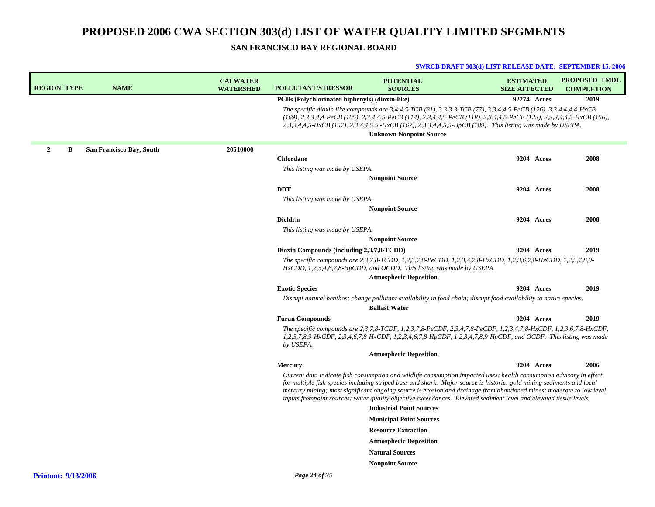### **SAN FRANCISCO BAY REGIONAL BOARD**

#### **SWRCB DRAFT 303(d) LIST RELEASE DATE: SEPTEMBER 15, 2006**

| <b>REGION TYPE</b> |   | <b>NAME</b>              | <b>CALWATER</b><br><b>WATERSHED</b> | <b>POLLUTANT/STRESSOR</b>                             | <b>POTENTIAL</b><br><b>SOURCES</b>                                                                                                                                                                                                                                                                                                                                                                                                                                                         | <b>ESTIMATED</b><br><b>SIZE AFFECTED</b> | <b>PROPOSED TMDL</b><br><b>COMPLETION</b> |
|--------------------|---|--------------------------|-------------------------------------|-------------------------------------------------------|--------------------------------------------------------------------------------------------------------------------------------------------------------------------------------------------------------------------------------------------------------------------------------------------------------------------------------------------------------------------------------------------------------------------------------------------------------------------------------------------|------------------------------------------|-------------------------------------------|
|                    |   |                          |                                     | <b>PCBs</b> (Polychlorinated biphenyls) (dioxin-like) |                                                                                                                                                                                                                                                                                                                                                                                                                                                                                            | 92274 Acres                              | 2019                                      |
|                    |   |                          |                                     |                                                       | The specific dioxin like compounds are 3,4,4,5-TCB (81), 3,3,3,3-TCB (77), 3,3,4,4,5-PeCB (126), 3,3,4,4,4,4-HxCB<br>$(169), 2,3,3,4,4$ -PeCB $(105), 2,3,4,4,5$ -PeCB $(114), 2,3,4,4,5$ -PeCB $(118), 2,3,4,4,5$ -PeCB $(123), 2,3,3,4,4,5$ -HxCB $(156),$<br>2,3,3,4,4,5-HxCB (157), 2,3,4,4,5,5,-HxCB (167), 2,3,3,4,4,5,5-HpCB (189). This listing was made by USEPA.                                                                                                                 |                                          |                                           |
|                    |   |                          |                                     |                                                       | <b>Unknown Nonpoint Source</b>                                                                                                                                                                                                                                                                                                                                                                                                                                                             |                                          |                                           |
| $\mathbf{2}$       | B | San Francisco Bay, South | 20510000                            |                                                       |                                                                                                                                                                                                                                                                                                                                                                                                                                                                                            |                                          |                                           |
|                    |   |                          |                                     | <b>Chlordane</b>                                      |                                                                                                                                                                                                                                                                                                                                                                                                                                                                                            | 9204 Acres                               | 2008                                      |
|                    |   |                          |                                     | This listing was made by USEPA.                       |                                                                                                                                                                                                                                                                                                                                                                                                                                                                                            |                                          |                                           |
|                    |   |                          |                                     |                                                       | <b>Nonpoint Source</b>                                                                                                                                                                                                                                                                                                                                                                                                                                                                     |                                          |                                           |
|                    |   |                          |                                     | <b>DDT</b>                                            |                                                                                                                                                                                                                                                                                                                                                                                                                                                                                            | 9204 Acres                               | 2008                                      |
|                    |   |                          |                                     | This listing was made by USEPA.                       |                                                                                                                                                                                                                                                                                                                                                                                                                                                                                            |                                          |                                           |
|                    |   |                          |                                     |                                                       | <b>Nonpoint Source</b>                                                                                                                                                                                                                                                                                                                                                                                                                                                                     |                                          |                                           |
|                    |   |                          |                                     | <b>Dieldrin</b>                                       |                                                                                                                                                                                                                                                                                                                                                                                                                                                                                            | 9204 Acres                               | 2008                                      |
|                    |   |                          |                                     | This listing was made by USEPA.                       |                                                                                                                                                                                                                                                                                                                                                                                                                                                                                            |                                          |                                           |
|                    |   |                          |                                     |                                                       | <b>Nonpoint Source</b>                                                                                                                                                                                                                                                                                                                                                                                                                                                                     |                                          |                                           |
|                    |   |                          |                                     | Dioxin Compounds (including 2,3,7,8-TCDD)             |                                                                                                                                                                                                                                                                                                                                                                                                                                                                                            | <b>9204</b> Acres                        | 2019                                      |
|                    |   |                          |                                     |                                                       | The specific compounds are 2,3,7,8-TCDD, 1,2,3,7,8-PeCDD, 1,2,3,4,7,8-HxCDD, 1,2,3,6,7,8-HxCDD, 1,2,3,7,8,9-<br>HxCDD, 1,2,3,4,6,7,8-HpCDD, and OCDD. This listing was made by USEPA.<br><b>Atmospheric Deposition</b>                                                                                                                                                                                                                                                                     |                                          |                                           |
|                    |   |                          |                                     | <b>Exotic Species</b>                                 |                                                                                                                                                                                                                                                                                                                                                                                                                                                                                            | 9204 Acres                               | 2019                                      |
|                    |   |                          |                                     |                                                       | Disrupt natural benthos; change pollutant availability in food chain; disrupt food availability to native species.                                                                                                                                                                                                                                                                                                                                                                         |                                          |                                           |
|                    |   |                          |                                     |                                                       | <b>Ballast Water</b>                                                                                                                                                                                                                                                                                                                                                                                                                                                                       |                                          |                                           |
|                    |   |                          |                                     | <b>Furan Compounds</b>                                |                                                                                                                                                                                                                                                                                                                                                                                                                                                                                            | 9204 Acres                               | 2019                                      |
|                    |   |                          |                                     | by USEPA.                                             | The specific compounds are 2,3,7,8-TCDF, 1,2,3,7,8-PeCDF, 2,3,4,7,8-PeCDF, 1,2,3,4,7,8-HxCDF, 1,2,3,6,7,8-HxCDF,<br>1,2,3,7,8,9-HxCDF, 2,3,4,6,7,8-HxCDF, 1,2,3,4,6,7,8-HpCDF, 1,2,3,4,7,8,9-HpCDF, and OCDF. This listing was made                                                                                                                                                                                                                                                        |                                          |                                           |
|                    |   |                          |                                     |                                                       | <b>Atmospheric Deposition</b>                                                                                                                                                                                                                                                                                                                                                                                                                                                              |                                          |                                           |
|                    |   |                          |                                     | <b>Mercury</b>                                        |                                                                                                                                                                                                                                                                                                                                                                                                                                                                                            | <b>9204</b> Acres                        | 2006                                      |
|                    |   |                          |                                     |                                                       | Current data indicate fish consumption and wildlife consumption impacted uses: health consumption advisory in effect<br>for multiple fish species including striped bass and shark. Major source is historic: gold mining sediments and local<br>mercury mining; most significant ongoing source is erosion and drainage from abandoned mines; moderate to low level<br>inputs frompoint sources: water quality objective exceedances. Elevated sediment level and elevated tissue levels. |                                          |                                           |
|                    |   |                          |                                     |                                                       | <b>Industrial Point Sources</b>                                                                                                                                                                                                                                                                                                                                                                                                                                                            |                                          |                                           |
|                    |   |                          |                                     |                                                       | <b>Municipal Point Sources</b>                                                                                                                                                                                                                                                                                                                                                                                                                                                             |                                          |                                           |
|                    |   |                          |                                     |                                                       | <b>Resource Extraction</b>                                                                                                                                                                                                                                                                                                                                                                                                                                                                 |                                          |                                           |
|                    |   |                          |                                     |                                                       | <b>Atmospheric Deposition</b>                                                                                                                                                                                                                                                                                                                                                                                                                                                              |                                          |                                           |
|                    |   |                          |                                     |                                                       | <b>Natural Sources</b>                                                                                                                                                                                                                                                                                                                                                                                                                                                                     |                                          |                                           |
|                    |   |                          |                                     |                                                       | <b>Nonpoint Source</b>                                                                                                                                                                                                                                                                                                                                                                                                                                                                     |                                          |                                           |
|                    |   |                          |                                     |                                                       |                                                                                                                                                                                                                                                                                                                                                                                                                                                                                            |                                          |                                           |

*Page 24 of 35*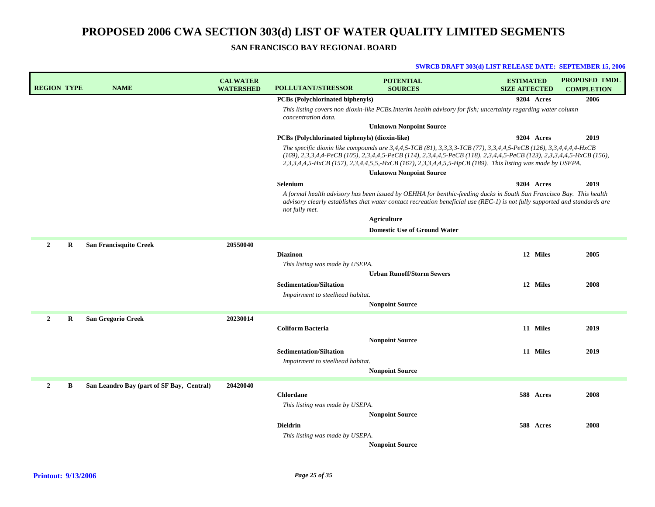**SAN FRANCISCO BAY REGIONAL BOARD**

| <b>REGION TYPE</b>        | <b>NAME</b>                               | <b>CALWATER</b><br><b>WATERSHED</b> | <b>POLLUTANT/STRESSOR</b>                      | <b>POTENTIAL</b><br><b>SOURCES</b>                                                                                                                                                                                                                                                                                                                        | <b>ESTIMATED</b><br><b>SIZE AFFECTED</b> |            | <b>PROPOSED TMDL</b><br><b>COMPLETION</b> |
|---------------------------|-------------------------------------------|-------------------------------------|------------------------------------------------|-----------------------------------------------------------------------------------------------------------------------------------------------------------------------------------------------------------------------------------------------------------------------------------------------------------------------------------------------------------|------------------------------------------|------------|-------------------------------------------|
|                           |                                           |                                     | <b>PCBs</b> (Polychlorinated biphenyls)        |                                                                                                                                                                                                                                                                                                                                                           |                                          | 9204 Acres | 2006                                      |
|                           |                                           |                                     | concentration data.                            | This listing covers non dioxin-like PCBs. Interim health advisory for fish; uncertainty regarding water column                                                                                                                                                                                                                                            |                                          |            |                                           |
|                           |                                           |                                     |                                                | <b>Unknown Nonpoint Source</b>                                                                                                                                                                                                                                                                                                                            |                                          |            |                                           |
|                           |                                           |                                     | PCBs (Polychlorinated biphenyls) (dioxin-like) |                                                                                                                                                                                                                                                                                                                                                           |                                          | 9204 Acres | 2019                                      |
|                           |                                           |                                     |                                                | The specific dioxin like compounds are 3,4,4,5-TCB (81), 3,3,3,3-TCB (77), 3,3,4,4,5-PeCB (126), 3,3,4,4,4,4-HxCB<br>(169), 2,3,3,4,4-PeCB (105), 2,3,4,4,5-PeCB (114), 2,3,4,4,5-PeCB (118), 2,3,4,4,5-PeCB (123), 2,3,3,4,4,5-HxCB (156),<br>2,3,3,4,4,5-HxCB (157), 2,3,4,4,5,5,-HxCB (167), 2,3,3,4,4,5,5-HpCB (189). This listing was made by USEPA. |                                          |            |                                           |
|                           |                                           |                                     |                                                | <b>Unknown Nonpoint Source</b>                                                                                                                                                                                                                                                                                                                            |                                          |            |                                           |
|                           |                                           |                                     | <b>Selenium</b>                                |                                                                                                                                                                                                                                                                                                                                                           |                                          | 9204 Acres | 2019                                      |
|                           |                                           |                                     | not fully met.                                 | A formal health advisory has been issued by OEHHA for benthic-feeding ducks in South San Francisco Bay. This health<br>advisory clearly establishes that water contact recreation beneficial use (REC-1) is not fully supported and standards are                                                                                                         |                                          |            |                                           |
|                           |                                           |                                     |                                                | <b>Agriculture</b>                                                                                                                                                                                                                                                                                                                                        |                                          |            |                                           |
|                           |                                           |                                     |                                                | <b>Domestic Use of Ground Water</b>                                                                                                                                                                                                                                                                                                                       |                                          |            |                                           |
| $\overline{2}$<br>$\bf R$ | <b>San Francisquito Creek</b>             | 20550040                            |                                                |                                                                                                                                                                                                                                                                                                                                                           |                                          |            |                                           |
|                           |                                           |                                     | <b>Diazinon</b>                                |                                                                                                                                                                                                                                                                                                                                                           |                                          | 12 Miles   | 2005                                      |
|                           |                                           |                                     | This listing was made by USEPA.                |                                                                                                                                                                                                                                                                                                                                                           |                                          |            |                                           |
|                           |                                           |                                     |                                                | <b>Urban Runoff/Storm Sewers</b>                                                                                                                                                                                                                                                                                                                          |                                          |            |                                           |
|                           |                                           |                                     | <b>Sedimentation/Siltation</b>                 |                                                                                                                                                                                                                                                                                                                                                           |                                          | 12 Miles   | 2008                                      |
|                           |                                           |                                     | Impairment to steelhead habitat.               | <b>Nonpoint Source</b>                                                                                                                                                                                                                                                                                                                                    |                                          |            |                                           |
|                           |                                           |                                     |                                                |                                                                                                                                                                                                                                                                                                                                                           |                                          |            |                                           |
| $\mathbf{2}$<br>R         | San Gregorio Creek                        | 20230014                            | <b>Coliform Bacteria</b>                       |                                                                                                                                                                                                                                                                                                                                                           |                                          | 11 Miles   | 2019                                      |
|                           |                                           |                                     |                                                |                                                                                                                                                                                                                                                                                                                                                           |                                          |            |                                           |
|                           |                                           |                                     |                                                | <b>Nonpoint Source</b>                                                                                                                                                                                                                                                                                                                                    |                                          |            |                                           |
|                           |                                           |                                     | <b>Sedimentation/Siltation</b>                 |                                                                                                                                                                                                                                                                                                                                                           |                                          | 11 Miles   | 2019                                      |
|                           |                                           |                                     | Impairment to steelhead habitat.               | <b>Nonpoint Source</b>                                                                                                                                                                                                                                                                                                                                    |                                          |            |                                           |
|                           |                                           |                                     |                                                |                                                                                                                                                                                                                                                                                                                                                           |                                          |            |                                           |
| 2<br>B                    | San Leandro Bay (part of SF Bay, Central) | 20420040                            | <b>Chlordane</b>                               |                                                                                                                                                                                                                                                                                                                                                           |                                          | 588 Acres  | 2008                                      |
|                           |                                           |                                     | This listing was made by USEPA.                |                                                                                                                                                                                                                                                                                                                                                           |                                          |            |                                           |
|                           |                                           |                                     |                                                | <b>Nonpoint Source</b>                                                                                                                                                                                                                                                                                                                                    |                                          |            |                                           |
|                           |                                           |                                     | <b>Dieldrin</b>                                |                                                                                                                                                                                                                                                                                                                                                           |                                          | 588 Acres  | 2008                                      |
|                           |                                           |                                     | This listing was made by USEPA.                |                                                                                                                                                                                                                                                                                                                                                           |                                          |            |                                           |
|                           |                                           |                                     |                                                | <b>Nonpoint Source</b>                                                                                                                                                                                                                                                                                                                                    |                                          |            |                                           |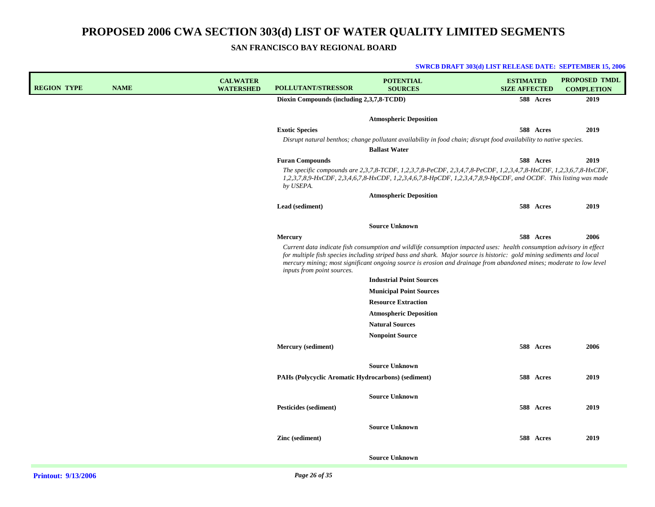**SWRCB DRAFT 303(d) LIST RELEASE DATE: SEPTEMBER 15, 2006**

**SAN FRANCISCO BAY REGIONAL BOARD**

| <b>REGION TYPE</b> | <b>NAME</b> | <b>CALWATER</b><br><b>WATERSHED</b> | <b>POLLUTANT/STRESSOR</b>                          | <b>POTENTIAL</b><br><b>SOURCES</b>                                                                                                                                                                                                                                                                                                                                   | <b>ESTIMATED</b><br><b>SIZE AFFECTED</b> |           | <b>PROPOSED TMDL</b><br><b>COMPLETION</b> |
|--------------------|-------------|-------------------------------------|----------------------------------------------------|----------------------------------------------------------------------------------------------------------------------------------------------------------------------------------------------------------------------------------------------------------------------------------------------------------------------------------------------------------------------|------------------------------------------|-----------|-------------------------------------------|
|                    |             |                                     | Dioxin Compounds (including 2,3,7,8-TCDD)          |                                                                                                                                                                                                                                                                                                                                                                      |                                          | 588 Acres | 2019                                      |
|                    |             |                                     |                                                    | <b>Atmospheric Deposition</b>                                                                                                                                                                                                                                                                                                                                        |                                          |           |                                           |
|                    |             |                                     | <b>Exotic Species</b>                              |                                                                                                                                                                                                                                                                                                                                                                      |                                          | 588 Acres | 2019                                      |
|                    |             |                                     |                                                    | Disrupt natural benthos; change pollutant availability in food chain; disrupt food availability to native species.<br><b>Ballast Water</b>                                                                                                                                                                                                                           |                                          |           |                                           |
|                    |             |                                     | <b>Furan Compounds</b>                             |                                                                                                                                                                                                                                                                                                                                                                      |                                          | 588 Acres | 2019                                      |
|                    |             |                                     | by USEPA.                                          | The specific compounds are 2,3,7,8-TCDF, 1,2,3,7,8-PeCDF, 2,3,4,7,8-PeCDF, 1,2,3,4,7,8-HxCDF, 1,2,3,6,7,8-HxCDF,<br>1,2,3,7,8,9-HxCDF, 2,3,4,6,7,8-HxCDF, 1,2,3,4,6,7,8-HpCDF, 1,2,3,4,7,8,9-HpCDF, and OCDF. This listing was made                                                                                                                                  |                                          |           |                                           |
|                    |             |                                     |                                                    | <b>Atmospheric Deposition</b>                                                                                                                                                                                                                                                                                                                                        |                                          |           |                                           |
|                    |             |                                     | Lead (sediment)                                    |                                                                                                                                                                                                                                                                                                                                                                      |                                          | 588 Acres | 2019                                      |
|                    |             |                                     |                                                    | <b>Source Unknown</b>                                                                                                                                                                                                                                                                                                                                                |                                          |           |                                           |
|                    |             |                                     | <b>Mercury</b>                                     |                                                                                                                                                                                                                                                                                                                                                                      |                                          | 588 Acres | 2006                                      |
|                    |             |                                     | inputs from point sources.                         | Current data indicate fish consumption and wildlife consumption impacted uses: health consumption advisory in effect<br>for multiple fish species including striped bass and shark. Major source is historic: gold mining sediments and local<br>mercury mining; most significant ongoing source is erosion and drainage from abandoned mines; moderate to low level |                                          |           |                                           |
|                    |             |                                     |                                                    | <b>Industrial Point Sources</b>                                                                                                                                                                                                                                                                                                                                      |                                          |           |                                           |
|                    |             |                                     |                                                    | <b>Municipal Point Sources</b>                                                                                                                                                                                                                                                                                                                                       |                                          |           |                                           |
|                    |             |                                     |                                                    | <b>Resource Extraction</b>                                                                                                                                                                                                                                                                                                                                           |                                          |           |                                           |
|                    |             |                                     |                                                    | <b>Atmospheric Deposition</b>                                                                                                                                                                                                                                                                                                                                        |                                          |           |                                           |
|                    |             |                                     |                                                    | <b>Natural Sources</b>                                                                                                                                                                                                                                                                                                                                               |                                          |           |                                           |
|                    |             |                                     |                                                    | <b>Nonpoint Source</b>                                                                                                                                                                                                                                                                                                                                               |                                          |           |                                           |
|                    |             |                                     | <b>Mercury</b> (sediment)                          |                                                                                                                                                                                                                                                                                                                                                                      |                                          | 588 Acres | 2006                                      |
|                    |             |                                     |                                                    | <b>Source Unknown</b>                                                                                                                                                                                                                                                                                                                                                |                                          |           |                                           |
|                    |             |                                     | PAHs (Polycyclic Aromatic Hydrocarbons) (sediment) |                                                                                                                                                                                                                                                                                                                                                                      |                                          | 588 Acres | 2019                                      |
|                    |             |                                     |                                                    |                                                                                                                                                                                                                                                                                                                                                                      |                                          |           |                                           |
|                    |             |                                     |                                                    | <b>Source Unknown</b>                                                                                                                                                                                                                                                                                                                                                |                                          |           |                                           |
|                    |             |                                     | Pesticides (sediment)                              |                                                                                                                                                                                                                                                                                                                                                                      |                                          | 588 Acres | 2019                                      |
|                    |             |                                     |                                                    | <b>Source Unknown</b>                                                                                                                                                                                                                                                                                                                                                |                                          |           |                                           |
|                    |             |                                     | Zinc (sediment)                                    |                                                                                                                                                                                                                                                                                                                                                                      |                                          | 588 Acres | 2019                                      |
|                    |             |                                     |                                                    | <b>Source Unknown</b>                                                                                                                                                                                                                                                                                                                                                |                                          |           |                                           |
|                    |             |                                     |                                                    |                                                                                                                                                                                                                                                                                                                                                                      |                                          |           |                                           |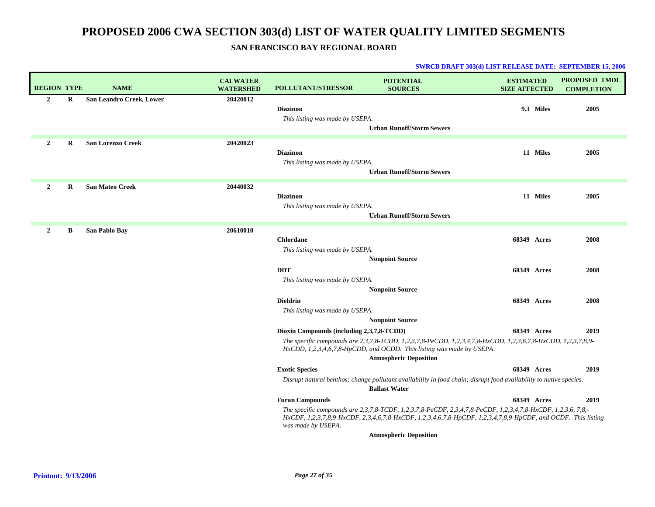### **SAN FRANCISCO BAY REGIONAL BOARD**

| <b>REGION TYPE</b> |   | <b>NAME</b>              | <b>CALWATER</b><br><b>WATERSHED</b> | POLLUTANT/STRESSOR                                  | <b>POTENTIAL</b><br><b>SOURCES</b>                                                                                                                                                                                                          | <b>ESTIMATED</b><br><b>SIZE AFFECTED</b> | PROPOSED TMDL<br><b>COMPLETION</b> |
|--------------------|---|--------------------------|-------------------------------------|-----------------------------------------------------|---------------------------------------------------------------------------------------------------------------------------------------------------------------------------------------------------------------------------------------------|------------------------------------------|------------------------------------|
| $\overline{2}$     | R | San Leandro Creek, Lower | 20420012                            | <b>Diazinon</b><br>This listing was made by USEPA.  | <b>Urban Runoff/Storm Sewers</b>                                                                                                                                                                                                            | 9.3 Miles                                | 2005                               |
| $\overline{2}$     | R | <b>San Lorenzo Creek</b> | 20420023                            | <b>Diazinon</b><br>This listing was made by USEPA.  | <b>Urban Runoff/Storm Sewers</b>                                                                                                                                                                                                            | 11 Miles                                 | 2005                               |
| $\overline{2}$     | R | <b>San Mateo Creek</b>   | 20440032                            | <b>Diazinon</b><br>This listing was made by USEPA.  | <b>Urban Runoff/Storm Sewers</b>                                                                                                                                                                                                            | 11 Miles                                 | 2005                               |
| $\overline{2}$     | B | San Pablo Bay            | 20610010                            | <b>Chlordane</b><br>This listing was made by USEPA. | <b>Nonpoint Source</b>                                                                                                                                                                                                                      | 68349 Acres                              | 2008                               |
|                    |   |                          |                                     | <b>DDT</b><br>This listing was made by USEPA.       | <b>Nonpoint Source</b>                                                                                                                                                                                                                      | 68349 Acres                              | 2008                               |
|                    |   |                          |                                     | <b>Dieldrin</b><br>This listing was made by USEPA.  | <b>Nonpoint Source</b>                                                                                                                                                                                                                      | 68349 Acres                              | 2008                               |
|                    |   |                          |                                     | Dioxin Compounds (including 2,3,7,8-TCDD)           | The specific compounds are 2,3,7,8-TCDD, 1,2,3,7,8-PeCDD, 1,2,3,4,7,8-HxCDD, 1,2,3,6,7,8-HxCDD, 1,2,3,7,8,9-<br>HxCDD, 1,2,3,4,6,7,8-HpCDD, and OCDD. This listing was made by USEPA.<br><b>Atmospheric Deposition</b>                      | 68349 Acres                              | 2019                               |
|                    |   |                          |                                     | <b>Exotic Species</b>                               | Disrupt natural benthos; change pollutant availability in food chain; disrupt food availability to native species.<br><b>Ballast Water</b>                                                                                                  | <b>68349 Acres</b>                       | 2019                               |
|                    |   |                          |                                     | <b>Furan Compounds</b><br>was made by USEPA.        | The specific compounds are $2,3,7,8$ -TCDF, $1,2,3,7,8$ -PeCDF, $2,3,4,7,8$ -PeCDF, $1,2,3,4,7,8$ -HxCDF, $1,2,3,6,7,8,$ -<br>HxCDF, 1,2,3,7,8,9-HxCDF, 2,3,4,6,7,8-HxCDF, 1,2,3,4,6,7,8-HpCDF, 1,2,3,4,7,8,9-HpCDF, and OCDF. This listing | 68349 Acres                              | 2019                               |
|                    |   |                          |                                     |                                                     | <b>Atmospheric Deposition</b>                                                                                                                                                                                                               |                                          |                                    |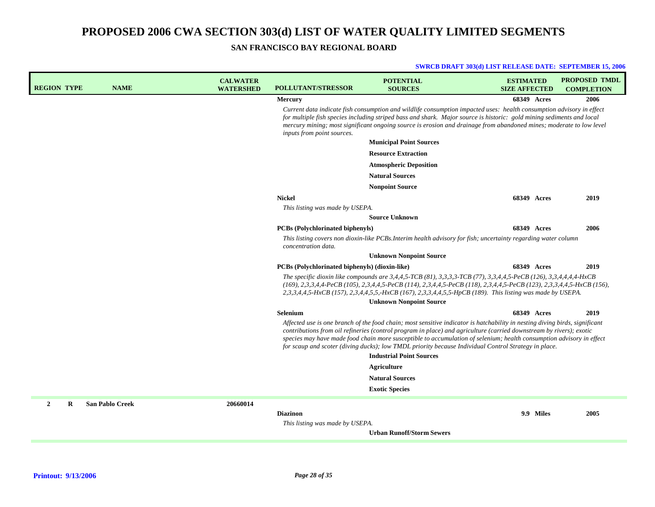| <b>REGION TYPE</b> |   | <b>NAME</b>            | <b>CALWATER</b><br><b>WATERSHED</b> | <b>POLLUTANT/STRESSOR</b>                             | <b>POTENTIAL</b><br><b>SOURCES</b>                                                                                                                                                                                                                                                                                                                                                                                                                                                                                    | <b>ESTIMATED</b><br><b>SIZE AFFECTED</b> |           | <b>PROPOSED TMDL</b><br><b>COMPLETION</b> |
|--------------------|---|------------------------|-------------------------------------|-------------------------------------------------------|-----------------------------------------------------------------------------------------------------------------------------------------------------------------------------------------------------------------------------------------------------------------------------------------------------------------------------------------------------------------------------------------------------------------------------------------------------------------------------------------------------------------------|------------------------------------------|-----------|-------------------------------------------|
|                    |   |                        |                                     | <b>Mercury</b>                                        |                                                                                                                                                                                                                                                                                                                                                                                                                                                                                                                       | <b>68349 Acres</b>                       |           | 2006                                      |
|                    |   |                        |                                     | inputs from point sources.                            | Current data indicate fish consumption and wildlife consumption impacted uses: health consumption advisory in effect<br>for multiple fish species including striped bass and shark. Major source is historic: gold mining sediments and local<br>mercury mining; most significant ongoing source is erosion and drainage from abandoned mines; moderate to low level                                                                                                                                                  |                                          |           |                                           |
|                    |   |                        |                                     |                                                       | <b>Municipal Point Sources</b>                                                                                                                                                                                                                                                                                                                                                                                                                                                                                        |                                          |           |                                           |
|                    |   |                        |                                     |                                                       | <b>Resource Extraction</b>                                                                                                                                                                                                                                                                                                                                                                                                                                                                                            |                                          |           |                                           |
|                    |   |                        |                                     |                                                       | <b>Atmospheric Deposition</b>                                                                                                                                                                                                                                                                                                                                                                                                                                                                                         |                                          |           |                                           |
|                    |   |                        |                                     |                                                       | <b>Natural Sources</b>                                                                                                                                                                                                                                                                                                                                                                                                                                                                                                |                                          |           |                                           |
|                    |   |                        |                                     |                                                       | <b>Nonpoint Source</b>                                                                                                                                                                                                                                                                                                                                                                                                                                                                                                |                                          |           |                                           |
|                    |   |                        |                                     | <b>Nickel</b>                                         |                                                                                                                                                                                                                                                                                                                                                                                                                                                                                                                       | <b>68349 Acres</b>                       |           | 2019                                      |
|                    |   |                        |                                     | This listing was made by USEPA.                       |                                                                                                                                                                                                                                                                                                                                                                                                                                                                                                                       |                                          |           |                                           |
|                    |   |                        |                                     |                                                       | <b>Source Unknown</b>                                                                                                                                                                                                                                                                                                                                                                                                                                                                                                 |                                          |           |                                           |
|                    |   |                        |                                     | <b>PCBs</b> (Polychlorinated biphenyls)               |                                                                                                                                                                                                                                                                                                                                                                                                                                                                                                                       | <b>68349 Acres</b>                       |           | 2006                                      |
|                    |   |                        |                                     | concentration data.                                   | This listing covers non dioxin-like PCBs.Interim health advisory for fish; uncertainty regarding water column                                                                                                                                                                                                                                                                                                                                                                                                         |                                          |           |                                           |
|                    |   |                        |                                     |                                                       | <b>Unknown Nonpoint Source</b>                                                                                                                                                                                                                                                                                                                                                                                                                                                                                        |                                          |           |                                           |
|                    |   |                        |                                     | <b>PCBs</b> (Polychlorinated biphenyls) (dioxin-like) |                                                                                                                                                                                                                                                                                                                                                                                                                                                                                                                       | <b>68349 Acres</b>                       |           | 2019                                      |
|                    |   |                        |                                     |                                                       | The specific dioxin like compounds are 3,4,4,5-TCB (81), 3,3,3,3-TCB (77), 3,3,4,4,5-PeCB (126), 3,3,4,4,4,4-HxCB<br>(169), 2,3,3,4,4-PeCB (105), 2,3,4,4,5-PeCB (114), 2,3,4,4,5-PeCB (118), 2,3,4,4,5-PeCB (123), 2,3,3,4,4,5-HxCB (156),<br>2,3,3,4,4,5-HxCB (157), 2,3,4,4,5,5,-HxCB (167), 2,3,3,4,4,5,5-HpCB (189). This listing was made by USEPA.                                                                                                                                                             |                                          |           |                                           |
|                    |   |                        |                                     |                                                       | <b>Unknown Nonpoint Source</b>                                                                                                                                                                                                                                                                                                                                                                                                                                                                                        |                                          |           |                                           |
|                    |   |                        |                                     | Selenium                                              |                                                                                                                                                                                                                                                                                                                                                                                                                                                                                                                       | 68349 Acres                              |           | 2019                                      |
|                    |   |                        |                                     |                                                       | Affected use is one branch of the food chain; most sensitive indicator is hatchability in nesting diving birds, significant<br>contributions from oil refineries (control program in place) and agriculture (carried downstream by rivers); exotic<br>species may have made food chain more susceptible to accumulation of selenium; health consumption advisory in effect<br>for scaup and scoter (diving ducks); low TMDL priority because Individual Control Strategy in place.<br><b>Industrial Point Sources</b> |                                          |           |                                           |
|                    |   |                        |                                     |                                                       | <b>Agriculture</b>                                                                                                                                                                                                                                                                                                                                                                                                                                                                                                    |                                          |           |                                           |
|                    |   |                        |                                     |                                                       | <b>Natural Sources</b>                                                                                                                                                                                                                                                                                                                                                                                                                                                                                                |                                          |           |                                           |
|                    |   |                        |                                     |                                                       | <b>Exotic Species</b>                                                                                                                                                                                                                                                                                                                                                                                                                                                                                                 |                                          |           |                                           |
| $\overline{2}$     | R | <b>San Pablo Creek</b> | 20660014                            |                                                       |                                                                                                                                                                                                                                                                                                                                                                                                                                                                                                                       |                                          |           |                                           |
|                    |   |                        |                                     | <b>Diazinon</b>                                       |                                                                                                                                                                                                                                                                                                                                                                                                                                                                                                                       |                                          | 9.9 Miles | 2005                                      |
|                    |   |                        |                                     | This listing was made by USEPA.                       |                                                                                                                                                                                                                                                                                                                                                                                                                                                                                                                       |                                          |           |                                           |
|                    |   |                        |                                     |                                                       | <b>Urban Runoff/Storm Sewers</b>                                                                                                                                                                                                                                                                                                                                                                                                                                                                                      |                                          |           |                                           |
|                    |   |                        |                                     |                                                       |                                                                                                                                                                                                                                                                                                                                                                                                                                                                                                                       |                                          |           |                                           |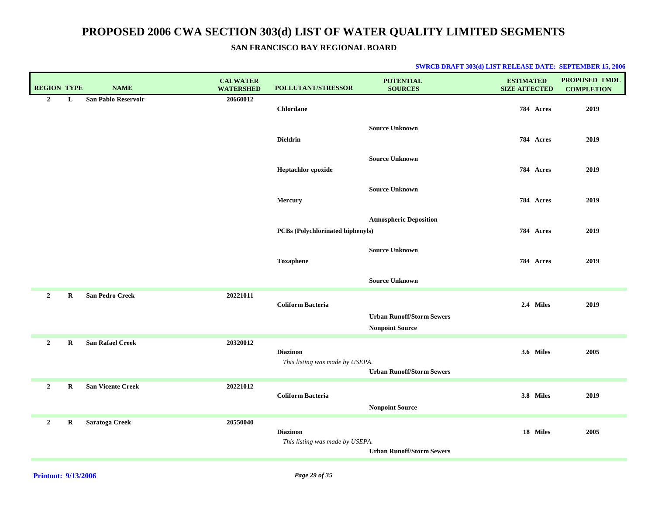|  | <b>SWRCB DRAFT 303(d) LIST RELEASE DATE: SEPTEMBER 15, 2006</b> |  |
|--|-----------------------------------------------------------------|--|
|--|-----------------------------------------------------------------|--|

| <b>REGION TYPE</b> |             | <b>NAME</b>                | <b>CALWATER</b><br><b>WATERSHED</b> | POLLUTANT/STRESSOR                                 | <b>POTENTIAL</b><br><b>SOURCES</b>                         | <b>ESTIMATED</b><br><b>SIZE AFFECTED</b> | <b>PROPOSED TMDL</b><br><b>COMPLETION</b> |
|--------------------|-------------|----------------------------|-------------------------------------|----------------------------------------------------|------------------------------------------------------------|------------------------------------------|-------------------------------------------|
| $\overline{2}$     | L           | <b>San Pablo Reservoir</b> | 20660012                            | <b>Chlordane</b>                                   |                                                            | 784 Acres                                | 2019                                      |
|                    |             |                            |                                     | <b>Dieldrin</b>                                    | <b>Source Unknown</b>                                      | 784 Acres                                | 2019                                      |
|                    |             |                            |                                     | Heptachlor epoxide                                 | <b>Source Unknown</b>                                      | 784 Acres                                | 2019                                      |
|                    |             |                            |                                     | Mercury                                            | <b>Source Unknown</b>                                      | 784 Acres                                | 2019                                      |
|                    |             |                            |                                     | PCBs (Polychlorinated biphenyls)                   | <b>Atmospheric Deposition</b>                              | 784 Acres                                | 2019                                      |
|                    |             |                            |                                     | <b>Toxaphene</b>                                   | <b>Source Unknown</b>                                      | 784 Acres                                | 2019                                      |
|                    |             |                            |                                     |                                                    | <b>Source Unknown</b>                                      |                                          |                                           |
| $\overline{2}$     | $\mathbf R$ | <b>San Pedro Creek</b>     | 20221011                            | <b>Coliform Bacteria</b>                           | <b>Urban Runoff/Storm Sewers</b><br><b>Nonpoint Source</b> | 2.4 Miles                                | 2019                                      |
| $\overline{2}$     | R           | <b>San Rafael Creek</b>    | 20320012                            | <b>Diazinon</b><br>This listing was made by USEPA. | <b>Urban Runoff/Storm Sewers</b>                           | 3.6 Miles                                | 2005                                      |
| $\overline{2}$     | $\bf R$     | <b>San Vicente Creek</b>   | 20221012                            | <b>Coliform Bacteria</b>                           | <b>Nonpoint Source</b>                                     | 3.8 Miles                                | 2019                                      |
| $\overline{2}$     | $\bf R$     | Saratoga Creek             | 20550040                            | <b>Diazinon</b><br>This listing was made by USEPA. | <b>Urban Runoff/Storm Sewers</b>                           | 18 Miles                                 | 2005                                      |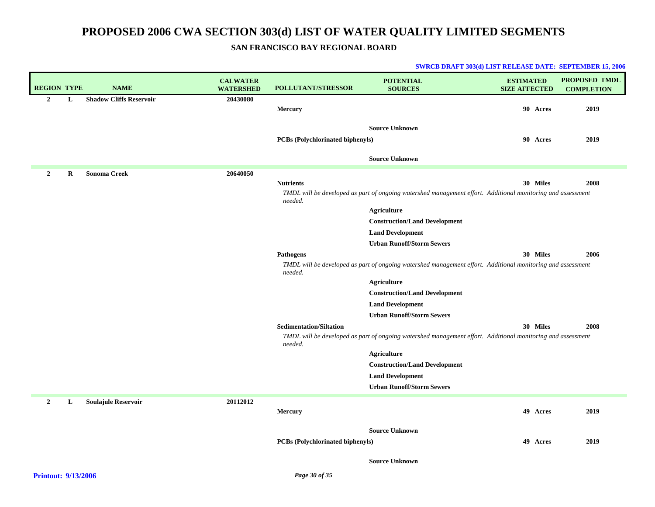## **SAN FRANCISCO BAY REGIONAL BOARD**

| <b>REGION TYPE</b>  | <b>NAME</b>                    | <b>CALWATER</b><br><b>WATERSHED</b> | <b>POLLUTANT/STRESSOR</b>               | <b>POTENTIAL</b><br><b>SOURCES</b>                                                                          | <b>ESTIMATED</b><br><b>SIZE AFFECTED</b> | <b>PROPOSED TMDL</b><br><b>COMPLETION</b> |
|---------------------|--------------------------------|-------------------------------------|-----------------------------------------|-------------------------------------------------------------------------------------------------------------|------------------------------------------|-------------------------------------------|
| $\overline{2}$<br>L | <b>Shadow Cliffs Reservoir</b> | 20430080                            |                                         |                                                                                                             |                                          |                                           |
|                     |                                |                                     | <b>Mercury</b>                          |                                                                                                             | 90 Acres                                 | 2019                                      |
|                     |                                |                                     |                                         | <b>Source Unknown</b>                                                                                       |                                          |                                           |
|                     |                                |                                     | <b>PCBs</b> (Polychlorinated biphenyls) |                                                                                                             | 90 Acres                                 | 2019                                      |
|                     |                                |                                     |                                         |                                                                                                             |                                          |                                           |
|                     |                                |                                     |                                         | <b>Source Unknown</b>                                                                                       |                                          |                                           |
| $\overline{2}$<br>R | <b>Sonoma Creek</b>            | 20640050                            |                                         |                                                                                                             |                                          |                                           |
|                     |                                |                                     | <b>Nutrients</b>                        |                                                                                                             | 30 Miles                                 | 2008                                      |
|                     |                                |                                     | needed.                                 | TMDL will be developed as part of ongoing watershed management effort. Additional monitoring and assessment |                                          |                                           |
|                     |                                |                                     |                                         | <b>Agriculture</b>                                                                                          |                                          |                                           |
|                     |                                |                                     |                                         | <b>Construction/Land Development</b>                                                                        |                                          |                                           |
|                     |                                |                                     |                                         | <b>Land Development</b>                                                                                     |                                          |                                           |
|                     |                                |                                     |                                         | <b>Urban Runoff/Storm Sewers</b>                                                                            |                                          |                                           |
|                     |                                |                                     | <b>Pathogens</b>                        |                                                                                                             | 30 Miles                                 | 2006                                      |
|                     |                                |                                     | needed.                                 | TMDL will be developed as part of ongoing watershed management effort. Additional monitoring and assessment |                                          |                                           |
|                     |                                |                                     |                                         | <b>Agriculture</b>                                                                                          |                                          |                                           |
|                     |                                |                                     |                                         | <b>Construction/Land Development</b>                                                                        |                                          |                                           |
|                     |                                |                                     |                                         | <b>Land Development</b>                                                                                     |                                          |                                           |
|                     |                                |                                     |                                         | <b>Urban Runoff/Storm Sewers</b>                                                                            |                                          |                                           |
|                     |                                |                                     | <b>Sedimentation/Siltation</b>          |                                                                                                             | 30 Miles                                 | 2008                                      |
|                     |                                |                                     | needed.                                 | TMDL will be developed as part of ongoing watershed management effort. Additional monitoring and assessment |                                          |                                           |
|                     |                                |                                     |                                         | <b>Agriculture</b>                                                                                          |                                          |                                           |
|                     |                                |                                     |                                         | <b>Construction/Land Development</b>                                                                        |                                          |                                           |
|                     |                                |                                     |                                         | <b>Land Development</b>                                                                                     |                                          |                                           |
|                     |                                |                                     |                                         | <b>Urban Runoff/Storm Sewers</b>                                                                            |                                          |                                           |
| $\mathbf{2}$<br>L   | <b>Soulajule Reservoir</b>     | 20112012                            |                                         |                                                                                                             |                                          |                                           |
|                     |                                |                                     | <b>Mercury</b>                          |                                                                                                             | 49 Acres                                 | 2019                                      |
|                     |                                |                                     |                                         | <b>Source Unknown</b>                                                                                       |                                          |                                           |
|                     |                                |                                     | <b>PCBs</b> (Polychlorinated biphenyls) |                                                                                                             | 49 Acres                                 | 2019                                      |
|                     |                                |                                     |                                         |                                                                                                             |                                          |                                           |
|                     |                                |                                     |                                         | <b>Source Unknown</b>                                                                                       |                                          |                                           |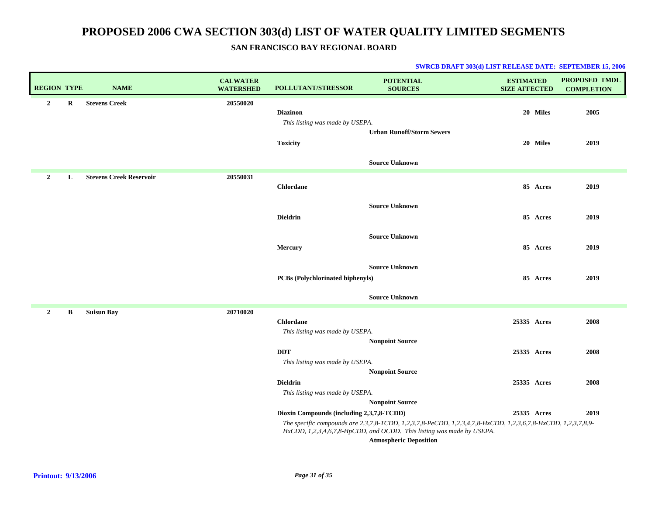| <b>REGION TYPE</b> |         | <b>NAME</b>                    | <b>CALWATER</b><br><b>WATERSHED</b> | POLLUTANT/STRESSOR                                                    | <b>POTENTIAL</b><br><b>SOURCES</b>                                                                                                                                                    | <b>ESTIMATED</b><br><b>SIZE AFFECTED</b> |                      | PROPOSED TMDL<br><b>COMPLETION</b> |
|--------------------|---------|--------------------------------|-------------------------------------|-----------------------------------------------------------------------|---------------------------------------------------------------------------------------------------------------------------------------------------------------------------------------|------------------------------------------|----------------------|------------------------------------|
| $\overline{2}$     | $\bf R$ | <b>Stevens Creek</b>           | 20550020                            | <b>Diazinon</b><br>This listing was made by USEPA.<br><b>Toxicity</b> | <b>Urban Runoff/Storm Sewers</b>                                                                                                                                                      |                                          | 20 Miles<br>20 Miles | 2005<br>2019                       |
|                    |         |                                |                                     |                                                                       | <b>Source Unknown</b>                                                                                                                                                                 |                                          |                      |                                    |
| $\overline{2}$     | L       | <b>Stevens Creek Reservoir</b> | 20550031                            | <b>Chlordane</b>                                                      |                                                                                                                                                                                       |                                          | 85 Acres             | 2019                               |
|                    |         |                                |                                     | <b>Dieldrin</b>                                                       | <b>Source Unknown</b>                                                                                                                                                                 |                                          | 85 Acres             | 2019                               |
|                    |         |                                |                                     | Mercury                                                               | <b>Source Unknown</b>                                                                                                                                                                 |                                          | 85 Acres             | 2019                               |
|                    |         |                                |                                     | <b>PCBs (Polychlorinated biphenyls)</b>                               | <b>Source Unknown</b>                                                                                                                                                                 |                                          | 85 Acres             | 2019                               |
|                    |         |                                |                                     |                                                                       | <b>Source Unknown</b>                                                                                                                                                                 |                                          |                      |                                    |
| $\overline{2}$     | B       | <b>Suisun Bay</b>              | 20710020                            | <b>Chlordane</b><br>This listing was made by USEPA.                   | <b>Nonpoint Source</b>                                                                                                                                                                | 25335 Acres                              |                      | 2008                               |
|                    |         |                                |                                     | <b>DDT</b><br>This listing was made by USEPA.                         | <b>Nonpoint Source</b>                                                                                                                                                                | 25335 Acres                              |                      | 2008                               |
|                    |         |                                |                                     | <b>Dieldrin</b><br>This listing was made by USEPA.                    | <b>Nonpoint Source</b>                                                                                                                                                                | 25335 Acres                              |                      | 2008                               |
|                    |         |                                |                                     | Dioxin Compounds (including 2,3,7,8-TCDD)                             |                                                                                                                                                                                       | 25335 Acres                              |                      | 2019                               |
|                    |         |                                |                                     |                                                                       | The specific compounds are 2,3,7,8-TCDD, 1,2,3,7,8-PeCDD, 1,2,3,4,7,8-HxCDD, 1,2,3,6,7,8-HxCDD, 1,2,3,7,8,9-<br>HxCDD, 1,2,3,4,6,7,8-HpCDD, and OCDD. This listing was made by USEPA. |                                          |                      |                                    |
|                    |         |                                |                                     |                                                                       | <b>Atmospheric Deposition</b>                                                                                                                                                         |                                          |                      |                                    |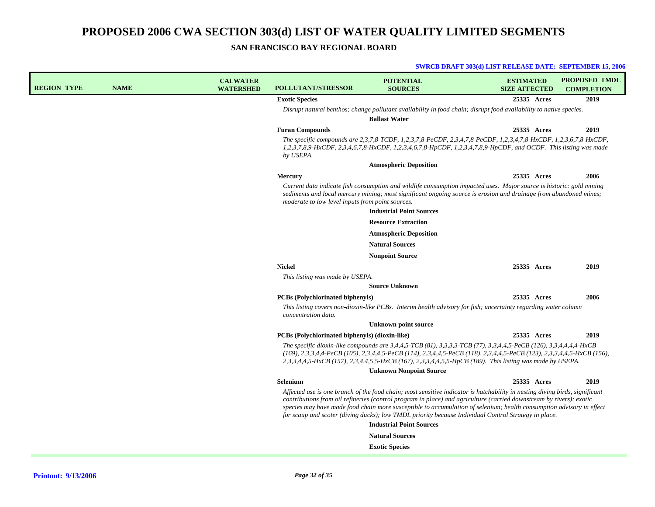**SAN FRANCISCO BAY REGIONAL BOARD**

| <b>REGION TYPE</b> | <b>NAME</b> | <b>CALWATER</b><br><b>WATERSHED</b> | <b>POLLUTANT/STRESSOR</b>                        | <b>POTENTIAL</b><br><b>SOURCES</b>                                                                                                                                                                                                                                                                                                                                                                                                                                                 | <b>ESTIMATED</b><br><b>SIZE AFFECTED</b> | <b>PROPOSED TMDL</b><br><b>COMPLETION</b> |
|--------------------|-------------|-------------------------------------|--------------------------------------------------|------------------------------------------------------------------------------------------------------------------------------------------------------------------------------------------------------------------------------------------------------------------------------------------------------------------------------------------------------------------------------------------------------------------------------------------------------------------------------------|------------------------------------------|-------------------------------------------|
|                    |             |                                     | <b>Exotic Species</b>                            |                                                                                                                                                                                                                                                                                                                                                                                                                                                                                    | 25335 Acres                              | 2019                                      |
|                    |             |                                     |                                                  | Disrupt natural benthos; change pollutant availability in food chain; disrupt food availability to native species.<br><b>Ballast Water</b>                                                                                                                                                                                                                                                                                                                                         |                                          |                                           |
|                    |             |                                     | <b>Furan Compounds</b>                           |                                                                                                                                                                                                                                                                                                                                                                                                                                                                                    | 25335 Acres                              | 2019                                      |
|                    |             |                                     | by USEPA.                                        | The specific compounds are 2,3,7,8-TCDF, 1,2,3,7,8-PeCDF, 2,3,4,7,8-PeCDF, 1,2,3,4,7,8-HxCDF, 1,2,3,6,7,8-HxCDF,<br>1,2,3,7,8,9-HxCDF, 2,3,4,6,7,8-HxCDF, 1,2,3,4,6,7,8-HpCDF, 1,2,3,4,7,8,9-HpCDF, and OCDF. This listing was made                                                                                                                                                                                                                                                |                                          |                                           |
|                    |             |                                     |                                                  | <b>Atmospheric Deposition</b>                                                                                                                                                                                                                                                                                                                                                                                                                                                      |                                          |                                           |
|                    |             |                                     | Mercury                                          |                                                                                                                                                                                                                                                                                                                                                                                                                                                                                    | 25335 Acres                              | 2006                                      |
|                    |             |                                     | moderate to low level inputs from point sources. | Current data indicate fish consumption and wildlife consumption impacted uses. Major source is historic: gold mining<br>sediments and local mercury mining; most significant ongoing source is erosion and drainage from abandoned mines;<br><b>Industrial Point Sources</b>                                                                                                                                                                                                       |                                          |                                           |
|                    |             |                                     |                                                  | <b>Resource Extraction</b>                                                                                                                                                                                                                                                                                                                                                                                                                                                         |                                          |                                           |
|                    |             |                                     |                                                  | <b>Atmospheric Deposition</b>                                                                                                                                                                                                                                                                                                                                                                                                                                                      |                                          |                                           |
|                    |             |                                     |                                                  | <b>Natural Sources</b>                                                                                                                                                                                                                                                                                                                                                                                                                                                             |                                          |                                           |
|                    |             |                                     |                                                  | <b>Nonpoint Source</b>                                                                                                                                                                                                                                                                                                                                                                                                                                                             |                                          |                                           |
|                    |             |                                     | <b>Nickel</b>                                    |                                                                                                                                                                                                                                                                                                                                                                                                                                                                                    | 25335 Acres                              | 2019                                      |
|                    |             |                                     | This listing was made by USEPA.                  |                                                                                                                                                                                                                                                                                                                                                                                                                                                                                    |                                          |                                           |
|                    |             |                                     |                                                  | <b>Source Unknown</b>                                                                                                                                                                                                                                                                                                                                                                                                                                                              |                                          |                                           |
|                    |             |                                     | <b>PCBs</b> (Polychlorinated biphenyls)          |                                                                                                                                                                                                                                                                                                                                                                                                                                                                                    | 25335 Acres                              | 2006                                      |
|                    |             |                                     | concentration data.                              | This listing covers non-dioxin-like PCBs. Interim health advisory for fish; uncertainty regarding water column                                                                                                                                                                                                                                                                                                                                                                     |                                          |                                           |
|                    |             |                                     |                                                  | <b>Unknown point source</b>                                                                                                                                                                                                                                                                                                                                                                                                                                                        |                                          |                                           |
|                    |             |                                     | PCBs (Polychlorinated biphenyls) (dioxin-like)   |                                                                                                                                                                                                                                                                                                                                                                                                                                                                                    | 25335 Acres                              | 2019                                      |
|                    |             |                                     |                                                  | The specific dioxin-like compounds are 3,4,4,5-TCB (81), 3,3,3,3-TCB (77), 3,3,4,4,5-PeCB (126), 3,3,4,4,4,4-HxCB<br>(169), 2,3,3,4,4-PeCB (105), 2,3,4,4,5-PeCB (114), 2,3,4,4,5-PeCB (118), 2,3,4,4,5-PeCB (123), 2,3,3,4,4,5-HxCB (156),<br>2,3,3,4,4,5-HxCB (157), 2,3,4,4,5,5-HxCB (167), 2,3,3,4,4,5,5-HpCB (189). This listing was made by USEPA.                                                                                                                           |                                          |                                           |
|                    |             |                                     |                                                  | <b>Unknown Nonpoint Source</b>                                                                                                                                                                                                                                                                                                                                                                                                                                                     |                                          |                                           |
|                    |             |                                     | Selenium                                         |                                                                                                                                                                                                                                                                                                                                                                                                                                                                                    | 25335 Acres                              | 2019                                      |
|                    |             |                                     |                                                  | Affected use is one branch of the food chain; most sensitive indicator is hatchability in nesting diving birds, significant<br>contributions from oil refineries (control program in place) and agriculture (carried downstream by rivers); exotic<br>species may have made food chain more susceptible to accumulation of selenium; health consumption advisory in effect<br>for scaup and scoter (diving ducks); low TMDL priority because Individual Control Strategy in place. |                                          |                                           |
|                    |             |                                     |                                                  | <b>Industrial Point Sources</b>                                                                                                                                                                                                                                                                                                                                                                                                                                                    |                                          |                                           |
|                    |             |                                     |                                                  | <b>Natural Sources</b>                                                                                                                                                                                                                                                                                                                                                                                                                                                             |                                          |                                           |
|                    |             |                                     |                                                  | <b>Exotic Species</b>                                                                                                                                                                                                                                                                                                                                                                                                                                                              |                                          |                                           |
|                    |             |                                     |                                                  |                                                                                                                                                                                                                                                                                                                                                                                                                                                                                    |                                          |                                           |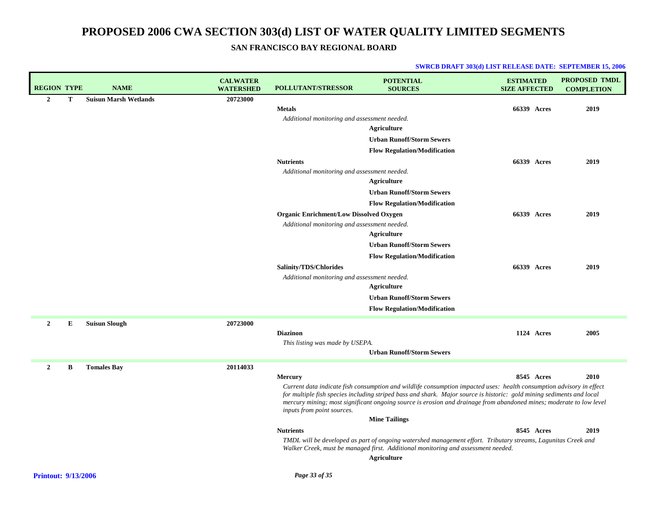### **SAN FRANCISCO BAY REGIONAL BOARD**

| <b>REGION TYPE</b> |   | <b>NAME</b>                  | <b>CALWATER</b><br><b>WATERSHED</b> | <b>POLLUTANT/STRESSOR</b>                      | <b>POTENTIAL</b><br><b>SOURCES</b>                                                                                                                                                                                                            | <b>ESTIMATED</b><br><b>SIZE AFFECTED</b> |            | <b>PROPOSED TMDL</b><br><b>COMPLETION</b> |
|--------------------|---|------------------------------|-------------------------------------|------------------------------------------------|-----------------------------------------------------------------------------------------------------------------------------------------------------------------------------------------------------------------------------------------------|------------------------------------------|------------|-------------------------------------------|
| $\mathbf{2}$       | T | <b>Suisun Marsh Wetlands</b> | 20723000                            |                                                |                                                                                                                                                                                                                                               |                                          |            |                                           |
|                    |   |                              |                                     | <b>Metals</b>                                  |                                                                                                                                                                                                                                               | 66339 Acres                              |            | 2019                                      |
|                    |   |                              |                                     | Additional monitoring and assessment needed.   |                                                                                                                                                                                                                                               |                                          |            |                                           |
|                    |   |                              |                                     |                                                | <b>Agriculture</b>                                                                                                                                                                                                                            |                                          |            |                                           |
|                    |   |                              |                                     |                                                | <b>Urban Runoff/Storm Sewers</b>                                                                                                                                                                                                              |                                          |            |                                           |
|                    |   |                              |                                     |                                                | <b>Flow Regulation/Modification</b>                                                                                                                                                                                                           |                                          |            |                                           |
|                    |   |                              |                                     | <b>Nutrients</b>                               |                                                                                                                                                                                                                                               | 66339 Acres                              |            | 2019                                      |
|                    |   |                              |                                     | Additional monitoring and assessment needed.   |                                                                                                                                                                                                                                               |                                          |            |                                           |
|                    |   |                              |                                     |                                                | Agriculture                                                                                                                                                                                                                                   |                                          |            |                                           |
|                    |   |                              |                                     |                                                | <b>Urban Runoff/Storm Sewers</b>                                                                                                                                                                                                              |                                          |            |                                           |
|                    |   |                              |                                     |                                                | <b>Flow Regulation/Modification</b>                                                                                                                                                                                                           |                                          |            |                                           |
|                    |   |                              |                                     | <b>Organic Enrichment/Low Dissolved Oxygen</b> |                                                                                                                                                                                                                                               | <b>66339 Acres</b>                       |            | 2019                                      |
|                    |   |                              |                                     | Additional monitoring and assessment needed.   | Agriculture                                                                                                                                                                                                                                   |                                          |            |                                           |
|                    |   |                              |                                     |                                                | <b>Urban Runoff/Storm Sewers</b>                                                                                                                                                                                                              |                                          |            |                                           |
|                    |   |                              |                                     |                                                |                                                                                                                                                                                                                                               |                                          |            |                                           |
|                    |   |                              |                                     |                                                | <b>Flow Regulation/Modification</b>                                                                                                                                                                                                           |                                          |            |                                           |
|                    |   |                              |                                     | Salinity/TDS/Chlorides                         |                                                                                                                                                                                                                                               | 66339 Acres                              |            | 2019                                      |
|                    |   |                              |                                     | Additional monitoring and assessment needed.   | Agriculture                                                                                                                                                                                                                                   |                                          |            |                                           |
|                    |   |                              |                                     |                                                | <b>Urban Runoff/Storm Sewers</b>                                                                                                                                                                                                              |                                          |            |                                           |
|                    |   |                              |                                     |                                                |                                                                                                                                                                                                                                               |                                          |            |                                           |
|                    |   |                              |                                     |                                                | <b>Flow Regulation/Modification</b>                                                                                                                                                                                                           |                                          |            |                                           |
| $\mathbf{2}$       | E | <b>Suisun Slough</b>         | 20723000                            |                                                |                                                                                                                                                                                                                                               |                                          |            |                                           |
|                    |   |                              |                                     | <b>Diazinon</b>                                |                                                                                                                                                                                                                                               |                                          | 1124 Acres | 2005                                      |
|                    |   |                              |                                     | This listing was made by USEPA.                | <b>Urban Runoff/Storm Sewers</b>                                                                                                                                                                                                              |                                          |            |                                           |
|                    |   |                              |                                     |                                                |                                                                                                                                                                                                                                               |                                          |            |                                           |
| $\overline{2}$     | В | <b>Tomales Bay</b>           | 20114033                            |                                                |                                                                                                                                                                                                                                               |                                          |            |                                           |
|                    |   |                              |                                     | <b>Mercury</b>                                 |                                                                                                                                                                                                                                               |                                          | 8545 Acres | 2010                                      |
|                    |   |                              |                                     |                                                | Current data indicate fish consumption and wildlife consumption impacted uses: health consumption advisory in effect<br>for multiple fish species including striped bass and shark. Major source is historic: gold mining sediments and local |                                          |            |                                           |
|                    |   |                              |                                     |                                                | mercury mining; most significant ongoing source is erosion and drainage from abandoned mines; moderate to low level                                                                                                                           |                                          |            |                                           |
|                    |   |                              |                                     | inputs from point sources.                     |                                                                                                                                                                                                                                               |                                          |            |                                           |
|                    |   |                              |                                     |                                                | <b>Mine Tailings</b>                                                                                                                                                                                                                          |                                          |            |                                           |
|                    |   |                              |                                     | <b>Nutrients</b>                               |                                                                                                                                                                                                                                               |                                          | 8545 Acres | 2019                                      |
|                    |   |                              |                                     |                                                | TMDL will be developed as part of ongoing watershed management effort. Tributary streams, Lagunitas Creek and<br>Walker Creek, must be managed first. Additional monitoring and assessment needed.                                            |                                          |            |                                           |
|                    |   |                              |                                     |                                                | <b>Agriculture</b>                                                                                                                                                                                                                            |                                          |            |                                           |
|                    |   |                              |                                     |                                                |                                                                                                                                                                                                                                               |                                          |            |                                           |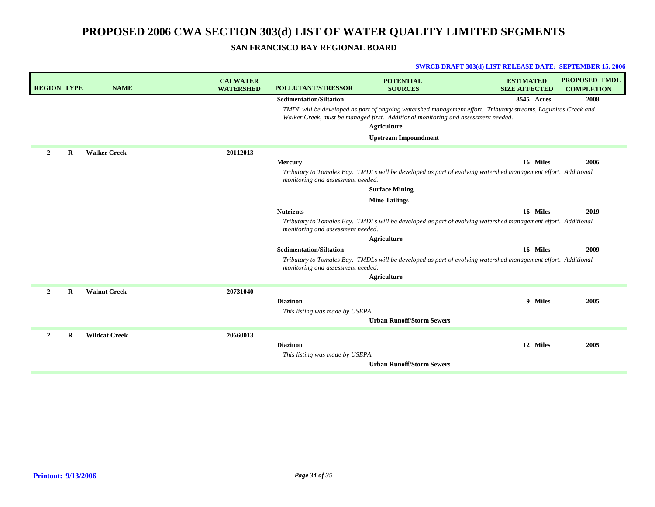### **SAN FRANCISCO BAY REGIONAL BOARD**

| <b>REGION TYPE</b>         | <b>NAME</b>          | <b>CALWATER</b><br><b>WATERSHED</b> | <b>POLLUTANT/STRESSOR</b>         | <b>POTENTIAL</b><br><b>SOURCES</b>                                                                                                                                                                                       | <b>ESTIMATED</b><br><b>SIZE AFFECTED</b> | <b>PROPOSED TMDL</b><br><b>COMPLETION</b> |
|----------------------------|----------------------|-------------------------------------|-----------------------------------|--------------------------------------------------------------------------------------------------------------------------------------------------------------------------------------------------------------------------|------------------------------------------|-------------------------------------------|
|                            |                      |                                     | <b>Sedimentation/Siltation</b>    |                                                                                                                                                                                                                          | 8545 Acres                               | 2008                                      |
|                            |                      |                                     |                                   | TMDL will be developed as part of ongoing watershed management effort. Tributary streams, Lagunitas Creek and<br>Walker Creek, must be managed first. Additional monitoring and assessment needed.<br><b>Agriculture</b> |                                          |                                           |
|                            |                      |                                     |                                   | <b>Upstream Impoundment</b>                                                                                                                                                                                              |                                          |                                           |
| $\overline{2}$<br>R        | <b>Walker Creek</b>  | 20112013                            |                                   |                                                                                                                                                                                                                          |                                          |                                           |
|                            |                      |                                     | <b>Mercury</b>                    |                                                                                                                                                                                                                          | 16 Miles                                 | 2006                                      |
|                            |                      |                                     | monitoring and assessment needed. | Tributary to Tomales Bay. TMDLs will be developed as part of evolving watershed management effort. Additional                                                                                                            |                                          |                                           |
|                            |                      |                                     |                                   | <b>Surface Mining</b>                                                                                                                                                                                                    |                                          |                                           |
|                            |                      |                                     |                                   | <b>Mine Tailings</b>                                                                                                                                                                                                     |                                          |                                           |
|                            |                      |                                     | <b>Nutrients</b>                  |                                                                                                                                                                                                                          | 16 Miles                                 | 2019                                      |
|                            |                      |                                     | monitoring and assessment needed. | Tributary to Tomales Bay. TMDLs will be developed as part of evolving watershed management effort. Additional                                                                                                            |                                          |                                           |
|                            |                      |                                     |                                   | <b>Agriculture</b>                                                                                                                                                                                                       |                                          |                                           |
|                            |                      |                                     | <b>Sedimentation/Siltation</b>    |                                                                                                                                                                                                                          | 16 Miles                                 | 2009                                      |
|                            |                      |                                     | monitoring and assessment needed. | Tributary to Tomales Bay. TMDLs will be developed as part of evolving watershed management effort. Additional                                                                                                            |                                          |                                           |
|                            |                      |                                     |                                   | <b>Agriculture</b>                                                                                                                                                                                                       |                                          |                                           |
| $\mathbf{2}$<br>$\bf{R}$   | <b>Walnut Creek</b>  | 20731040                            |                                   |                                                                                                                                                                                                                          |                                          |                                           |
|                            |                      |                                     | <b>Diazinon</b>                   |                                                                                                                                                                                                                          | 9 Miles                                  | 2005                                      |
|                            |                      |                                     | This listing was made by USEPA.   |                                                                                                                                                                                                                          |                                          |                                           |
|                            |                      |                                     |                                   | <b>Urban Runoff/Storm Sewers</b>                                                                                                                                                                                         |                                          |                                           |
| $\overline{2}$<br>$\bf{R}$ | <b>Wildcat Creek</b> | 20660013                            |                                   |                                                                                                                                                                                                                          |                                          |                                           |
|                            |                      |                                     | <b>Diazinon</b>                   |                                                                                                                                                                                                                          | 12 Miles                                 | 2005                                      |
|                            |                      |                                     | This listing was made by USEPA.   |                                                                                                                                                                                                                          |                                          |                                           |
|                            |                      |                                     |                                   | <b>Urban Runoff/Storm Sewers</b>                                                                                                                                                                                         |                                          |                                           |